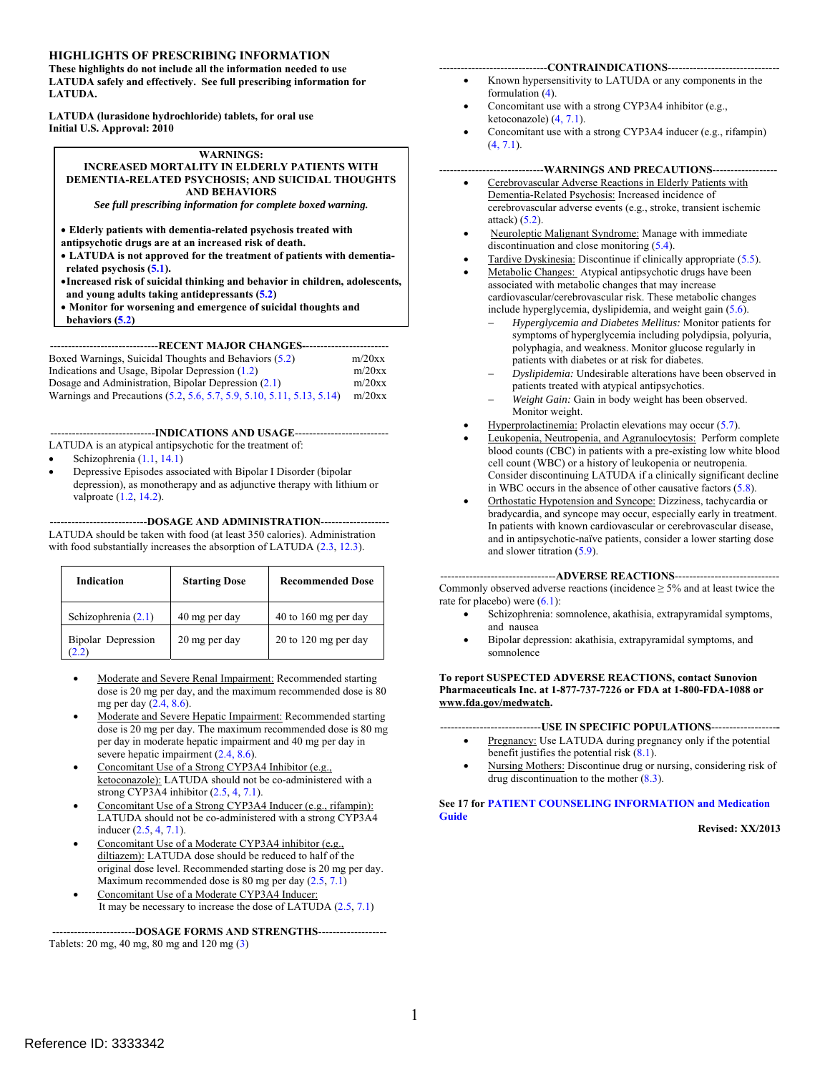#### **HIGHLIGHTS OF PRESCRIBING INFORMATION**

**These highlights do not include all the information needed to use LATUDA safely and effectively. See full prescribing information for LATUDA.** 

**LATUDA (lurasidone hydrochloride) tablets, for oral use Initial U.S. Approval: 2010** 

#### **WARNINGS:**

#### **INCREASED MORTALITY IN ELDERLY PATIENTS WITH DEMENTIA-RELATED PSYCHOSIS; AND SUICIDAL THOUGHTS AND BEHAVIORS**

*See full prescribing information for complete boxed warning.* 

- **Elderly patients with dementia-related psychosis treated with**
- **antipsychotic drugs are at an increased risk of death.**
- **LATUDA is not approved for the treatment of patients with dementia related psychosis (5.1).**
- **Increased risk of suicidal thinking and behavior in children, adolescents, and young adults taking antidepressants (5.2)**
- **Monitor for worsening and emergence of suicidal thoughts and**
- **behaviors (5.2)**

------------------------------**RECENT MAJOR CHANGES-**----------------------

| Boxed Warnings, Suicidal Thoughts and Behaviors (5.2)                 | m/20xx |
|-----------------------------------------------------------------------|--------|
| Indications and Usage, Bipolar Depression $(1.2)$                     | m/20xx |
| Dosage and Administration, Bipolar Depression (2.1)                   | m/20xx |
| Warnings and Precautions (5.2, 5.6, 5.7, 5.9, 5.10, 5.11, 5.13, 5.14) | m/20xx |

-----------------------------**INDICATIONS AND USAGE**--------------------------

- LATUDA is an atypical antipsychotic for the treatment of:
- Schizophrenia (1.1, 14.1)
- Depressive Episodes associated with Bipolar I Disorder (bipolar depression), as monotherapy and as adjunctive therapy with lithium or valproate (1.2, 14.2).

---------------------------**DOSAGE AND ADMINISTRATION**------------------- LATUDA should be taken with food (at least 350 calories). Administration

with food substantially increases the absorption of LATUDA  $(2.3, 12.3)$ .

| Indication          | <b>Starting Dose</b> | <b>Recommended Dose</b>  |
|---------------------|----------------------|--------------------------|
| Schizophrenia (2.1) | 40 mg per day        | 40 to 160 mg per day     |
| Bipolar Depression  | 20 mg per day        | $20$ to $120$ mg per day |

- Moderate and Severe Renal Impairment: Recommended starting dose is 20 mg per day, and the maximum recommended dose is 80 mg per day (2.4, 8.6).
- dose is 20 mg per day. The maximum recommended dose is 80 mg Moderate and Severe Hepatic Impairment: Recommended starting per day in moderate hepatic impairment and 40 mg per day in severe hepatic impairment  $(2.4, 8.6)$ .
- Concomitant Use of a Strong CYP3A4 Inhibitor (e.g., ketoconazole): LATUDA should not be co-administered with a strong CYP3A4 inhibitor (2.5, 4, 7.1).
- Concomitant Use of a Strong CYP3A4 Inducer (e.g., rifampin): LATUDA should not be co-administered with a strong CYP3A4 inducer (2.5, 4, 7.1).
- Concomitant Use of a Moderate CYP3A4 inhibitor (e**.**g., diltiazem): LATUDA dose should be reduced to half of the original dose level. Recommended starting dose is 20 mg per day. Maximum recommended dose is 80 mg per day (2.5, 7.1)
- Concomitant Use of a Moderate CYP3A4 Inducer: It may be necessary to increase the dose of LATUDA (2.5, 7.1)

-----------------------**DOSAGE FORMS AND STRENGTHS**------------------- Tablets: 20 mg, 40 mg, 80 mg and 120 mg (3)

#### ------------------------------**CONTRAINDICATIONS**-------------------------------

- Known hypersensitivity to LATUDA or any components in the formulation (4).
	- Concomitant use with a strong CYP3A4 inhibitor (e.g., ketoconazole) (4, 7.1).
- Concomitant use with a strong CYP3A4 inducer (e.g., rifampin)  $(4, 7.1)$ .

#### -----------------------------**WARNINGS AND PRECAUTIONS**------------------

- attack $(5.2)$ . Cerebrovascular Adverse Reactions in Elderly Patients with Dementia-Related Psychosis: Increased incidence of cerebrovascular adverse events (e.g., stroke, transient ischemic
- Neuroleptic Malignant Syndrome: Manage with immediate discontinuation and close monitoring (5.4).
- Tardive Dyskinesia: Discontinue if clinically appropriate  $(5.5)$ . Metabolic Changes: Atypical antipsychotic drugs have been associated with metabolic changes that may increase
	- cardiovascular/cerebrovascular risk. These metabolic changes include hyperglycemia, dyslipidemia, and weight gain (5.6).
		- *Hyperglycemia and Diabetes Mellitus:* Monitor patients for symptoms of hyperglycemia including polydipsia, polyuria, polyphagia, and weakness. Monitor glucose regularly in patients with diabetes or at risk for diabetes.
		- *Dyslipidemia:* Undesirable alterations have been observed in patients treated with atypical antipsychotics.
		- *Weight Gain:* Gain in body weight has been observed. Monitor weight.
- Hyperprolactinemia: Prolactin elevations may occur (5.7).
- Leukopenia, Neutropenia, and Agranulocytosis: Perform complete blood counts (CBC) in patients with a pre-existing low white blood cell count (WBC) or a history of leukopenia or neutropenia. Consider discontinuing LATUDA if a clinically significant decline in WBC occurs in the absence of other causative factors (5.8).
- Orthostatic Hypotension and Syncope: Dizziness, tachycardia or bradycardia, and syncope may occur, especially early in treatment. In patients with known cardiovascular or cerebrovascular disease, and in antipsychotic-naïve patients, consider a lower starting dose and slower titration (5.9).

#### --------------------------------**ADVERSE REACTIONS**-----------------------------

Commonly observed adverse reactions (incidence  $\geq$  5% and at least twice the rate for placebo) were  $(6.1)$ :

- Schizophrenia: somnolence, akathisia, extrapyramidal symptoms, and nausea
- Bipolar depression: akathisia, extrapyramidal symptoms, and somnolence

#### **To report SUSPECTED ADVERSE REACTIONS, contact Sunovion Pharmaceuticals Inc. at 1-877-737-7226 or FDA at 1-800-FDA-1088 or www.fda.gov/medwatch.**

----------------------------**USE IN SPECIFIC POPULATIONS**------------------**-**

- benefit justifies the potential risk  $(8.1)$ . Pregnancy: Use LATUDA during pregnancy only if the potential
- Nursing Mothers: Discontinue drug or nursing, considering risk of drug discontinuation to the mother  $(8.3)$ .

#### **See 17 for PATIENT COUNSELING INFORMATION and Medication Guide**

**Revised: XX/2013**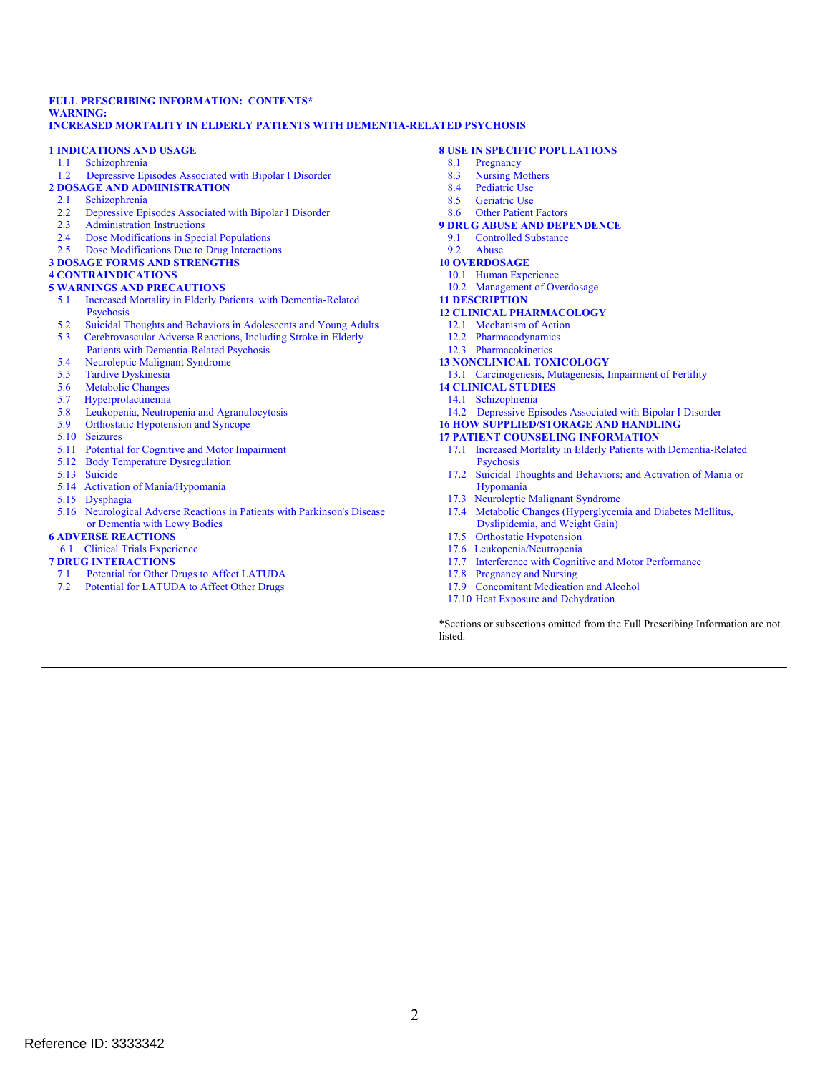#### **FULL PRESCRIBING INFORMATION: CONTENTS\* WARNING: INCREASED MORTALITY IN ELDERLY PATIENTS WITH DEMENTIA-RELATED PSYCHOSIS**

#### **1 INDICATIONS AND USAGE**

#### 1.1 Schizophrenia

1.2 Depressive Episodes Associated with Bipolar I Disorder

#### **2 DOSAGE AND ADMINISTRATION**

- 2.1 Schizophrenia
- 2.2 Depressive Episodes Associated with Bipolar I Disorder
- 2.3 Administration Instructions<br>2.4 Dose Modifications in Speci
- 2.4 Dose Modifications in Special Populations
- 2.5 Dose Modifications Due to Drug Interactions
- **3 DOSAGE FORMS AND STRENGTHS**

#### **4 CONTRAINDICATIONS**

- **5 WARNINGS AND PRECAUTIONS**
- 5.1 Increased Mortality in Elderly Patients with Dementia-Related Psychosis
- 5.2 Suicidal Thoughts and Behaviors in Adolescents and Young Adults
- $5.3$ 5.3 Cerebrovascular Adverse Reactions, Including Stroke in Elderly Patients with Dementia-Related Psychosis
- 5.4 Neuroleptic Malignant Syndrome<br>5.5 Tardive Dyskinesia
- 5.5 Tardive Dyskinesia<br>5.6 Metabolic Changes
- Metabolic Changes
- 5.7 Hyperprolactinemia
- 5.8 Leukopenia, Neutropenia and Agranulocytosis<br>5.9 Orthostatic Hypotension and Syncope
- 5.9 Orthostatic Hypotension and Syncope
- 5.10 Seizures
- 5.11 Potential for Cognitive and Motor Impairment
- 5.12 Body Temperature Dysregulation
- 5.13 Suicide
- 5.14 Activation of Mania/Hypomania
- 5.15 Dysphagia
- 5.16 Neurological Adverse Reactions in Patients with Parkinson's Disease or Dementia with Lewy Bodies
- **6 ADVERSE REACTIONS**
- 6.1 Clinical Trials Experience

#### **7 DRUG INTERACTIONS**

- 7.1 Potential for Other Drugs to Affect LATUDA
- 7.2 Potential for LATUDA to Affect Other Drugs

#### **8 USE IN SPECIFIC POPULATIONS**

- 8.1 Pregnancy<br>8.3 Nursing M
- 8.3 Nursing Mothers<br>8.4 Pediatric Use
- 8.4 Pediatric Use<br>8.5 Geriatric Use
- Geriatric Use
- 8.6 Other Patient Factors
- **9 DRUG ABUSE AND DEPENDENCE**  9.1 Controlled Substance
- 
- 9.2 Abuse **10 OVERDOSAGE**
- 
- 10.1 Human Experience
- 10.2 Management of Overdosage
- **11 DESCRIPTION**

#### **12 CLINICAL PHARMACOLOGY**

- 12.1 Mechanism of Action
- 12.2 Pharmacodynamics
- 12.3 Pharmacokinetics
- **13 NONCLINICAL TOXICOLOGY**
- 13.1 Carcinogenesis, Mutagenesis, Impairment of Fertility
- **14 CLINICAL STUDIES** 
	- 14.1 Schizophrenia
- 14.2 Depressive Episodes Associated with Bipolar I Disorder
- **16 HOW SUPPLIED/STORAGE AND HANDLING**

#### **17 PATIENT COUNSELING INFORMATION**

- 17.1 Increased Mortality in Elderly Patients with Dementia-Related Psychosis
- 17.2 Suicidal Thoughts and Behaviors; and Activation of Mania or Hypomania
- 17.3 Neuroleptic Malignant Syndrome
- 17.4 Metabolic Changes (Hyperglycemia and Diabetes Mellitus, Dyslipidemia, and Weight Gain)
- 17.5 Orthostatic Hypotension
- 17.6 Leukopenia/Neutropenia
- 17.7 Interference with Cognitive and Motor Performance
- 17.8 Pregnancy and Nursing
- 17.9 Concomitant Medication and Alcohol
- 17.10 Heat Exposure and Dehydration

\*Sections or subsections omitted from the Full Prescribing Information are not listed.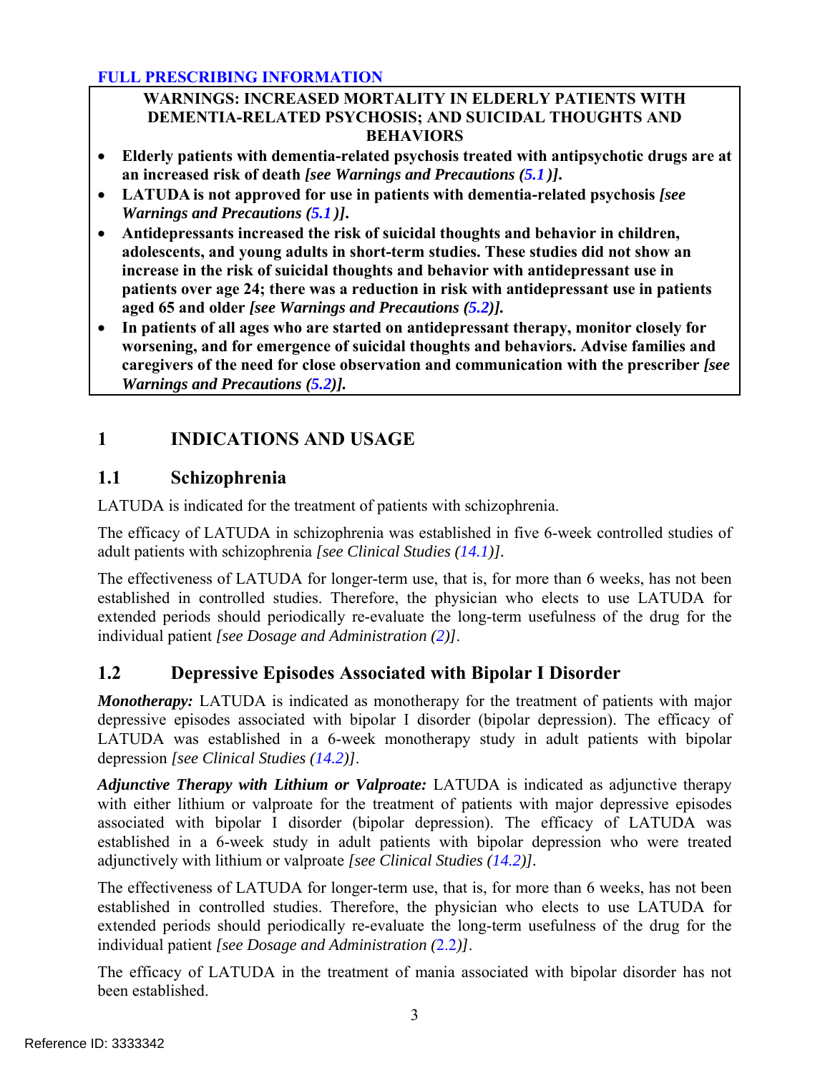#### **FULL PRESCRIBING INFORMATION**

#### **WARNINGS: INCREASED MORTALITY IN ELDERLY PATIENTS WITH DEMENTIA-RELATED PSYCHOSIS; AND SUICIDAL THOUGHTS AND BEHAVIORS**

- **Elderly patients with dementia-related psychosis treated with antipsychotic drugs are at an increased risk of death** *[see Warnings and Precautions (5.1 )]***.**
- **LATUDA is not approved for use in patients with dementia-related psychosis** *[see Warnings and Precautions (5.1 )]***.**
- **Antidepressants increased the risk of suicidal thoughts and behavior in children, adolescents, and young adults in short-term studies. These studies did not show an increase in the risk of suicidal thoughts and behavior with antidepressant use in patients over age 24; there was a reduction in risk with antidepressant use in patients aged 65 and older** *[see Warnings and Precautions (5.2)].*
- **In patients of all ages who are started on antidepressant therapy, monitor closely for worsening, and for emergence of suicidal thoughts and behaviors. Advise families and caregivers of the need for close observation and communication with the prescriber** *[see Warnings and Precautions (5.2)].*

# **1 INDICATIONS AND USAGE**

#### **1.1 Schizophrenia**

LATUDA is indicated for the treatment of patients with schizophrenia.

 adult patients with schizophrenia *[see Clinical Studies (14.1)].* The efficacy of LATUDA in schizophrenia was established in five 6-week controlled studies of

The effectiveness of LATUDA for longer-term use, that is, for more than 6 weeks, has not been established in controlled studies. Therefore, the physician who elects to use LATUDA for extended periods should periodically re-evaluate the long-term usefulness of the drug for the individual patient *[see Dosage and Administration (2)]*.

# **1.2 Depressive Episodes Associated with Bipolar I Disorder**

*Monotherapy:* LATUDA is indicated as monotherapy for the treatment of patients with major depressive episodes associated with bipolar I disorder (bipolar depression). The efficacy of LATUDA was established in a 6-week monotherapy study in adult patients with bipolar depression *[see Clinical Studies (14.2)]*.

 adjunctively with lithium or valproate *[see Clinical Studies (14.2)]. Adjunctive Therapy with Lithium or Valproate: LATUDA is indicated as adjunctive therapy* with either lithium or valproate for the treatment of patients with major depressive episodes associated with bipolar I disorder (bipolar depression). The efficacy of LATUDA was established in a 6-week study in adult patients with bipolar depression who were treated

The effectiveness of LATUDA for longer-term use, that is, for more than 6 weeks, has not been established in controlled studies. Therefore, the physician who elects to use LATUDA for extended periods should periodically re-evaluate the long-term usefulness of the drug for the individual patient *[see Dosage and Administration (*2.2*)]*.

The efficacy of LATUDA in the treatment of mania associated with bipolar disorder has not been established.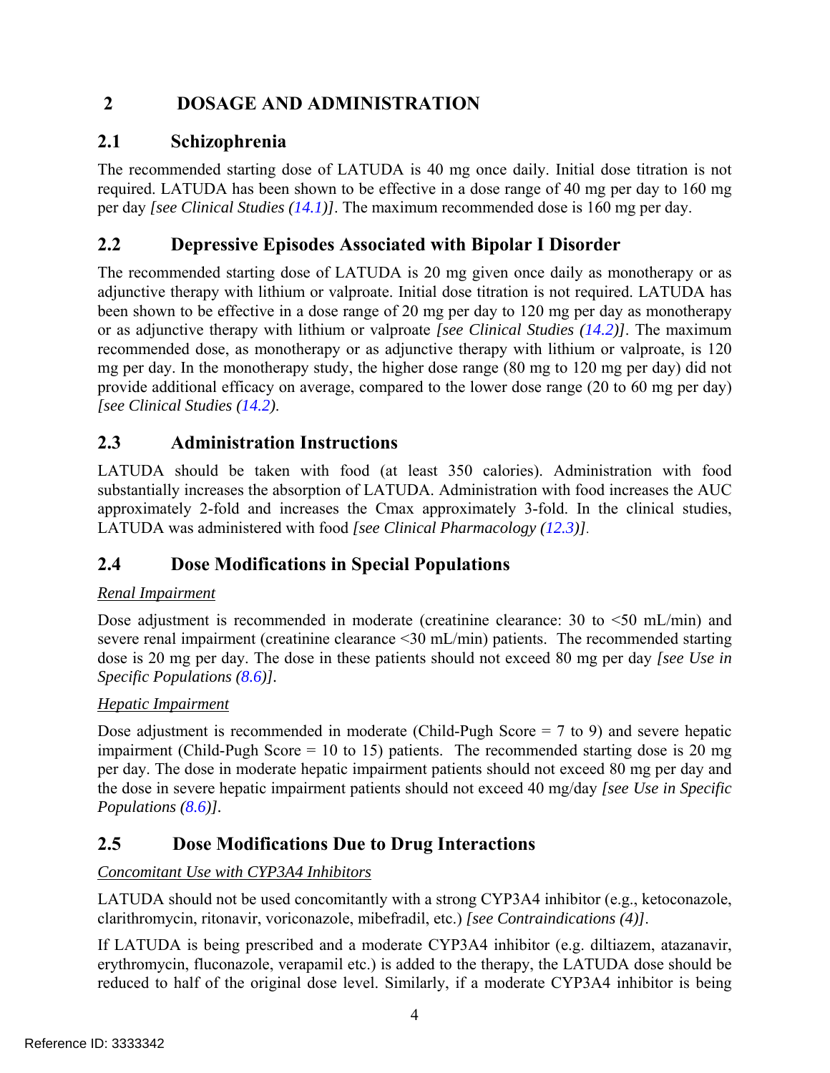# **2 DOSAGE AND ADMINISTRATION**

#### **2.1 Schizophrenia**

The recommended starting dose of LATUDA is 40 mg once daily. Initial dose titration is not required. LATUDA has been shown to be effective in a dose range of 40 mg per day to 160 mg per day *[see Clinical Studies (14.1)]*. The maximum recommended dose is 160 mg per day.

# **2.2 Depressive Episodes Associated with Bipolar I Disorder**

The recommended starting dose of LATUDA is 20 mg given once daily as monotherapy or as adjunctive therapy with lithium or valproate. Initial dose titration is not required. LATUDA has been shown to be effective in a dose range of 20 mg per day to 120 mg per day as monotherapy or as adjunctive therapy with lithium or valproate *[see Clinical Studies (14.2)]*. The maximum recommended dose, as monotherapy or as adjunctive therapy with lithium or valproate, is 120 mg per day. In the monotherapy study, the higher dose range (80 mg to 120 mg per day) did not provide additional efficacy on average, compared to the lower dose range (20 to 60 mg per day) *[see Clinical Studies (14.2)*.

# **2.3 Administration Instructions**

LATUDA should be taken with food (at least 350 calories). Administration with food substantially increases the absorption of LATUDA. Administration with food increases the AUC approximately 2-fold and increases the Cmax approximately 3-fold. In the clinical studies, LATUDA was administered with food *[see Clinical Pharmacology (12.3)]*.

# **2.4 Dose Modifications in Special Populations**

#### *Renal Impairment*

Dose adjustment is recommended in moderate (creatinine clearance: 30 to  $\leq 50$  mL/min) and severe renal impairment (creatinine clearance <30 mL/min) patients. The recommended starting dose is 20 mg per day. The dose in these patients should not exceed 80 mg per day *[see Use in Specific Populations (8.6)].* 

#### *Hepatic Impairment*

Dose adjustment is recommended in moderate (Child-Pugh Score  $= 7$  to 9) and severe hepatic impairment (Child-Pugh Score  $= 10$  to 15) patients. The recommended starting dose is 20 mg per day. The dose in moderate hepatic impairment patients should not exceed 80 mg per day and the dose in severe hepatic impairment patients should not exceed 40 mg/day *[see Use in Specific Populations (8.6)].* 

# **2.5 Dose Modifications Due to Drug Interactions**

#### *Concomitant Use with CYP3A4 Inhibitors*

LATUDA should not be used concomitantly with a strong CYP3A4 inhibitor (e.g., ketoconazole, clarithromycin, ritonavir, voriconazole, mibefradil, etc.) *[see Contraindications (4)]*.

If LATUDA is being prescribed and a moderate CYP3A4 inhibitor (e.g. diltiazem, atazanavir, erythromycin, fluconazole, verapamil etc.) is added to the therapy, the LATUDA dose should be reduced to half of the original dose level. Similarly, if a moderate CYP3A4 inhibitor is being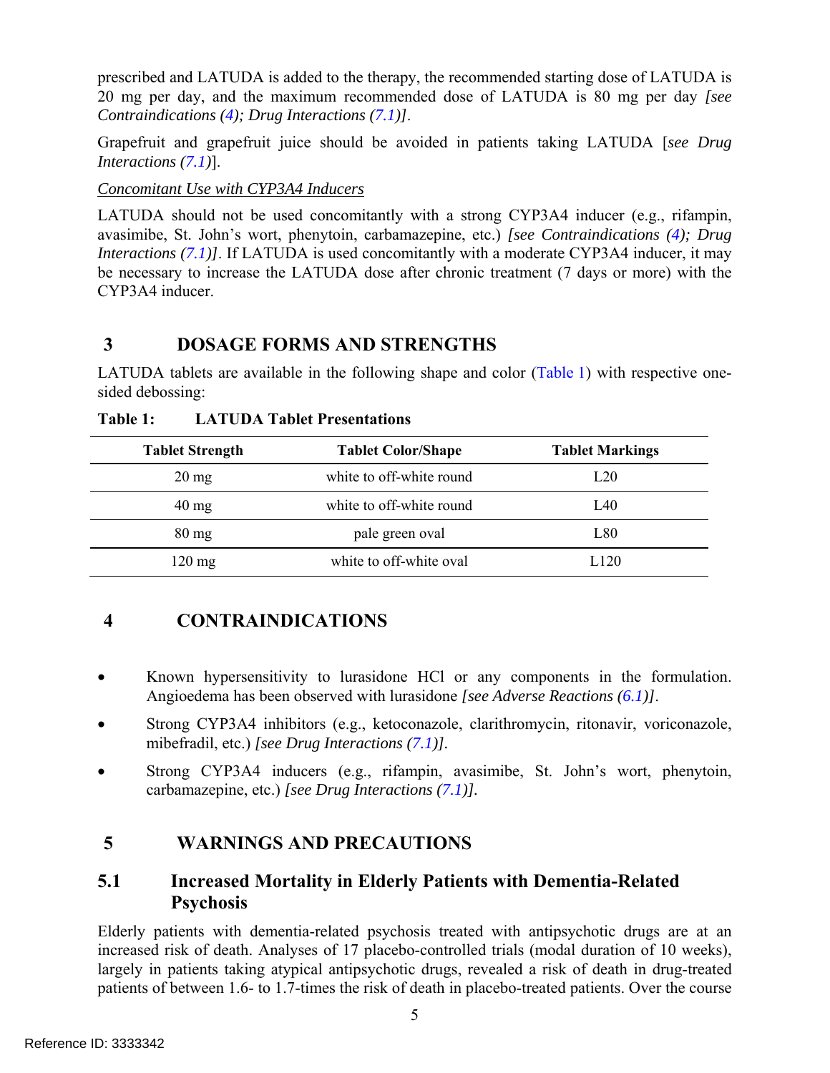prescribed and LATUDA is added to the therapy, the recommended starting dose of LATUDA is 20 mg per day, and the maximum recommended dose of LATUDA is 80 mg per day *[see Contraindications (4); Drug Interactions (7.1)]*.

Grapefruit and grapefruit juice should be avoided in patients taking LATUDA [*see Drug Interactions (7.1)*].

*Concomitant Use with CYP3A4 Inducers* 

LATUDA should not be used concomitantly with a strong CYP3A4 inducer (e.g., rifampin, avasimibe, St. John's wort, phenytoin, carbamazepine, etc.) *[see Contraindications (4); Drug Interactions (7.1)]*. If LATUDA is used concomitantly with a moderate CYP3A4 inducer, it may be necessary to increase the LATUDA dose after chronic treatment (7 days or more) with the CYP3A4 inducer.

#### **3 DOSAGE FORMS AND STRENGTHS**

LATUDA tablets are available in the following shape and color (Table 1) with respective onesided debossing:

| <b>Tablet Strength</b> | <b>Tablet Color/Shape</b> | <b>Tablet Markings</b> |
|------------------------|---------------------------|------------------------|
| $20 \text{ mg}$        | white to off-white round  | L20                    |
| $40 \text{ mg}$        | white to off-white round  | L40                    |
| $80 \text{ mg}$        | pale green oval           | $_{\rm L80}$           |
| $120 \text{ mg}$       | white to off-white oval   | L120                   |

#### **Table 1: LATUDA Tablet Presentations**

# **4 CONTRAINDICATIONS**

- Known hypersensitivity to lurasidone HCl or any components in the formulation. Angioedema has been observed with lurasidone *[see Adverse Reactions (6.1)]*.
- Strong CYP3A4 inhibitors (e.g., ketoconazole, clarithromycin, ritonavir, voriconazole, mibefradil, etc.) *[see Drug Interactions (7.1)].*
- Strong CYP3A4 inducers (e.g., rifampin, avasimibe, St. John's wort, phenytoin, carbamazepine, etc.) *[see Drug Interactions (7.1)].*

# **5 WARNINGS AND PRECAUTIONS**

#### **5.1 Increased Mortality in Elderly Patients with Dementia-Related Psychosis**

Elderly patients with dementia-related psychosis treated with antipsychotic drugs are at an increased risk of death. Analyses of 17 placebo-controlled trials (modal duration of 10 weeks), largely in patients taking atypical antipsychotic drugs, revealed a risk of death in drug-treated patients of between 1.6- to 1.7-times the risk of death in placebo-treated patients. Over the course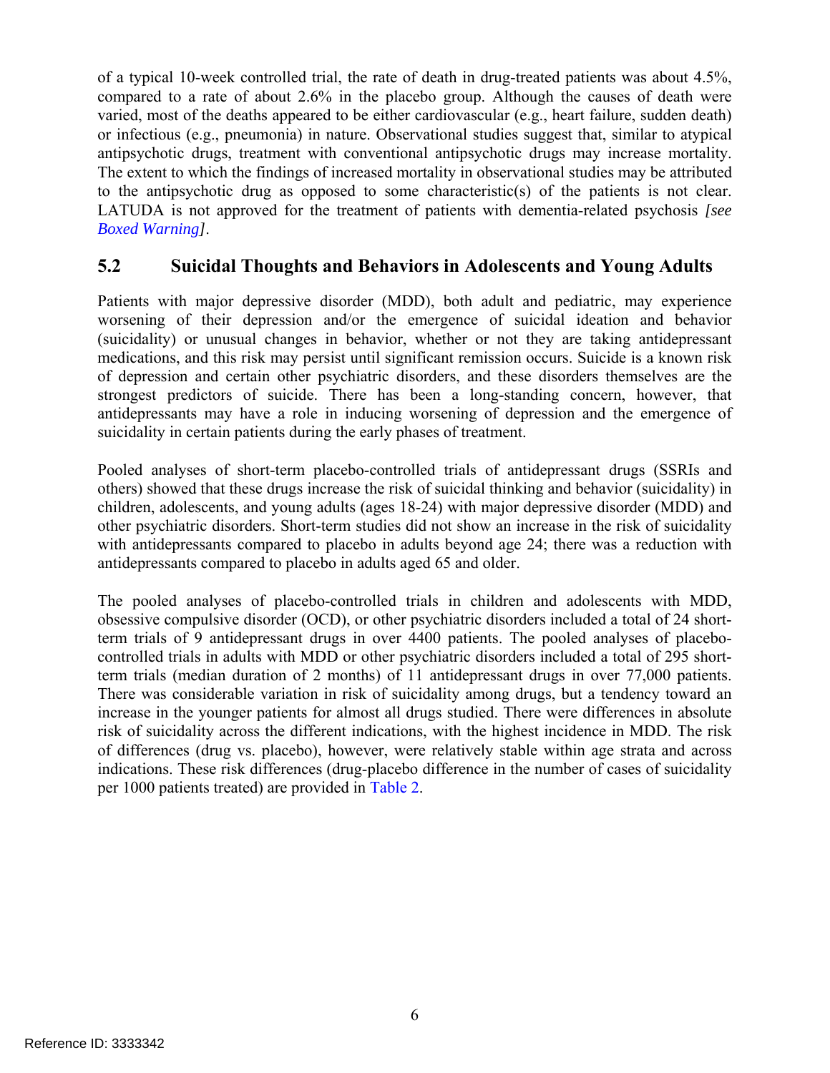of a typical 10-week controlled trial, the rate of death in drug-treated patients was about 4.5%, compared to a rate of about 2.6% in the placebo group. Although the causes of death were varied, most of the deaths appeared to be either cardiovascular (e.g., heart failure, sudden death) or infectious (e.g., pneumonia) in nature. Observational studies suggest that, similar to atypical antipsychotic drugs, treatment with conventional antipsychotic drugs may increase mortality. The extent to which the findings of increased mortality in observational studies may be attributed to the antipsychotic drug as opposed to some characteristic(s) of the patients is not clear. LATUDA is not approved for the treatment of patients with dementia-related psychosis *[see Boxed Warning]*.

#### **5.2 Suicidal Thoughts and Behaviors in Adolescents and Young Adults**

Patients with major depressive disorder (MDD), both adult and pediatric, may experience worsening of their depression and/or the emergence of suicidal ideation and behavior (suicidality) or unusual changes in behavior, whether or not they are taking antidepressant medications, and this risk may persist until significant remission occurs. Suicide is a known risk of depression and certain other psychiatric disorders, and these disorders themselves are the strongest predictors of suicide. There has been a long-standing concern, however, that antidepressants may have a role in inducing worsening of depression and the emergence of suicidality in certain patients during the early phases of treatment.

Pooled analyses of short-term placebo-controlled trials of antidepressant drugs (SSRIs and others) showed that these drugs increase the risk of suicidal thinking and behavior (suicidality) in children, adolescents, and young adults (ages 18-24) with major depressive disorder (MDD) and other psychiatric disorders. Short-term studies did not show an increase in the risk of suicidality with antidepressants compared to placebo in adults beyond age 24; there was a reduction with antidepressants compared to placebo in adults aged 65 and older.

The pooled analyses of placebo-controlled trials in children and adolescents with MDD, obsessive compulsive disorder (OCD), or other psychiatric disorders included a total of 24 shortterm trials of 9 antidepressant drugs in over 4400 patients. The pooled analyses of placebocontrolled trials in adults with MDD or other psychiatric disorders included a total of 295 shortterm trials (median duration of 2 months) of 11 antidepressant drugs in over 77,000 patients. There was considerable variation in risk of suicidality among drugs, but a tendency toward an increase in the younger patients for almost all drugs studied. There were differences in absolute risk of suicidality across the different indications, with the highest incidence in MDD. The risk of differences (drug vs. placebo), however, were relatively stable within age strata and across indications. These risk differences (drug-placebo difference in the number of cases of suicidality per 1000 patients treated) are provided in Table 2.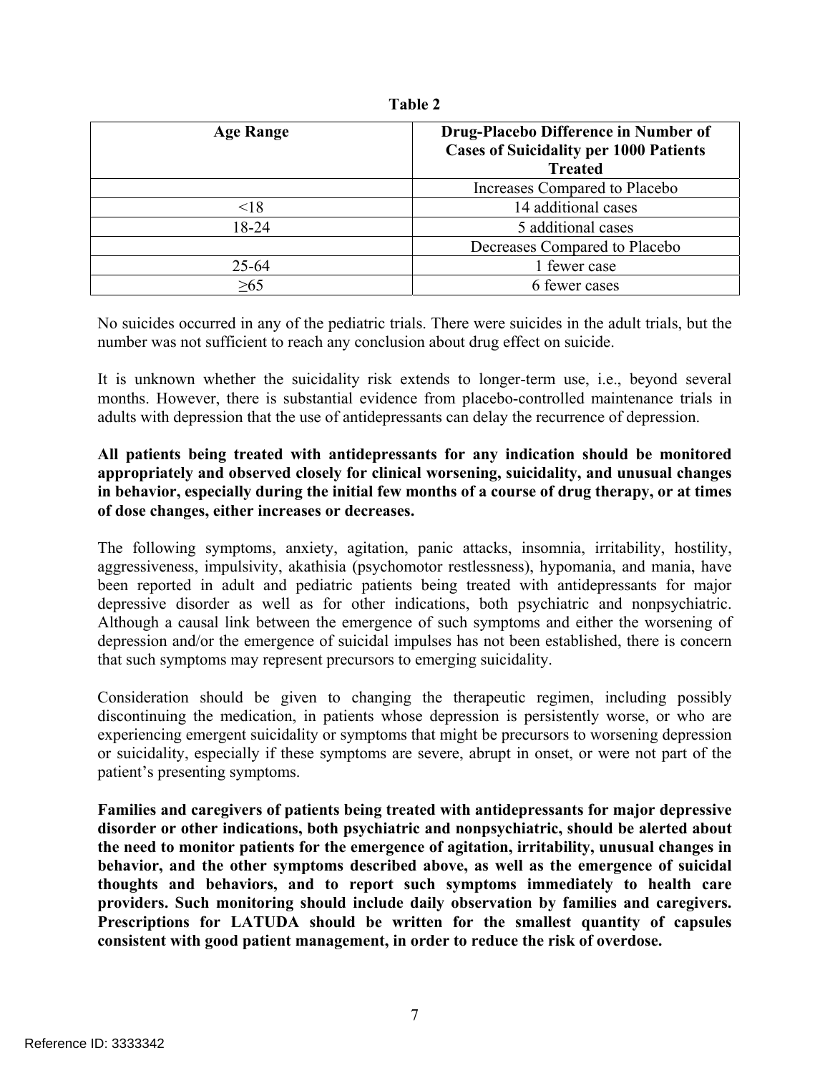| <b>Age Range</b> | Drug-Placebo Difference in Number of<br><b>Cases of Suicidality per 1000 Patients</b><br><b>Treated</b> |  |  |
|------------------|---------------------------------------------------------------------------------------------------------|--|--|
|                  | Increases Compared to Placebo                                                                           |  |  |
| < 18             | 14 additional cases                                                                                     |  |  |
| 18-24            | 5 additional cases                                                                                      |  |  |
|                  | Decreases Compared to Placebo                                                                           |  |  |
| $25 - 64$        | 1 fewer case                                                                                            |  |  |
| >65              | 6 fewer cases                                                                                           |  |  |

**Table 2** 

No suicides occurred in any of the pediatric trials. There were suicides in the adult trials, but the number was not sufficient to reach any conclusion about drug effect on suicide.

It is unknown whether the suicidality risk extends to longer-term use, i.e., beyond several months. However, there is substantial evidence from placebo-controlled maintenance trials in adults with depression that the use of antidepressants can delay the recurrence of depression.

#### **All patients being treated with antidepressants for any indication should be monitored appropriately and observed closely for clinical worsening, suicidality, and unusual changes in behavior, especially during the initial few months of a course of drug therapy, or at times of dose changes, either increases or decreases.**

The following symptoms, anxiety, agitation, panic attacks, insomnia, irritability, hostility, aggressiveness, impulsivity, akathisia (psychomotor restlessness), hypomania, and mania, have been reported in adult and pediatric patients being treated with antidepressants for major depressive disorder as well as for other indications, both psychiatric and nonpsychiatric. Although a causal link between the emergence of such symptoms and either the worsening of depression and/or the emergence of suicidal impulses has not been established, there is concern that such symptoms may represent precursors to emerging suicidality.

Consideration should be given to changing the therapeutic regimen, including possibly discontinuing the medication, in patients whose depression is persistently worse, or who are experiencing emergent suicidality or symptoms that might be precursors to worsening depression or suicidality, especially if these symptoms are severe, abrupt in onset, or were not part of the patient's presenting symptoms.

**Families and caregivers of patients being treated with antidepressants for major depressive disorder or other indications, both psychiatric and nonpsychiatric, should be alerted about the need to monitor patients for the emergence of agitation, irritability, unusual changes in behavior, and the other symptoms described above, as well as the emergence of suicidal thoughts and behaviors, and to report such symptoms immediately to health care providers. Such monitoring should include daily observation by families and caregivers. Prescriptions for LATUDA should be written for the smallest quantity of capsules consistent with good patient management, in order to reduce the risk of overdose.**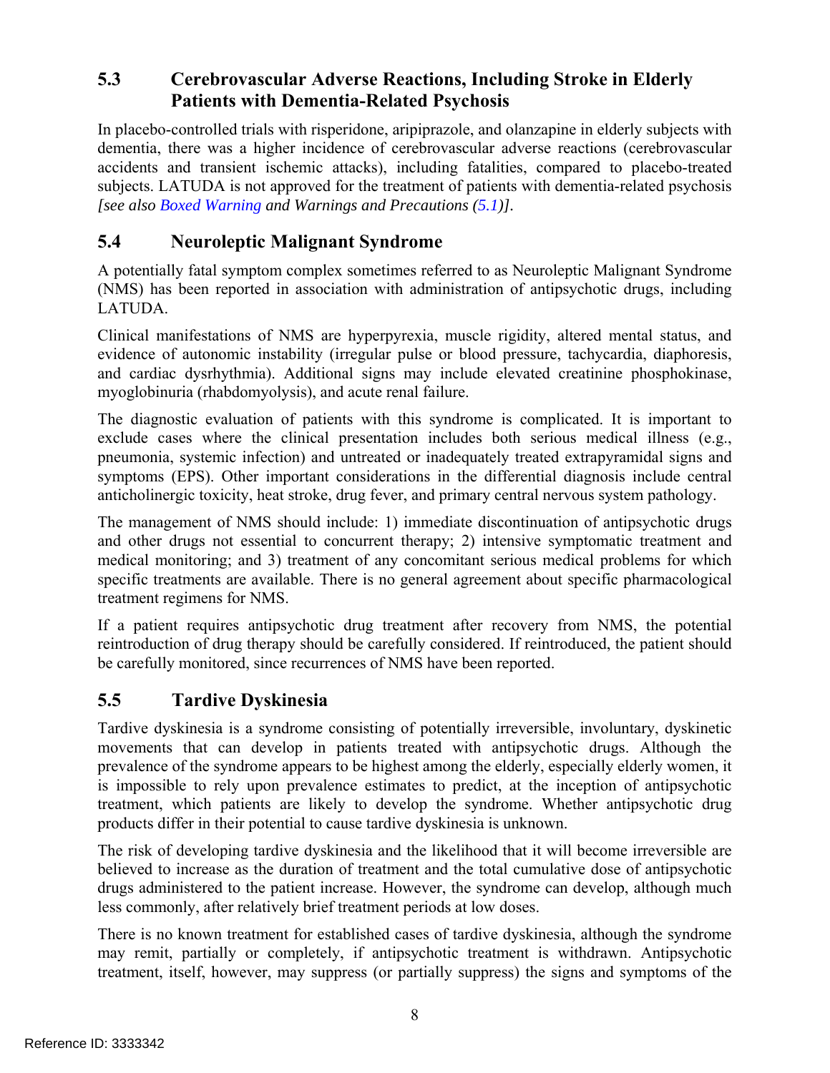# **5.3 Cerebrovascular Adverse Reactions, Including Stroke in Elderly Patients with Dementia-Related Psychosis**

In placebo-controlled trials with risperidone, aripiprazole, and olanzapine in elderly subjects with dementia, there was a higher incidence of cerebrovascular adverse reactions (cerebrovascular accidents and transient ischemic attacks), including fatalities, compared to placebo-treated subjects. LATUDA is not approved for the treatment of patients with dementia-related psychosis *[see also Boxed Warning and Warnings and Precautions (5.1)].* 

#### **5.4 Neuroleptic Malignant Syndrome**

A potentially fatal symptom complex sometimes referred to as Neuroleptic Malignant Syndrome (NMS) has been reported in association with administration of antipsychotic drugs, including LATUDA.

Clinical manifestations of NMS are hyperpyrexia, muscle rigidity, altered mental status, and evidence of autonomic instability (irregular pulse or blood pressure, tachycardia, diaphoresis, and cardiac dysrhythmia). Additional signs may include elevated creatinine phosphokinase, myoglobinuria (rhabdomyolysis), and acute renal failure.

The diagnostic evaluation of patients with this syndrome is complicated. It is important to exclude cases where the clinical presentation includes both serious medical illness (e.g., pneumonia, systemic infection) and untreated or inadequately treated extrapyramidal signs and symptoms (EPS). Other important considerations in the differential diagnosis include central anticholinergic toxicity, heat stroke, drug fever, and primary central nervous system pathology.

The management of NMS should include: 1) immediate discontinuation of antipsychotic drugs and other drugs not essential to concurrent therapy; 2) intensive symptomatic treatment and medical monitoring; and 3) treatment of any concomitant serious medical problems for which specific treatments are available. There is no general agreement about specific pharmacological treatment regimens for NMS.

If a patient requires antipsychotic drug treatment after recovery from NMS, the potential reintroduction of drug therapy should be carefully considered. If reintroduced, the patient should be carefully monitored, since recurrences of NMS have been reported.

# **5.5 Tardive Dyskinesia**

Tardive dyskinesia is a syndrome consisting of potentially irreversible, involuntary, dyskinetic movements that can develop in patients treated with antipsychotic drugs. Although the prevalence of the syndrome appears to be highest among the elderly, especially elderly women, it is impossible to rely upon prevalence estimates to predict, at the inception of antipsychotic treatment, which patients are likely to develop the syndrome. Whether antipsychotic drug products differ in their potential to cause tardive dyskinesia is unknown.

The risk of developing tardive dyskinesia and the likelihood that it will become irreversible are believed to increase as the duration of treatment and the total cumulative dose of antipsychotic drugs administered to the patient increase. However, the syndrome can develop, although much less commonly, after relatively brief treatment periods at low doses.

There is no known treatment for established cases of tardive dyskinesia, although the syndrome may remit, partially or completely, if antipsychotic treatment is withdrawn. Antipsychotic treatment, itself, however, may suppress (or partially suppress) the signs and symptoms of the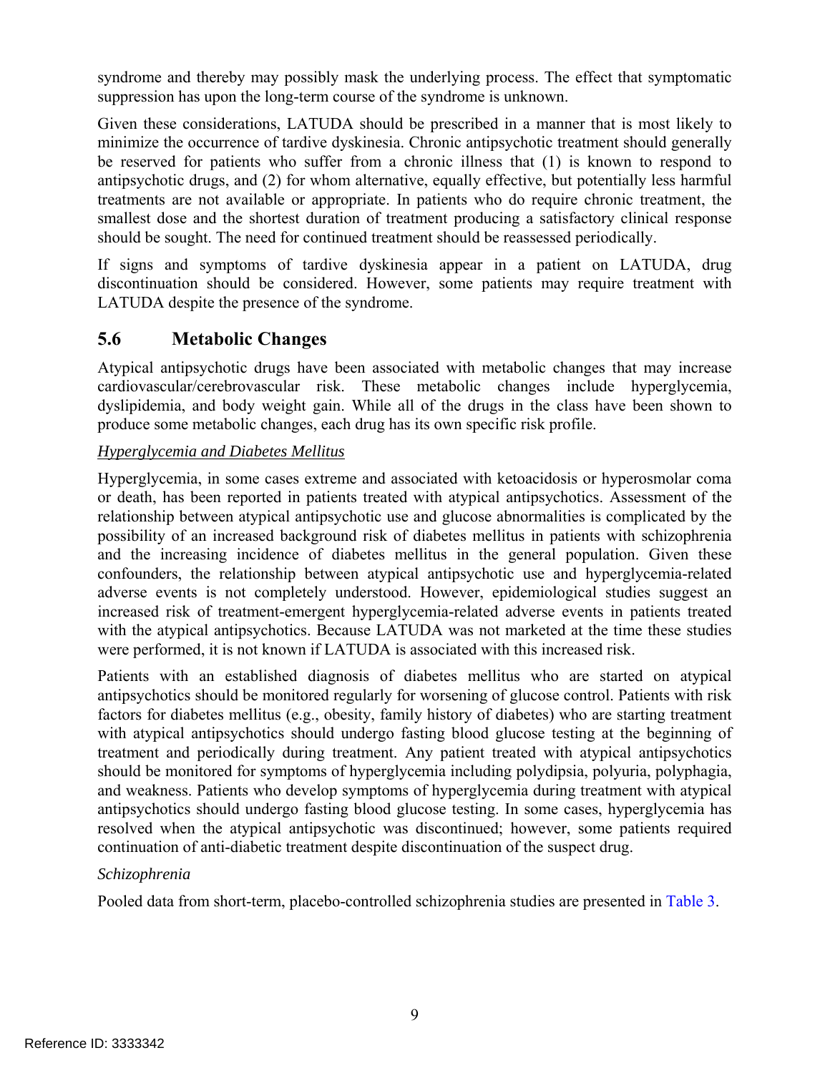syndrome and thereby may possibly mask the underlying process. The effect that symptomatic suppression has upon the long-term course of the syndrome is unknown.

Given these considerations, LATUDA should be prescribed in a manner that is most likely to minimize the occurrence of tardive dyskinesia. Chronic antipsychotic treatment should generally be reserved for patients who suffer from a chronic illness that (1) is known to respond to antipsychotic drugs, and (2) for whom alternative, equally effective, but potentially less harmful treatments are not available or appropriate. In patients who do require chronic treatment, the smallest dose and the shortest duration of treatment producing a satisfactory clinical response should be sought. The need for continued treatment should be reassessed periodically.

If signs and symptoms of tardive dyskinesia appear in a patient on LATUDA, drug discontinuation should be considered. However, some patients may require treatment with LATUDA despite the presence of the syndrome.

#### **5.6 Metabolic Changes**

Atypical antipsychotic drugs have been associated with metabolic changes that may increase cardiovascular/cerebrovascular risk. These metabolic changes include hyperglycemia, dyslipidemia, and body weight gain. While all of the drugs in the class have been shown to produce some metabolic changes, each drug has its own specific risk profile.

#### *Hyperglycemia and Diabetes Mellitus*

Hyperglycemia, in some cases extreme and associated with ketoacidosis or hyperosmolar coma or death, has been reported in patients treated with atypical antipsychotics. Assessment of the relationship between atypical antipsychotic use and glucose abnormalities is complicated by the possibility of an increased background risk of diabetes mellitus in patients with schizophrenia and the increasing incidence of diabetes mellitus in the general population. Given these confounders, the relationship between atypical antipsychotic use and hyperglycemia-related adverse events is not completely understood. However, epidemiological studies suggest an increased risk of treatment-emergent hyperglycemia-related adverse events in patients treated with the atypical antipsychotics. Because LATUDA was not marketed at the time these studies were performed, it is not known if LATUDA is associated with this increased risk.

Patients with an established diagnosis of diabetes mellitus who are started on atypical antipsychotics should be monitored regularly for worsening of glucose control. Patients with risk factors for diabetes mellitus (e.g., obesity, family history of diabetes) who are starting treatment with atypical antipsychotics should undergo fasting blood glucose testing at the beginning of treatment and periodically during treatment. Any patient treated with atypical antipsychotics should be monitored for symptoms of hyperglycemia including polydipsia, polyuria, polyphagia, and weakness. Patients who develop symptoms of hyperglycemia during treatment with atypical antipsychotics should undergo fasting blood glucose testing. In some cases, hyperglycemia has resolved when the atypical antipsychotic was discontinued; however, some patients required continuation of anti-diabetic treatment despite discontinuation of the suspect drug.

#### *Schizophrenia*

Pooled data from short-term, placebo-controlled schizophrenia studies are presented in Table 3.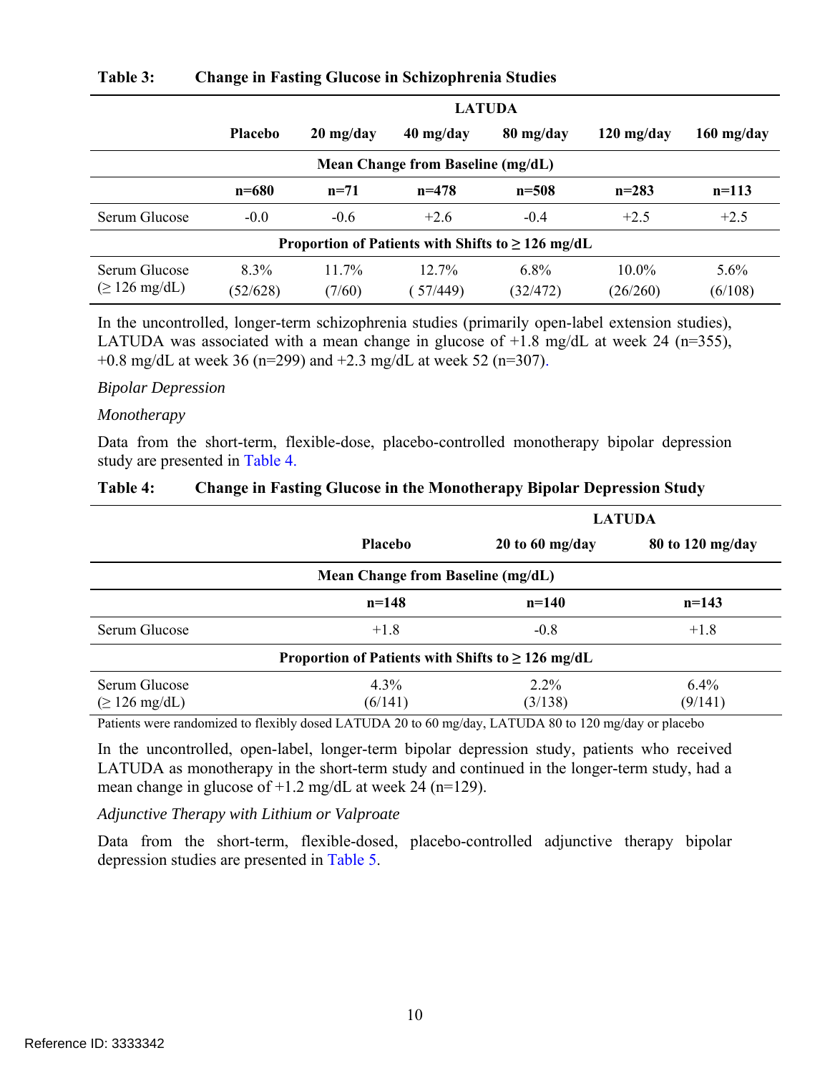|                            | <b>LATUDA</b>  |             |                                          |                                                        |              |            |
|----------------------------|----------------|-------------|------------------------------------------|--------------------------------------------------------|--------------|------------|
|                            | <b>Placebo</b> | $20$ mg/day | $40 \text{ mg/day}$                      | 80 mg/day                                              | $120$ mg/day | 160 mg/day |
|                            |                |             | <b>Mean Change from Baseline (mg/dL)</b> |                                                        |              |            |
|                            | $n = 680$      | $n=71$      | $n = 478$                                | $n = 508$                                              | $n = 283$    | $n=113$    |
| Serum Glucose              | $-0.0$         | $-0.6$      | $+2.6$                                   | $-0.4$                                                 | $+2.5$       | $+2.5$     |
|                            |                |             |                                          | Proportion of Patients with Shifts to $\geq 126$ mg/dL |              |            |
| Serum Glucose              | $8.3\%$        | $11.7\%$    | 12.7%                                    | $6.8\%$                                                | $10.0\%$     | 5.6%       |
| $(\geq 126 \text{ mg/dL})$ | (52/628)       | (7/60)      | 57/449                                   | (32/472)                                               | (26/260)     | (6/108)    |

#### **Table 3: Change in Fasting Glucose in Schizophrenia Studies**

In the uncontrolled, longer-term schizophrenia studies (primarily open-label extension studies), LATUDA was associated with a mean change in glucose of  $+1.8$  mg/dL at week 24 (n=355),  $+0.8$  mg/dL at week 36 (n=299) and  $+2.3$  mg/dL at week 52 (n=307).

#### *Bipolar Depression*

#### *Monotherapy*

Data from the short-term, flexible-dose, placebo-controlled monotherapy bipolar depression study are presented in Table 4.

|                                             |                                                        | <b>LATUDA</b>      |                  |  |  |
|---------------------------------------------|--------------------------------------------------------|--------------------|------------------|--|--|
|                                             | <b>Placebo</b>                                         | $20$ to 60 mg/day  | 80 to 120 mg/day |  |  |
|                                             | <b>Mean Change from Baseline (mg/dL)</b>               |                    |                  |  |  |
|                                             | $n=148$                                                | $n=140$            | $n=143$          |  |  |
| Serum Glucose                               | $+1.8$                                                 | $-0.8$             | $+1.8$           |  |  |
|                                             | Proportion of Patients with Shifts to $\geq 126$ mg/dL |                    |                  |  |  |
| Serum Glucose<br>$(\geq 126 \text{ mg/dL})$ | 4.3%<br>(6/141)                                        | $2.2\%$<br>(3/138) | 6.4%<br>(9/141)  |  |  |

#### **Table 4: Change in Fasting Glucose in the Monotherapy Bipolar Depression Study**

Patients were randomized to flexibly dosed LATUDA 20 to 60 mg/day, LATUDA 80 to 120 mg/day or placebo

 mean change in glucose of +1.2 mg/dL at week 24 (n=129). In the uncontrolled, open-label, longer-term bipolar depression study, patients who received LATUDA as monotherapy in the short-term study and continued in the longer-term study, had a

*Adjunctive Therapy with Lithium or Valproate* 

Data from the short-term, flexible-dosed, placebo-controlled adjunctive therapy bipolar depression studies are presented in Table 5.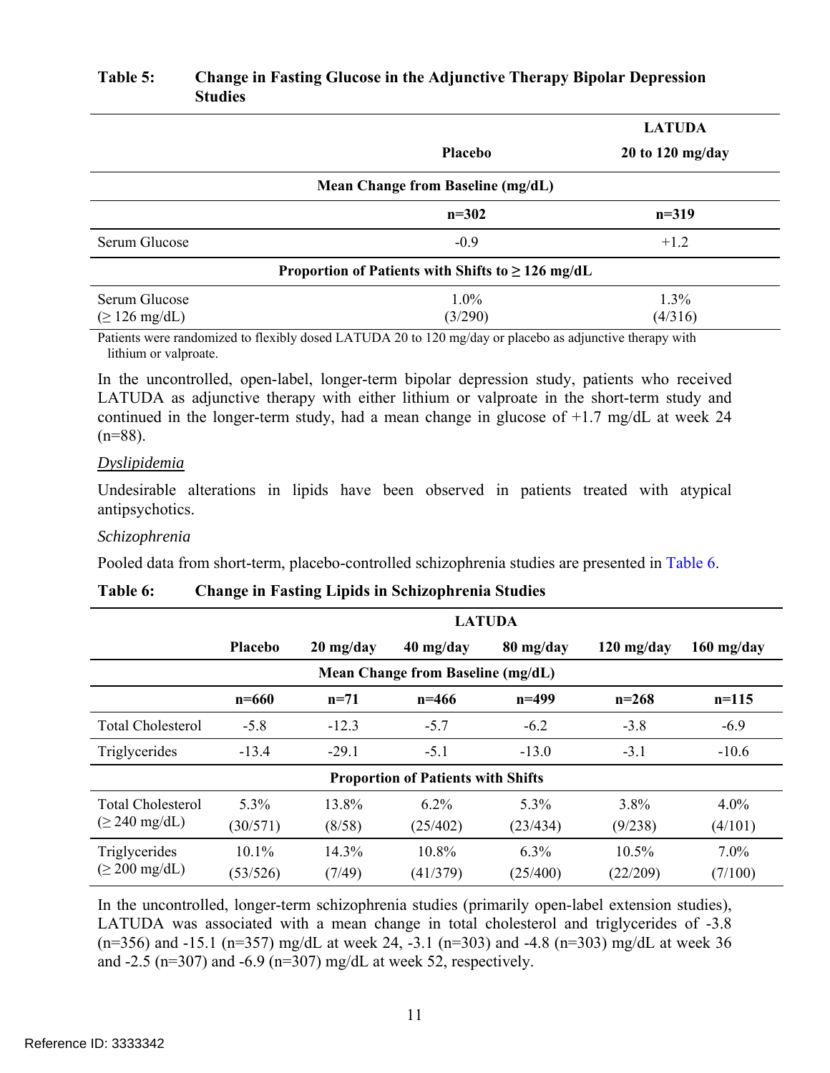#### **Table 5: Change in Fasting Glucose in the Adjunctive Therapy Bipolar Depression Studies**

|                                             | <b>Placebo</b>                                         | <b>LATUDA</b><br>$20$ to $120$ mg/day |
|---------------------------------------------|--------------------------------------------------------|---------------------------------------|
|                                             | <b>Mean Change from Baseline (mg/dL)</b>               |                                       |
|                                             | $n=302$                                                | $n=319$                               |
| Serum Glucose                               | $-0.9$                                                 | $+1.2$                                |
|                                             | Proportion of Patients with Shifts to $\geq$ 126 mg/dL |                                       |
| Serum Glucose<br>$(\geq 126 \text{ mg/dL})$ | $1.0\%$<br>(3/290)                                     | $1.3\%$<br>(4/316)                    |

 Patients were randomized to flexibly dosed LATUDA 20 to 120 mg/day or placebo as adjunctive therapy with lithium or valproate.

In the uncontrolled, open-label, longer-term bipolar depression study, patients who received LATUDA as adjunctive therapy with either lithium or valproate in the short-term study and continued in the longer-term study, had a mean change in glucose of +1.7 mg/dL at week 24  $(n=88)$ .

#### *Dyslipidemia*

Undesirable alterations in lipids have been observed in patients treated with atypical antipsychotics.

#### *Schizophrenia*

Pooled data from short-term, placebo-controlled schizophrenia studies are presented in Table 6.

|                                                        | <b>LATUDA</b>        |                 |                                           |                     |                      |                    |
|--------------------------------------------------------|----------------------|-----------------|-------------------------------------------|---------------------|----------------------|--------------------|
|                                                        | <b>Placebo</b>       | $20$ mg/day     | $40$ mg/day                               | 80 mg/day           | $120$ mg/day         | $160$ mg/day       |
|                                                        |                      |                 | Mean Change from Baseline (mg/dL)         |                     |                      |                    |
|                                                        | $n = 660$            | $n=71$          | $n = 466$                                 | $n=499$             | $n=268$              | $n=115$            |
| <b>Total Cholesterol</b>                               | $-5.8$               | $-12.3$         | $-5.7$                                    | $-6.2$              | $-3.8$               | $-6.9$             |
| Triglycerides                                          | $-13.4$              | $-29.1$         | $-5.1$                                    | $-13.0$             | $-3.1$               | $-10.6$            |
|                                                        |                      |                 | <b>Proportion of Patients with Shifts</b> |                     |                      |                    |
| <b>Total Cholesterol</b><br>$(\geq 240 \text{ mg/dL})$ | $5.3\%$<br>(30/571)  | 13.8%<br>(8/58) | $6.2\%$<br>(25/402)                       | 5.3%<br>(23/434)    | 3.8%<br>(9/238)      | $4.0\%$<br>(4/101) |
| Triglycerides<br>$(\geq 200 \text{ mg/dL})$            | $10.1\%$<br>(53/526) | 14.3%<br>(7/49) | 10.8%<br>(41/379)                         | $6.3\%$<br>(25/400) | $10.5\%$<br>(22/209) | $7.0\%$<br>(7/100) |

#### **Table 6: Change in Fasting Lipids in Schizophrenia Studies**

In the uncontrolled, longer-term schizophrenia studies (primarily open-label extension studies), LATUDA was associated with a mean change in total cholesterol and triglycerides of -3.8 (n=356) and -15.1 (n=357) mg/dL at week 24, -3.1 (n=303) and -4.8 (n=303) mg/dL at week 36 and  $-2.5$  (n=307) and  $-6.9$  (n=307) mg/dL at week 52, respectively.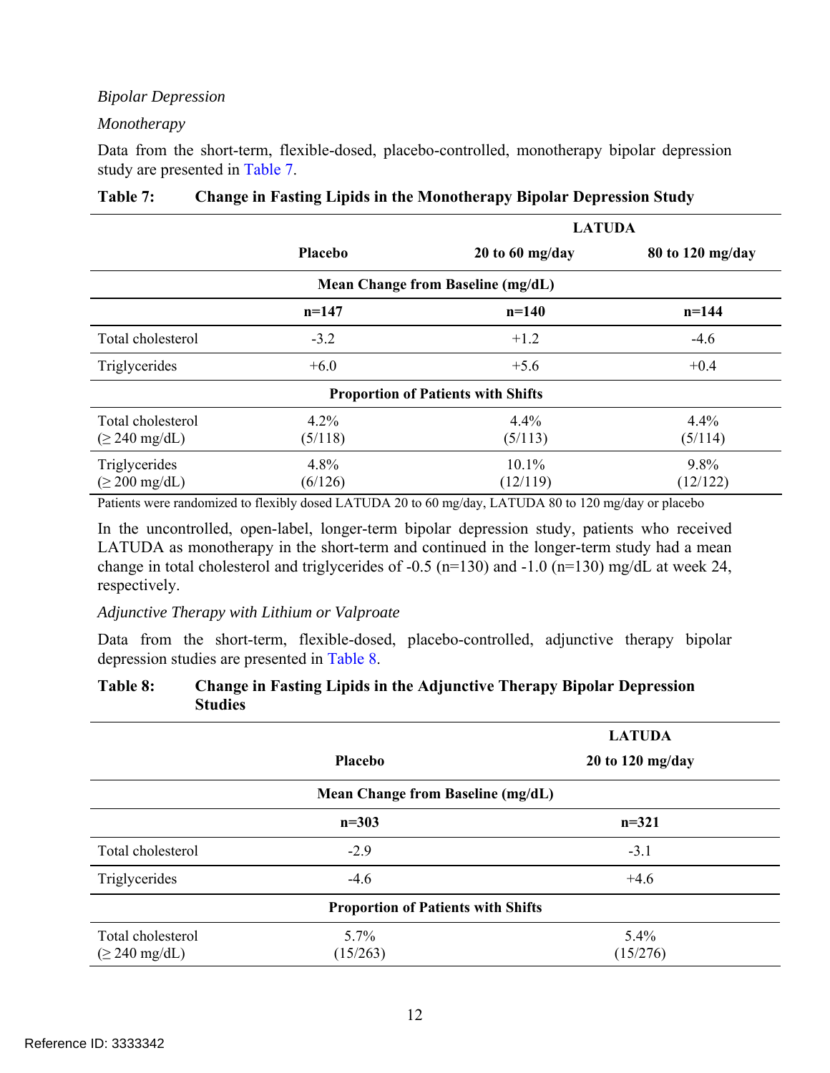#### *Bipolar Depression*

#### *Monotherapy*

Data from the short-term, flexible-dosed, placebo-controlled, monotherapy bipolar depression study are presented in Table 7.

|                                                 |                 | <b>LATUDA</b>                             |                     |
|-------------------------------------------------|-----------------|-------------------------------------------|---------------------|
|                                                 | <b>Placebo</b>  | $20$ to $60$ mg/day                       | 80 to 120 mg/day    |
|                                                 |                 | Mean Change from Baseline (mg/dL)         |                     |
|                                                 | $n=147$         | $n=140$                                   | $n=144$             |
| Total cholesterol                               | $-3.2$          | $+1.2$                                    | $-4.6$              |
| Triglycerides                                   | $+6.0$          | $+5.6$                                    | $+0.4$              |
|                                                 |                 | <b>Proportion of Patients with Shifts</b> |                     |
| Total cholesterol<br>$(\geq 240 \text{ mg/dL})$ | 4.2%<br>(5/118) | 4.4%<br>(5/113)                           | 4.4%<br>(5/114)     |
| Triglycerides<br>$(\geq 200 \text{ mg/dL})$     | 4.8%<br>(6/126) | $10.1\%$<br>(12/119)                      | $9.8\%$<br>(12/122) |

#### **Table 7: Change in Fasting Lipids in the Monotherapy Bipolar Depression Study**

Patients were randomized to flexibly dosed LATUDA 20 to 60 mg/day, LATUDA 80 to 120 mg/day or placebo

In the uncontrolled, open-label, longer-term bipolar depression study, patients who received LATUDA as monotherapy in the short-term and continued in the longer-term study had a mean change in total cholesterol and triglycerides of -0.5 (n=130) and -1.0 (n=130) mg/dL at week 24, respectively.

#### *Adjunctive Therapy with Lithium or Valproate*

Data from the short-term, flexible-dosed, placebo-controlled, adjunctive therapy bipolar depression studies are presented in Table 8.

#### **Table 8: Change in Fasting Lipids in the Adjunctive Therapy Bipolar Depression Studies**

|                                                 |                                           | <b>LATUDA</b>        |
|-------------------------------------------------|-------------------------------------------|----------------------|
| <b>Placebo</b>                                  |                                           | $20$ to $120$ mg/day |
|                                                 | <b>Mean Change from Baseline (mg/dL)</b>  |                      |
|                                                 | $n = 303$                                 | $n = 321$            |
| Total cholesterol                               | $-2.9$                                    | $-3.1$               |
| Triglycerides                                   | $-4.6$                                    | $+4.6$               |
|                                                 | <b>Proportion of Patients with Shifts</b> |                      |
| Total cholesterol<br>$(\geq 240 \text{ mg/dL})$ | $5.7\%$<br>(15/263)                       | $5.4\%$<br>(15/276)  |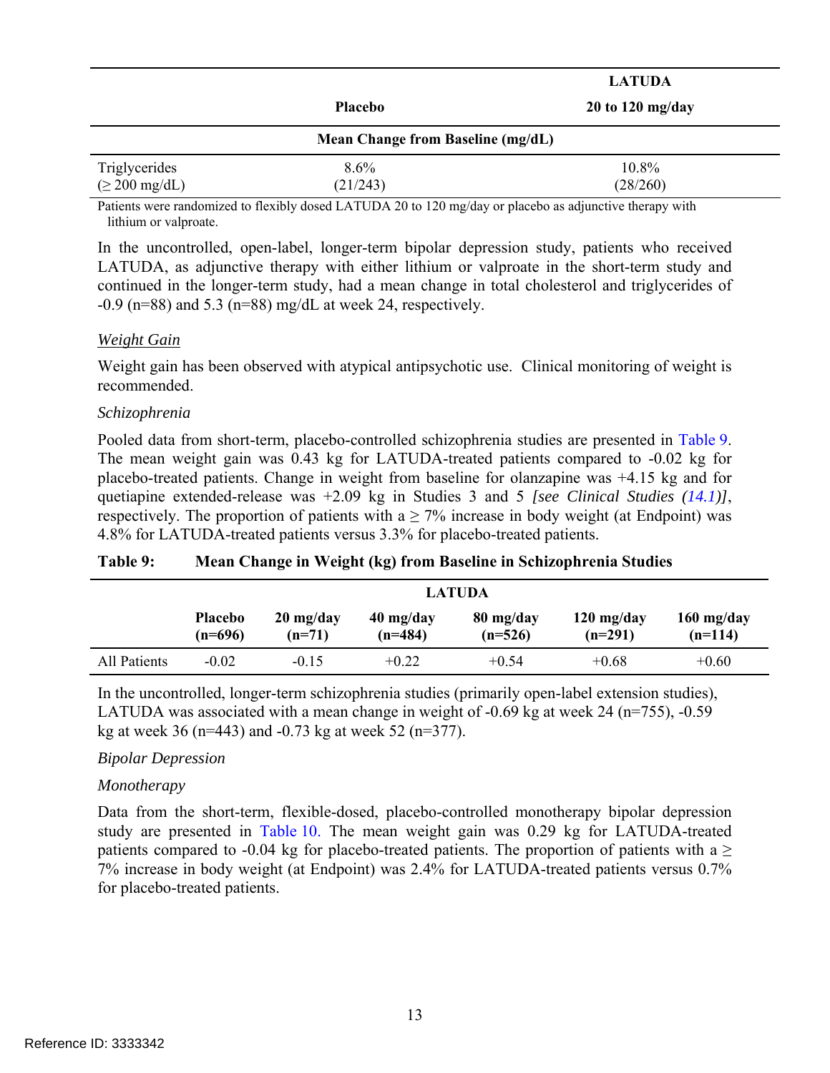|                                             |                                          | <b>LATUDA</b>        |
|---------------------------------------------|------------------------------------------|----------------------|
|                                             | <b>Placebo</b>                           | $20$ to $120$ mg/day |
|                                             | <b>Mean Change from Baseline (mg/dL)</b> |                      |
| Triglycerides<br>$(\geq 200 \text{ mg/dL})$ | $8.6\%$<br>(21/243)                      | 10.8%<br>(28/260)    |

 Patients were randomized to flexibly dosed LATUDA 20 to 120 mg/day or placebo as adjunctive therapy with lithium or valproate.

 $-0.9$  (n=88) and 5.3 (n=88) mg/dL at week 24, respectively. In the uncontrolled, open-label, longer-term bipolar depression study, patients who received LATUDA, as adjunctive therapy with either lithium or valproate in the short-term study and continued in the longer-term study, had a mean change in total cholesterol and triglycerides of

#### *Weight Gain*

Weight gain has been observed with atypical antipsychotic use. Clinical monitoring of weight is recommended.

#### *Schizophrenia*

Pooled data from short-term, placebo-controlled schizophrenia studies are presented in Table 9. The mean weight gain was 0.43 kg for LATUDA-treated patients compared to -0.02 kg for placebo-treated patients. Change in weight from baseline for olanzapine was +4.15 kg and for quetiapine extended-release was +2.09 kg in Studies 3 and 5 *[see Clinical Studies (14.1)]*, respectively. The proportion of patients with  $a \ge 7\%$  increase in body weight (at Endpoint) was 4.8% for LATUDA-treated patients versus 3.3% for placebo-treated patients.

| <b>LATUDA</b> |                      |                                 |                          |                        |                           |                           |
|---------------|----------------------|---------------------------------|--------------------------|------------------------|---------------------------|---------------------------|
|               | Placebo<br>$(n=696)$ | $20 \text{ mg/day}$<br>$(n=71)$ | $40$ mg/day<br>$(n=484)$ | 80 mg/day<br>$(n=526)$ | $120$ mg/day<br>$(n=291)$ | $160$ mg/day<br>$(n=114)$ |
| All Patients  | $-0.02$              | $-0.15$                         | $+0.22$                  | $+0.54$                | $+0.68$                   | $+0.60$                   |

**Table 9: Mean Change in Weight (kg) from Baseline in Schizophrenia Studies** 

In the uncontrolled, longer-term schizophrenia studies (primarily open-label extension studies), LATUDA was associated with a mean change in weight of -0.69 kg at week 24 (n=755), -0.59 kg at week 36 (n=443) and -0.73 kg at week 52 (n=377).

#### *Bipolar Depression*

#### *Monotherapy*

Data from the short-term, flexible-dosed, placebo-controlled monotherapy bipolar depression study are presented in Table 10. The mean weight gain was 0.29 kg for LATUDA-treated patients compared to -0.04 kg for placebo-treated patients. The proportion of patients with a  $\geq$ 7% increase in body weight (at Endpoint) was 2.4% for LATUDA-treated patients versus 0.7% for placebo-treated patients.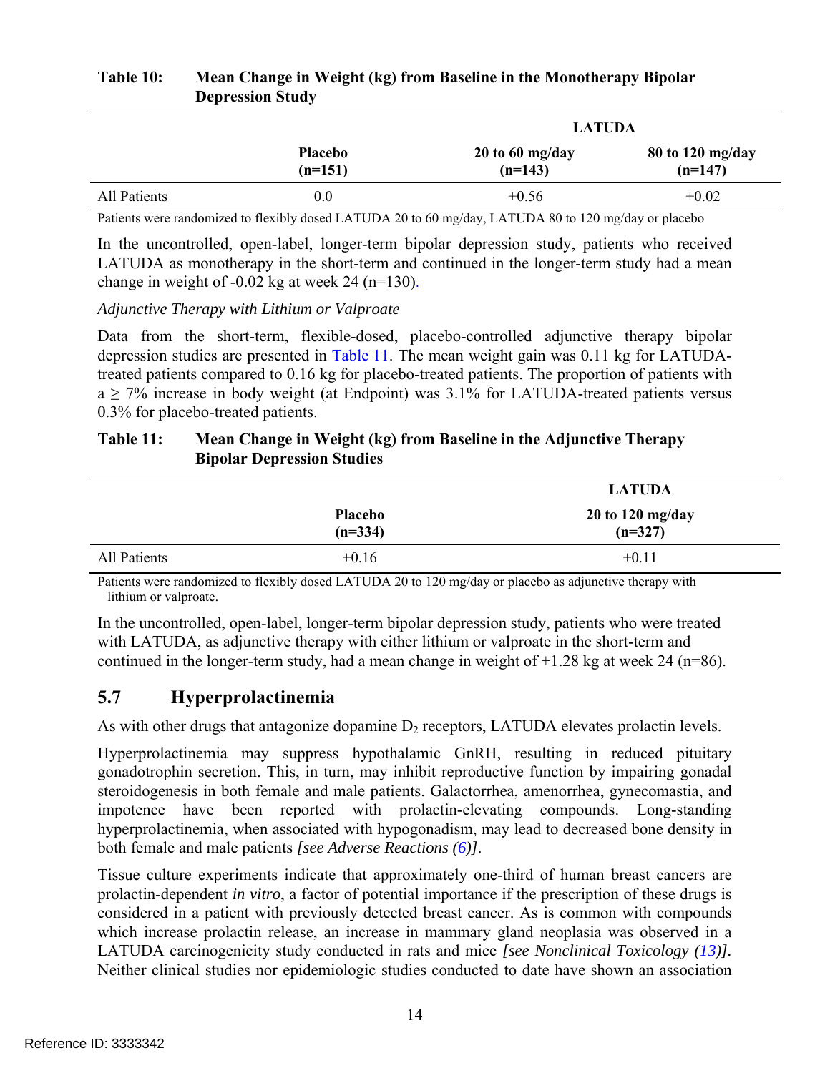#### **Table 10: Mean Change in Weight (kg) from Baseline in the Monotherapy Bipolar Depression Study**

|              |                             | <b>LATUDA</b>                  |                                 |
|--------------|-----------------------------|--------------------------------|---------------------------------|
|              | <b>Placebo</b><br>$(n=151)$ | $20$ to 60 mg/day<br>$(n=143)$ | $80$ to 120 mg/day<br>$(n=147)$ |
| All Patients | $0.0\,$                     | $+0.56$                        | $+0.02$                         |

Patients were randomized to flexibly dosed LATUDA 20 to 60 mg/day, LATUDA 80 to 120 mg/day or placebo

change in weight of  $-0.02$  kg at week 24 (n=130). In the uncontrolled, open-label, longer-term bipolar depression study, patients who received LATUDA as monotherapy in the short-term and continued in the longer-term study had a mean

#### *Adjunctive Therapy with Lithium or Valproate*

Data from the short-term, flexible-dosed, placebo-controlled adjunctive therapy bipolar depression studies are presented in Table 11. The mean weight gain was 0.11 kg for LATUDAtreated patients compared to 0.16 kg for placebo-treated patients. The proportion of patients with  $a \ge 7\%$  increase in body weight (at Endpoint) was 3.1% for LATUDA-treated patients versus 0.3% for placebo-treated patients.

#### **Table 11: Mean Change in Weight (kg) from Baseline in the Adjunctive Therapy Bipolar Depression Studies**

|              |                             | <b>LATUDA</b>                     |
|--------------|-----------------------------|-----------------------------------|
|              | <b>Placebo</b><br>$(n=334)$ | $20$ to $120$ mg/day<br>$(n=327)$ |
| All Patients | $+0.16$                     | $+0.11$                           |

 Patients were randomized to flexibly dosed LATUDA 20 to 120 mg/day or placebo as adjunctive therapy with lithium or valproate.

In the uncontrolled, open-label, longer-term bipolar depression study, patients who were treated with LATUDA, as adjunctive therapy with either lithium or valproate in the short-term and continued in the longer-term study, had a mean change in weight of  $+1.28$  kg at week 24 (n=86).

#### **5.7 Hyperprolactinemia**

As with other drugs that antagonize dopamine  $D_2$  receptors, LATUDA elevates prolactin levels.

Hyperprolactinemia may suppress hypothalamic GnRH, resulting in reduced pituitary gonadotrophin secretion. This, in turn, may inhibit reproductive function by impairing gonadal steroidogenesis in both female and male patients. Galactorrhea, amenorrhea, gynecomastia, and impotence have been reported with prolactin-elevating compounds. Long-standing hyperprolactinemia, when associated with hypogonadism, may lead to decreased bone density in both female and male patients *[see Adverse Reactions (6)]*.

 LATUDA carcinogenicity study conducted in rats and mice *[see Nonclinical Toxicology (13)].* Tissue culture experiments indicate that approximately one-third of human breast cancers are prolactin-dependent *in vitro*, a factor of potential importance if the prescription of these drugs is considered in a patient with previously detected breast cancer. As is common with compounds which increase prolactin release, an increase in mammary gland neoplasia was observed in a Neither clinical studies nor epidemiologic studies conducted to date have shown an association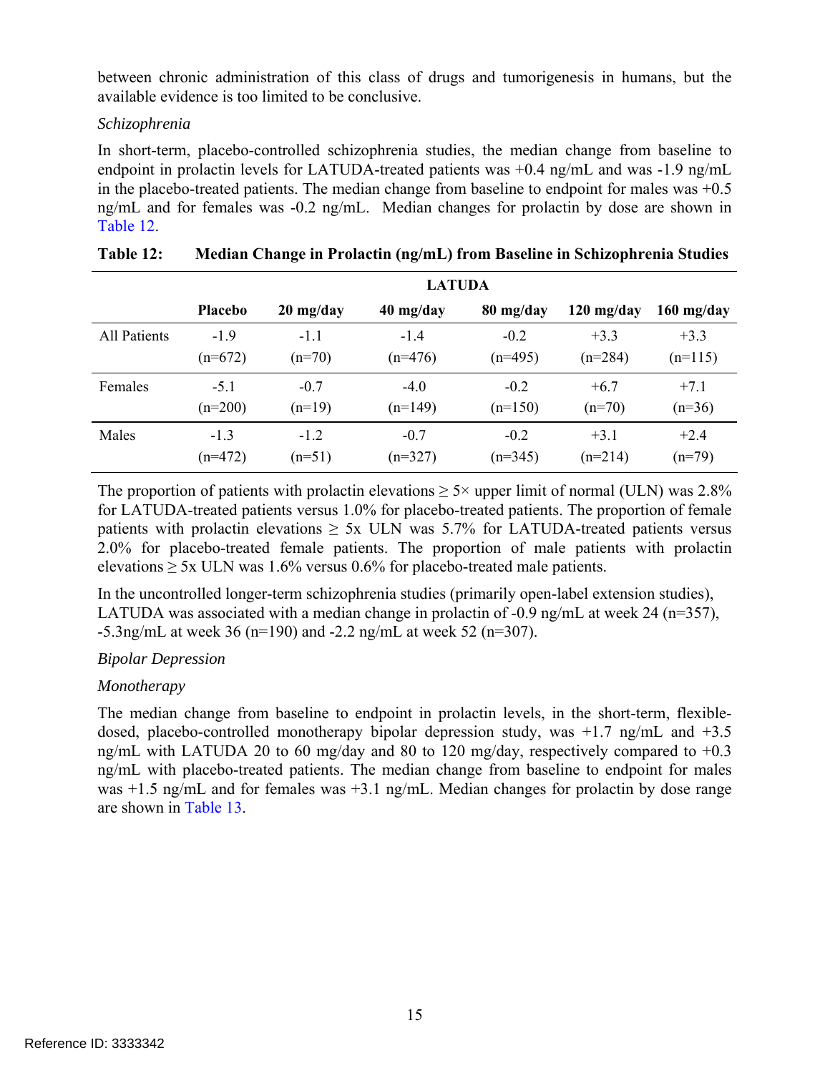between chronic administration of this class of drugs and tumorigenesis in humans, but the available evidence is too limited to be conclusive.

#### *Schizophrenia*

In short-term, placebo-controlled schizophrenia studies, the median change from baseline to endpoint in prolactin levels for LATUDA-treated patients was +0.4 ng/mL and was -1.9 ng/mL in the placebo-treated patients. The median change from baseline to endpoint for males was  $+0.5$ ng/mL and for females was -0.2 ng/mL. Median changes for prolactin by dose are shown in Table 12.

|                     | <b>LATUDA</b>  |           |           |           |            |              |
|---------------------|----------------|-----------|-----------|-----------|------------|--------------|
|                     | <b>Placebo</b> | 20 mg/day | 40 mg/day | 80 mg/day | 120 mg/day | $160$ mg/day |
| <b>All Patients</b> | $-1.9$         | $-1.1$    | $-1.4$    | $-0.2$    | $+3.3$     | $+3.3$       |
|                     | $(n=672)$      | $(n=70)$  | $(n=476)$ | $(n=495)$ | $(n=284)$  | $(n=115)$    |
| Females             | $-5.1$         | $-0.7$    | $-4.0$    | $-0.2$    | $+6.7$     | $+7.1$       |
|                     | $(n=200)$      | $(n=19)$  | $(n=149)$ | $(n=150)$ | $(n=70)$   | $(n=36)$     |
| Males               | $-1.3$         | $-1.2$    | $-0.7$    | $-0.2$    | $+3.1$     | $+2.4$       |
|                     | $(n=472)$      | $(n=51)$  | $(n=327)$ | $(n=345)$ | $(n=214)$  | $(n=79)$     |

#### **Table 12: Median Change in Prolactin (ng/mL) from Baseline in Schizophrenia Studies**

The proportion of patients with prolactin elevations  $\geq 5 \times$  upper limit of normal (ULN) was 2.8% for LATUDA-treated patients versus 1.0% for placebo-treated patients. The proportion of female patients with prolactin elevations  $\geq$  5x ULN was 5.7% for LATUDA-treated patients versus 2.0% for placebo-treated female patients. The proportion of male patients with prolactin elevations  $\geq$  5x ULN was 1.6% versus 0.6% for placebo-treated male patients.

In the uncontrolled longer-term schizophrenia studies (primarily open-label extension studies), LATUDA was associated with a median change in prolactin of -0.9 ng/mL at week 24 (n=357), -5.3ng/mL at week 36 (n=190) and -2.2 ng/mL at week 52 (n=307).

#### *Bipolar Depression*

#### *Monotherapy*

The median change from baseline to endpoint in prolactin levels, in the short-term, flexibledosed, placebo-controlled monotherapy bipolar depression study, was  $+1.7$  ng/mL and  $+3.5$ ng/mL with LATUDA 20 to 60 mg/day and 80 to 120 mg/day, respectively compared to  $+0.3$ ng/mL with placebo-treated patients. The median change from baseline to endpoint for males was  $+1.5$  ng/mL and for females was  $+3.1$  ng/mL. Median changes for prolactin by dose range are shown in Table 13.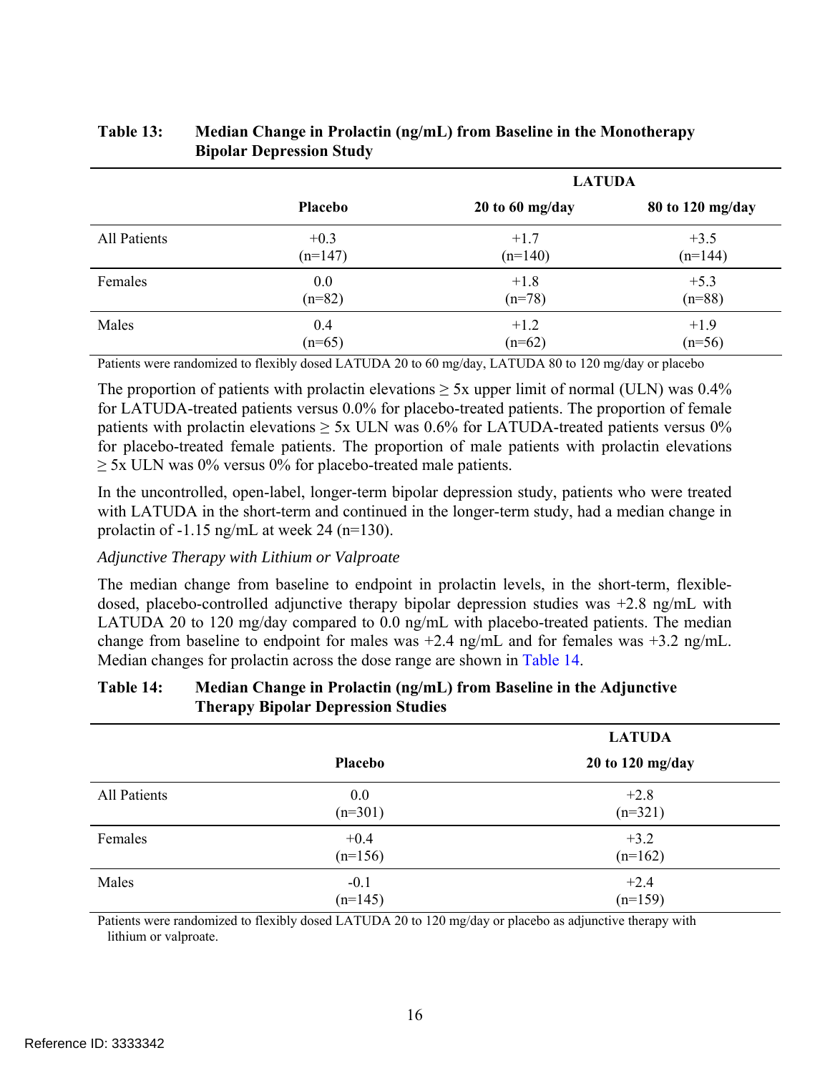|              |                | <b>LATUDA</b>       |                  |
|--------------|----------------|---------------------|------------------|
|              | <b>Placebo</b> | $20$ to $60$ mg/day | 80 to 120 mg/day |
| All Patients | $+0.3$         | $+1.7$              | $+3.5$           |
|              | $(n=147)$      | $(n=140)$           | $(n=144)$        |
| Females      | 0.0            | $+1.8$              | $+5.3$           |
|              | $(n=82)$       | $(n=78)$            | $(n=88)$         |
| Males        | 0.4            | $+1.2$              | $+1.9$           |
|              | $(n=65)$       | $(n=62)$            | $(n=56)$         |

#### **Table 13: Median Change in Prolactin (ng/mL) from Baseline in the Monotherapy Bipolar Depression Study**

Patients were randomized to flexibly dosed LATUDA 20 to 60 mg/day, LATUDA 80 to 120 mg/day or placebo

 for placebo-treated female patients. The proportion of male patients with prolactin elevations The proportion of patients with prolactin elevations  $> 5x$  upper limit of normal (ULN) was 0.4% for LATUDA-treated patients versus 0.0% for placebo-treated patients. The proportion of female patients with prolactin elevations  $\geq$  5x ULN was 0.6% for LATUDA-treated patients versus 0%  $\geq$  5x ULN was 0% versus 0% for placebo-treated male patients.

 prolactin of -1.15 ng/mL at week 24 (n=130). In the uncontrolled, open-label, longer-term bipolar depression study, patients who were treated with LATUDA in the short-term and continued in the longer-term study, had a median change in

#### *Adjunctive Therapy with Lithium or Valproate*

change from baseline to endpoint for males was  $+2.4$  ng/mL and for females was  $+3.2$  ng/mL.<br>Median changes for prolactin across the dose range are shown in Table 14. The median change from baseline to endpoint in prolactin levels, in the short-term, flexibledosed, placebo-controlled adjunctive therapy bipolar depression studies was +2.8 ng/mL with LATUDA 20 to 120 mg/day compared to 0.0 ng/mL with placebo-treated patients. The median

|              |                     | <b>LATUDA</b>        |
|--------------|---------------------|----------------------|
|              | <b>Placebo</b>      | $20$ to $120$ mg/day |
| All Patients | 0.0<br>$(n=301)$    | $+2.8$<br>$(n=321)$  |
| Females      | $+0.4$<br>$(n=156)$ | $+3.2$<br>$(n=162)$  |
| Males        | $-0.1$<br>$(n=145)$ | $+2.4$<br>$(n=159)$  |

#### **Table 14: Median Change in Prolactin (ng/mL) from Baseline in the Adjunctive Therapy Bipolar Depression Studies**

 Patients were randomized to flexibly dosed LATUDA 20 to 120 mg/day or placebo as adjunctive therapy with lithium or valproate.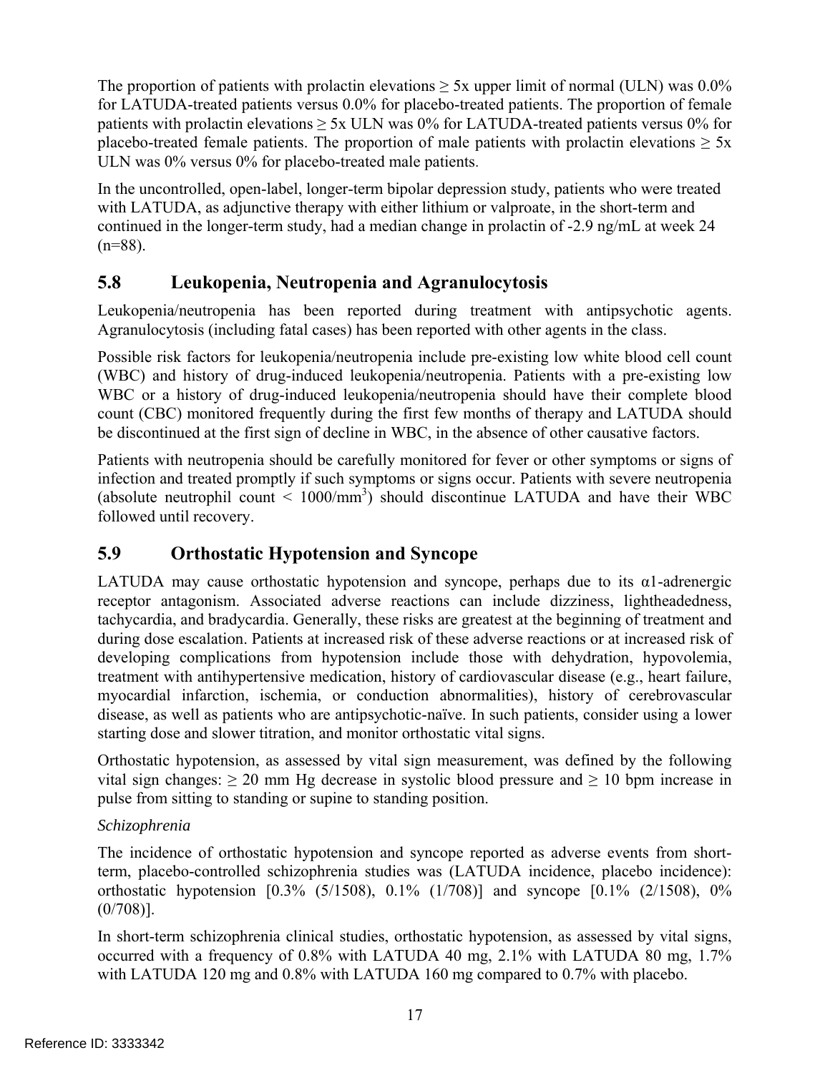The proportion of patients with prolactin elevations  $> 5x$  upper limit of normal (ULN) was 0.0% for LATUDA-treated patients versus 0.0% for placebo-treated patients. The proportion of female patients with prolactin elevations  $\geq 5x$  ULN was 0% for LATUDA-treated patients versus 0% for placebo-treated female patients. The proportion of male patients with prolactin elevations  $> 5x$ ULN was 0% versus 0% for placebo-treated male patients.

In the uncontrolled, open-label, longer-term bipolar depression study, patients who were treated with LATUDA, as adjunctive therapy with either lithium or valproate, in the short-term and continued in the longer-term study, had a median change in prolactin of -2.9 ng/mL at week 24  $(n=88)$ .

# **5.8 Leukopenia, Neutropenia and Agranulocytosis**

Leukopenia/neutropenia has been reported during treatment with antipsychotic agents. Agranulocytosis (including fatal cases) has been reported with other agents in the class.

Possible risk factors for leukopenia/neutropenia include pre-existing low white blood cell count (WBC) and history of drug-induced leukopenia/neutropenia. Patients with a pre-existing low WBC or a history of drug-induced leukopenia/neutropenia should have their complete blood count (CBC) monitored frequently during the first few months of therapy and LATUDA should be discontinued at the first sign of decline in WBC, in the absence of other causative factors.

Patients with neutropenia should be carefully monitored for fever or other symptoms or signs of infection and treated promptly if such symptoms or signs occur. Patients with severe neutropenia (absolute neutrophil count  $\leq 1000/\text{mm}^3$ ) should discontinue LATUDA and have their WBC followed until recovery.

# **5.9 Orthostatic Hypotension and Syncope**

LATUDA may cause orthostatic hypotension and syncope, perhaps due to its  $\alpha$ 1-adrenergic receptor antagonism. Associated adverse reactions can include dizziness, lightheadedness, tachycardia, and bradycardia. Generally, these risks are greatest at the beginning of treatment and during dose escalation. Patients at increased risk of these adverse reactions or at increased risk of developing complications from hypotension include those with dehydration, hypovolemia, treatment with antihypertensive medication, history of cardiovascular disease (e.g., heart failure, myocardial infarction, ischemia, or conduction abnormalities), history of cerebrovascular disease, as well as patients who are antipsychotic-naïve. In such patients, consider using a lower starting dose and slower titration, and monitor orthostatic vital signs.

Orthostatic hypotension, as assessed by vital sign measurement, was defined by the following vital sign changes:  $> 20$  mm Hg decrease in systolic blood pressure and  $> 10$  bpm increase in pulse from sitting to standing or supine to standing position.

#### *Schizophrenia*

The incidence of orthostatic hypotension and syncope reported as adverse events from shortterm, placebo-controlled schizophrenia studies was (LATUDA incidence, placebo incidence): orthostatic hypotension [0.3% (5/1508), 0.1% (1/708)] and syncope [0.1% (2/1508), 0%  $(0/708)$ ].

In short-term schizophrenia clinical studies, orthostatic hypotension, as assessed by vital signs, occurred with a frequency of 0.8% with LATUDA 40 mg, 2.1% with LATUDA 80 mg, 1.7% with LATUDA 120 mg and 0.8% with LATUDA 160 mg compared to 0.7% with placebo.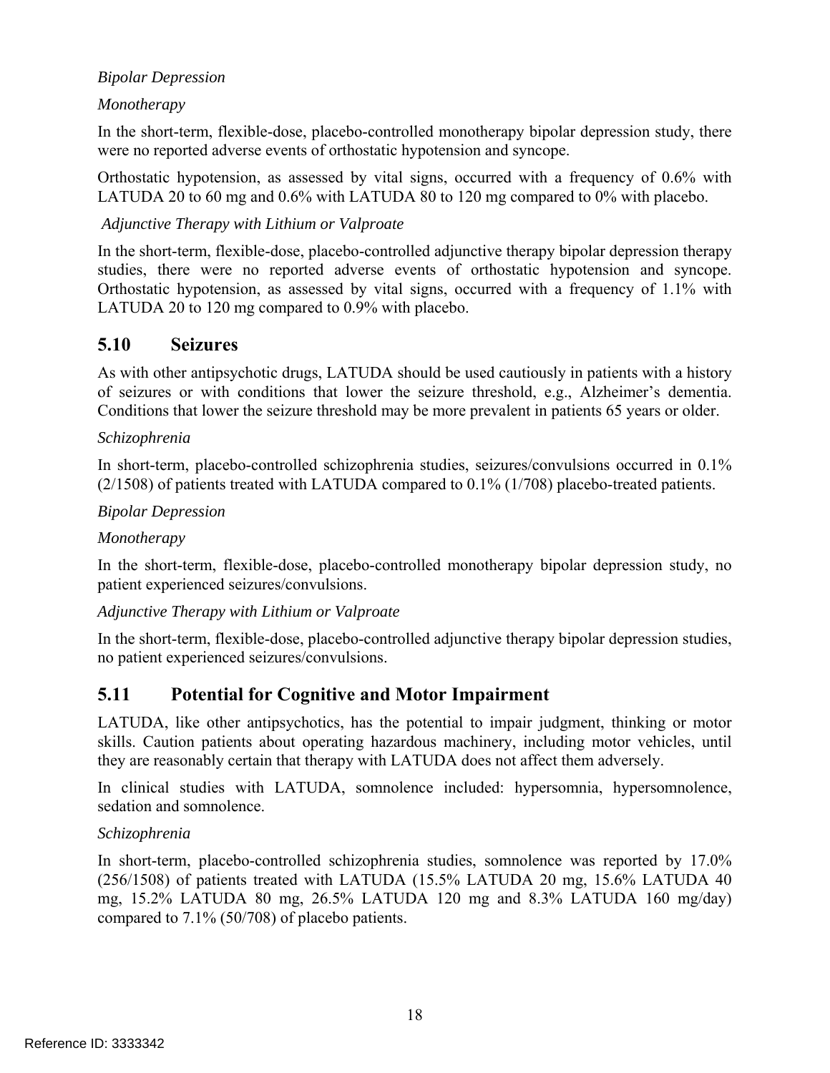#### *Bipolar Depression*

#### *Monotherapy*

were no reported adverse events of orthostatic hypotension and syncope. In the short-term, flexible-dose, placebo-controlled monotherapy bipolar depression study, there

Orthostatic hypotension, as assessed by vital signs, occurred with a frequency of  $0.6\%$  with LATUDA 20 to 60 mg and 0.6% with LATUDA 80 to 120 mg compared to 0% with placebo.

#### *Adjunctive Therapy with Lithium or Valproate*

In the short-term, flexible-dose, placebo-controlled adjunctive therapy bipolar depression therapy studies, there were no reported adverse events of orthostatic hypotension and syncope. Orthostatic hypotension, as assessed by vital signs, occurred with a frequency of 1.1% with LATUDA 20 to 120 mg compared to 0.9% with placebo.

#### **5.10 Seizures**

As with other antipsychotic drugs, LATUDA should be used cautiously in patients with a history of seizures or with conditions that lower the seizure threshold, e.g., Alzheimer's dementia. Conditions that lower the seizure threshold may be more prevalent in patients 65 years or older.

#### *Schizophrenia*

In short-term, placebo-controlled schizophrenia studies, seizures/convulsions occurred in 0.1% (2/1508) of patients treated with LATUDA compared to 0.1% (1/708) placebo-treated patients.

#### *Bipolar Depression*

#### *Monotherapy*

In the short-term, flexible-dose, placebo-controlled monotherapy bipolar depression study, no patient experienced seizures/convulsions.

#### *Adjunctive Therapy with Lithium or Valproate*

In the short-term, flexible-dose, placebo-controlled adjunctive therapy bipolar depression studies, no patient experienced seizures/convulsions.

#### **5.11 Potential for Cognitive and Motor Impairment**

LATUDA, like other antipsychotics, has the potential to impair judgment, thinking or motor skills. Caution patients about operating hazardous machinery, including motor vehicles, until they are reasonably certain that therapy with LATUDA does not affect them adversely.

In clinical studies with LATUDA, somnolence included: hypersomnia, hypersomnolence, sedation and somnolence.

#### *Schizophrenia*

In short-term, placebo-controlled schizophrenia studies, somnolence was reported by 17.0% (256/1508) of patients treated with LATUDA (15.5% LATUDA 20 mg, 15.6% LATUDA 40 mg, 15.2% LATUDA 80 mg, 26.5% LATUDA 120 mg and 8.3% LATUDA 160 mg/day) compared to 7.1% (50/708) of placebo patients.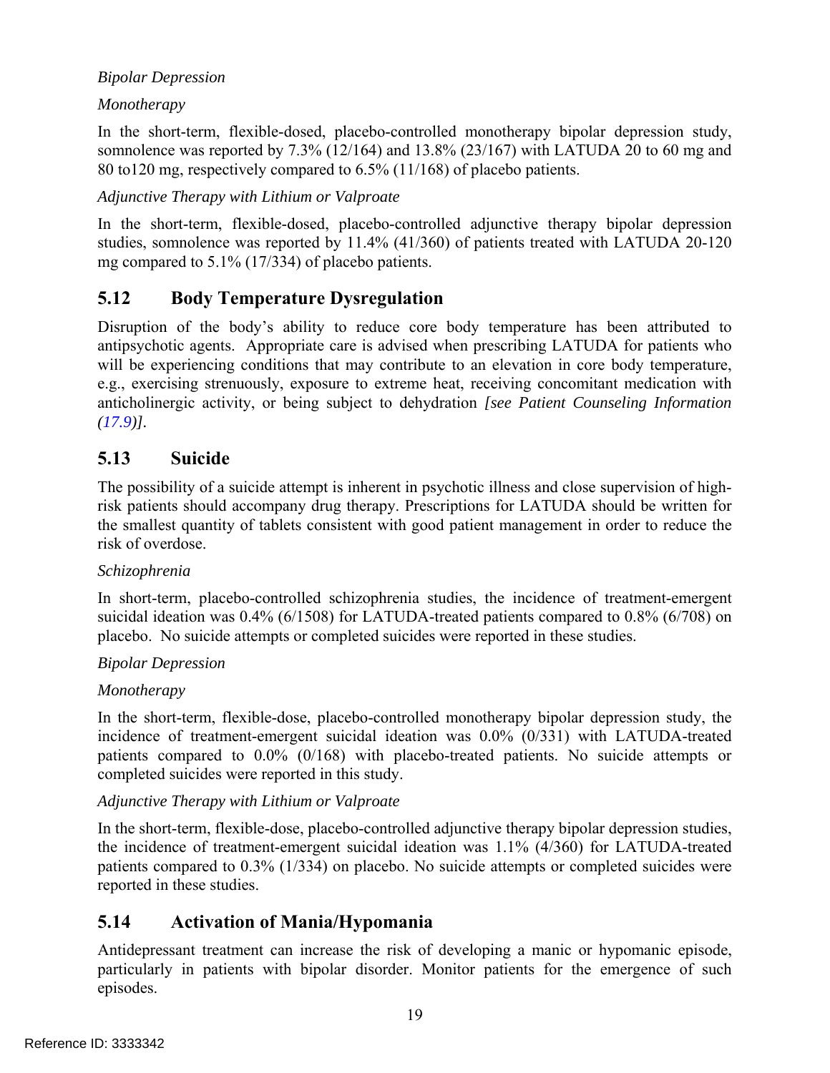#### *Bipolar Depression*

#### *Monotherapy*

In the short-term, flexible-dosed, placebo-controlled monotherapy bipolar depression study, somnolence was reported by 7.3% (12/164) and 13.8% (23/167) with LATUDA 20 to 60 mg and 80 to120 mg, respectively compared to 6.5% (11/168) of placebo patients.

#### *Adjunctive Therapy with Lithium or Valproate*

In the short-term, flexible-dosed, placebo-controlled adjunctive therapy bipolar depression studies, somnolence was reported by 11.4% (41/360) of patients treated with LATUDA 20-120 mg compared to 5.1% (17/334) of placebo patients.

#### **5.12 Body Temperature Dysregulation**

Disruption of the body's ability to reduce core body temperature has been attributed to antipsychotic agents. Appropriate care is advised when prescribing LATUDA for patients who will be experiencing conditions that may contribute to an elevation in core body temperature, e.g., exercising strenuously, exposure to extreme heat, receiving concomitant medication with anticholinergic activity, or being subject to dehydration *[see Patient Counseling Information (17.9)].* 

#### **5.13 Suicide**

The possibility of a suicide attempt is inherent in psychotic illness and close supervision of highrisk patients should accompany drug therapy. Prescriptions for LATUDA should be written for the smallest quantity of tablets consistent with good patient management in order to reduce the risk of overdose.

#### *Schizophrenia*

In short-term, placebo-controlled schizophrenia studies, the incidence of treatment-emergent suicidal ideation was 0.4% (6/1508) for LATUDA-treated patients compared to 0.8% (6/708) on placebo. No suicide attempts or completed suicides were reported in these studies.

#### *Bipolar Depression*

#### *Monotherapy*

In the short-term, flexible-dose, placebo-controlled monotherapy bipolar depression study, the incidence of treatment-emergent suicidal ideation was 0.0% (0/331) with LATUDA-treated patients compared to 0.0% (0/168) with placebo-treated patients. No suicide attempts or completed suicides were reported in this study.

#### *Adjunctive Therapy with Lithium or Valproate*

In the short-term, flexible-dose, placebo-controlled adjunctive therapy bipolar depression studies, the incidence of treatment-emergent suicidal ideation was 1.1% (4/360) for LATUDA-treated patients compared to 0.3% (1/334) on placebo. No suicide attempts or completed suicides were reported in these studies.

# **5.14 Activation of Mania/Hypomania**

Antidepressant treatment can increase the risk of developing a manic or hypomanic episode, particularly in patients with bipolar disorder. Monitor patients for the emergence of such episodes.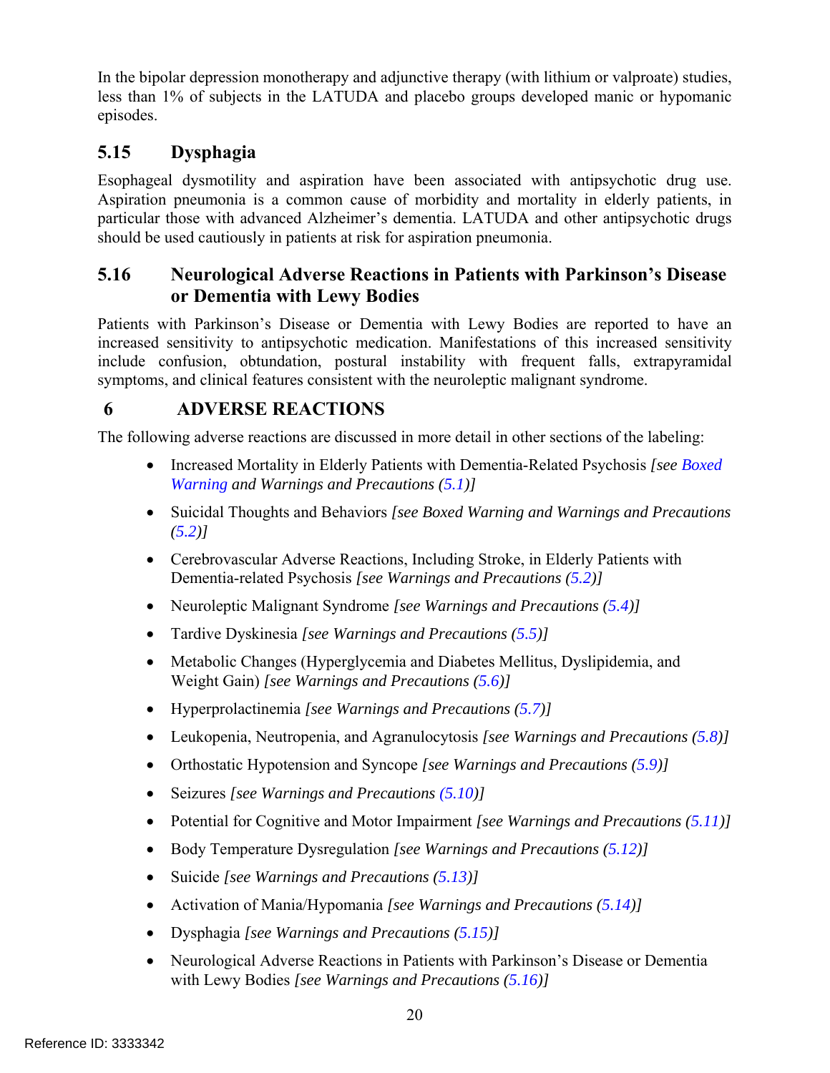In the bipolar depression monotherapy and adjunctive therapy (with lithium or valproate) studies, less than 1% of subjects in the LATUDA and placebo groups developed manic or hypomanic episodes.

# **5.15 Dysphagia**

Esophageal dysmotility and aspiration have been associated with antipsychotic drug use. Aspiration pneumonia is a common cause of morbidity and mortality in elderly patients, in particular those with advanced Alzheimer's dementia. LATUDA and other antipsychotic drugs should be used cautiously in patients at risk for aspiration pneumonia.

#### **5.16 Neurological Adverse Reactions in Patients with Parkinson's Disease or Dementia with Lewy Bodies**

Patients with Parkinson's Disease or Dementia with Lewy Bodies are reported to have an increased sensitivity to antipsychotic medication. Manifestations of this increased sensitivity include confusion, obtundation, postural instability with frequent falls, extrapyramidal symptoms, and clinical features consistent with the neuroleptic malignant syndrome.

# **6 ADVERSE REACTIONS**

The following adverse reactions are discussed in more detail in other sections of the labeling:

- *Warning and Warnings and Precautions (5.1)]*  • Increased Mortality in Elderly Patients with Dementia-Related Psychosis *[see Boxed*
- Suicidal Thoughts and Behaviors *[see Boxed Warning and Warnings and Precautions (5.2)]*
- Dementia-related Psychosis *[see Warnings and Precautions (5.2)]* Cerebrovascular Adverse Reactions, Including Stroke, in Elderly Patients with
- Neuroleptic Malignant Syndrome *[see Warnings and Precautions (5.4)]*
- Tardive Dyskinesia *[see Warnings and Precautions (5.5)]*
- Weight Gain) *[see Warnings and Precautions (5.6)]* Metabolic Changes (Hyperglycemia and Diabetes Mellitus, Dyslipidemia, and
- Hyperprolactinemia *[see Warnings and Precautions (5.7)]*
- Leukopenia, Neutropenia, and Agranulocytosis *[see Warnings and Precautions (5.8)]*
- Orthostatic Hypotension and Syncope *[see Warnings and Precautions (5.9)]*
- Seizures *[see Warnings and Precautions (5.10)]*
- Potential for Cognitive and Motor Impairment *[see Warnings and Precautions (5.11)]*
- Body Temperature Dysregulation *[see Warnings and Precautions (5.12)]*
- Suicide *[see Warnings and Precautions (5.13)]*
- Activation of Mania/Hypomania *[see Warnings and Precautions (5.14)]*
- Dysphagia *[see Warnings and Precautions (5.15)]*
- Neurological Adverse Reactions in Patients with Parkinson's Disease or Dementia with Lewy Bodies *[see Warnings and Precautions (5.16)]*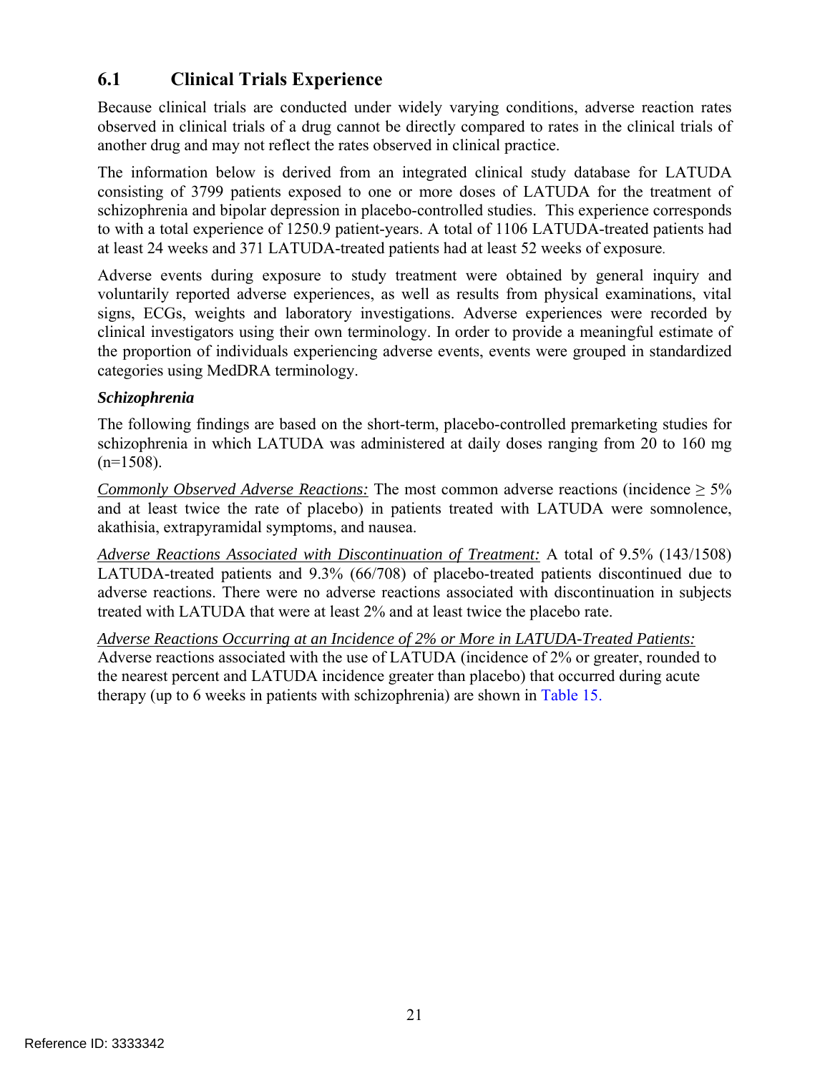#### **6.1 Clinical Trials Experience**

Because clinical trials are conducted under widely varying conditions, adverse reaction rates observed in clinical trials of a drug cannot be directly compared to rates in the clinical trials of another drug and may not reflect the rates observed in clinical practice.

The information below is derived from an integrated clinical study database for LATUDA consisting of 3799 patients exposed to one or more doses of LATUDA for the treatment of schizophrenia and bipolar depression in placebo-controlled studies. This experience corresponds to with a total experience of 1250.9 patient-years. A total of 1106 LATUDA-treated patients had at least 24 weeks and 371 LATUDA-treated patients had at least 52 weeks of exposure.

Adverse events during exposure to study treatment were obtained by general inquiry and voluntarily reported adverse experiences, as well as results from physical examinations, vital signs, ECGs, weights and laboratory investigations. Adverse experiences were recorded by clinical investigators using their own terminology. In order to provide a meaningful estimate of the proportion of individuals experiencing adverse events, events were grouped in standardized categories using MedDRA terminology.

#### *Schizophrenia*

The following findings are based on the short-term, placebo-controlled premarketing studies for schizophrenia in which LATUDA was administered at daily doses ranging from 20 to 160 mg  $(n=1508)$ .

*Commonly Observed Adverse Reactions:* The most common adverse reactions (incidence  $\geq 5\%$ and at least twice the rate of placebo) in patients treated with LATUDA were somnolence, akathisia, extrapyramidal symptoms, and nausea.

*Adverse Reactions Associated with Discontinuation of Treatment:* A total of 9.5% (143/1508) LATUDA-treated patients and 9.3% (66/708) of placebo-treated patients discontinued due to adverse reactions. There were no adverse reactions associated with discontinuation in subjects treated with LATUDA that were at least 2% and at least twice the placebo rate.

*Adverse Reactions Occurring at an Incidence of 2% or More in LATUDA-Treated Patients:*  Adverse reactions associated with the use of LATUDA (incidence of 2% or greater, rounded to the nearest percent and LATUDA incidence greater than placebo) that occurred during acute therapy (up to 6 weeks in patients with schizophrenia) are shown in Table 15.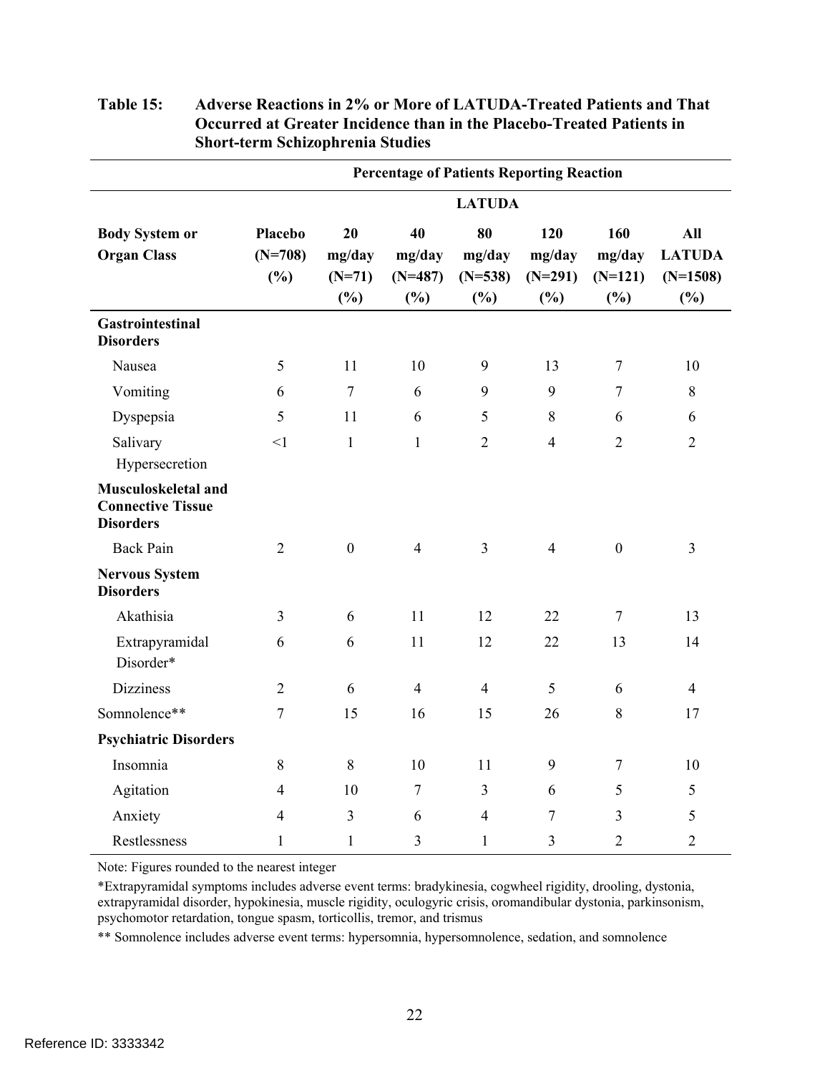|                                                                     | <b>Percentage of Patients Reporting Reaction</b> |                                 |                                     |                                  |                                      |                                      |                                              |
|---------------------------------------------------------------------|--------------------------------------------------|---------------------------------|-------------------------------------|----------------------------------|--------------------------------------|--------------------------------------|----------------------------------------------|
|                                                                     |                                                  |                                 |                                     | <b>LATUDA</b>                    |                                      |                                      |                                              |
| <b>Body System or</b><br><b>Organ Class</b>                         | Placebo<br>$(N=708)$<br>(%)                      | 20<br>mg/day<br>$(N=71)$<br>(%) | 40<br>mg/day<br>$(N=487)$<br>$(\%)$ | 80<br>mg/day<br>$(N=538)$<br>(%) | 120<br>mg/day<br>$(N=291)$<br>$(\%)$ | 160<br>mg/day<br>$(N=121)$<br>$(\%)$ | All<br><b>LATUDA</b><br>$(N=1508)$<br>$(\%)$ |
| Gastrointestinal<br><b>Disorders</b>                                |                                                  |                                 |                                     |                                  |                                      |                                      |                                              |
| Nausea                                                              | 5                                                | 11                              | 10                                  | 9                                | 13                                   | $\tau$                               | 10                                           |
| Vomiting                                                            | 6                                                | $\overline{7}$                  | 6                                   | 9                                | 9                                    | 7                                    | 8                                            |
| Dyspepsia                                                           | 5                                                | 11                              | 6                                   | 5                                | 8                                    | 6                                    | 6                                            |
| Salivary<br>Hypersecretion                                          | $\leq$ 1                                         | $\mathbf{1}$                    | 1                                   | $\overline{2}$                   | $\overline{4}$                       | $\overline{2}$                       | $\overline{2}$                               |
| Musculoskeletal and<br><b>Connective Tissue</b><br><b>Disorders</b> |                                                  |                                 |                                     |                                  |                                      |                                      |                                              |
| <b>Back Pain</b>                                                    | $\overline{2}$                                   | $\overline{0}$                  | $\overline{4}$                      | $\overline{3}$                   | $\overline{4}$                       | $\mathbf{0}$                         | $\overline{3}$                               |
| <b>Nervous System</b><br><b>Disorders</b>                           |                                                  |                                 |                                     |                                  |                                      |                                      |                                              |
| Akathisia                                                           | 3                                                | 6                               | 11                                  | 12                               | 22                                   | $\tau$                               | 13                                           |
| Extrapyramidal<br>Disorder*                                         | 6                                                | 6                               | 11                                  | 12                               | 22                                   | 13                                   | 14                                           |
| <b>Dizziness</b>                                                    | $\overline{2}$                                   | 6                               | $\overline{4}$                      | $\overline{4}$                   | 5                                    | 6                                    | $\overline{4}$                               |
| Somnolence**                                                        | $\overline{7}$                                   | 15                              | 16                                  | 15                               | 26                                   | 8                                    | 17                                           |
| <b>Psychiatric Disorders</b>                                        |                                                  |                                 |                                     |                                  |                                      |                                      |                                              |
| Insomnia                                                            | 8                                                | 8                               | 10                                  | 11                               | 9                                    | $\tau$                               | 10                                           |
| Agitation                                                           | $\overline{4}$                                   | 10                              | $\overline{7}$                      | $\overline{3}$                   | 6                                    | 5                                    | 5                                            |
| Anxiety                                                             | $\overline{4}$                                   | 3                               | 6                                   | $\overline{4}$                   | $\tau$                               | $\mathfrak{Z}$                       | 5                                            |
| Restlessness                                                        | $\mathbf{1}$                                     | $\mathbf{1}$                    | 3                                   | $\mathbf{1}$                     | 3                                    | $\overline{2}$                       | $\overline{2}$                               |

#### **Table 15: Adverse Reactions in 2% or More of LATUDA-Treated Patients and That Occurred at Greater Incidence than in the Placebo-Treated Patients in Short-term Schizophrenia Studies**

Note: Figures rounded to the nearest integer

\*Extrapyramidal symptoms includes adverse event terms: bradykinesia, cogwheel rigidity, drooling, dystonia, extrapyramidal disorder, hypokinesia, muscle rigidity, oculogyric crisis, oromandibular dystonia, parkinsonism, psychomotor retardation, tongue spasm, torticollis, tremor, and trismus

\*\* Somnolence includes adverse event terms: hypersomnia, hypersomnolence, sedation, and somnolence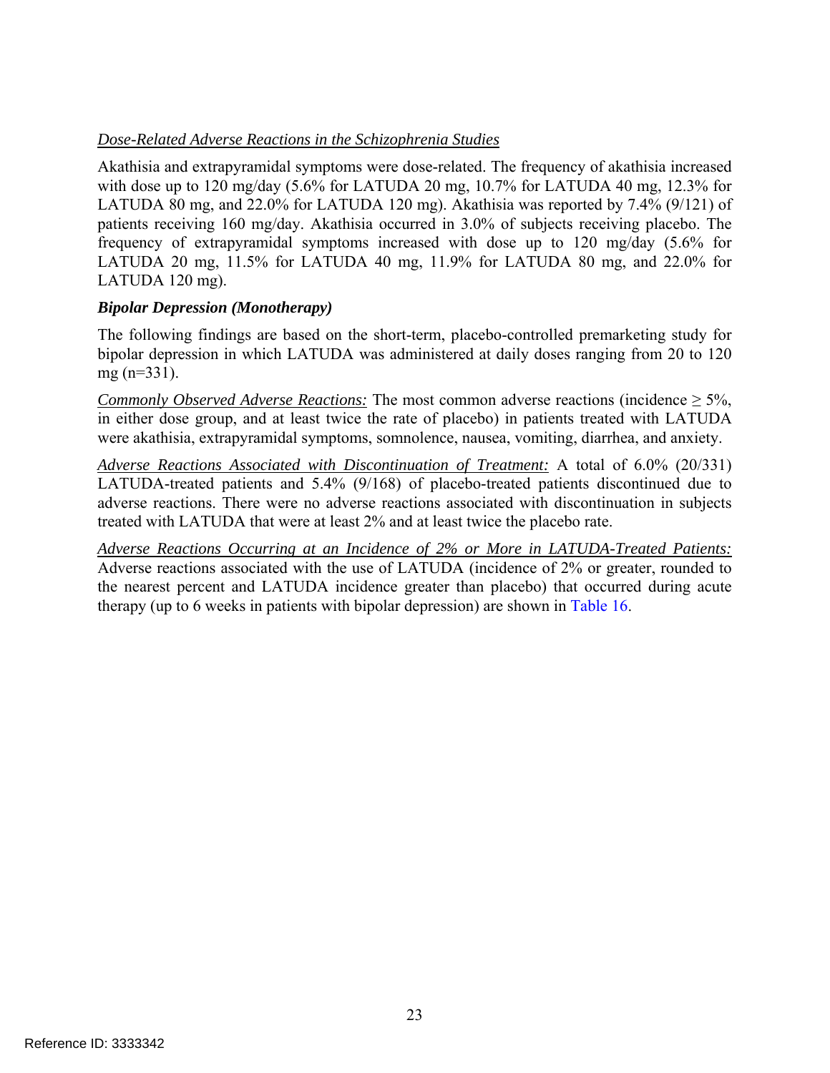#### *Dose-Related Adverse Reactions in the Schizophrenia Studies*

Akathisia and extrapyramidal symptoms were dose-related. The frequency of akathisia increased with dose up to 120 mg/day (5.6% for LATUDA 20 mg, 10.7% for LATUDA 40 mg, 12.3% for LATUDA 80 mg, and 22.0% for LATUDA 120 mg). Akathisia was reported by 7.4% (9/121) of patients receiving 160 mg/day. Akathisia occurred in 3.0% of subjects receiving placebo. The frequency of extrapyramidal symptoms increased with dose up to 120 mg/day (5.6% for LATUDA 20 mg, 11.5% for LATUDA 40 mg, 11.9% for LATUDA 80 mg, and 22.0% for LATUDA 120 mg).

#### *Bipolar Depression (Monotherapy)*

The following findings are based on the short-term, placebo-controlled premarketing study for bipolar depression in which LATUDA was administered at daily doses ranging from 20 to 120 mg (n=331).

*Commonly Observed Adverse Reactions:* The most common adverse reactions (incidence  $\geq 5\%$ , in either dose group, and at least twice the rate of placebo) in patients treated with LATUDA were akathisia, extrapyramidal symptoms, somnolence, nausea, vomiting, diarrhea, and anxiety.

*Adverse Reactions Associated with Discontinuation of Treatment:* A total of 6.0% (20/331) LATUDA-treated patients and 5.4% (9/168) of placebo-treated patients discontinued due to adverse reactions. There were no adverse reactions associated with discontinuation in subjects treated with LATUDA that were at least 2% and at least twice the placebo rate.

*Adverse Reactions Occurring at an Incidence of 2% or More in LATUDA-Treated Patients:*  Adverse reactions associated with the use of LATUDA (incidence of 2% or greater, rounded to the nearest percent and LATUDA incidence greater than placebo) that occurred during acute therapy (up to 6 weeks in patients with bipolar depression) are shown in Table 16.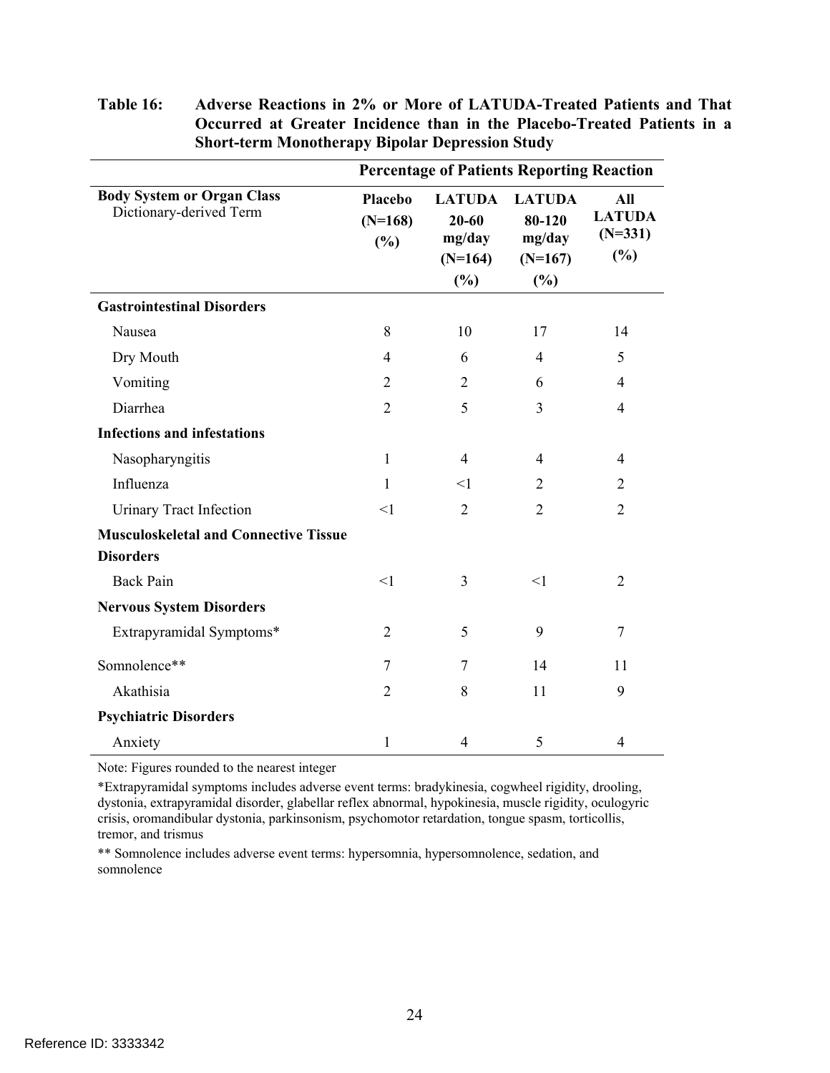|                                                                  |                             | <b>Percentage of Patients Reporting Reaction</b>         |                                                       |                                          |
|------------------------------------------------------------------|-----------------------------|----------------------------------------------------------|-------------------------------------------------------|------------------------------------------|
| <b>Body System or Organ Class</b><br>Dictionary-derived Term     | Placebo<br>$(N=168)$<br>(%) | <b>LATUDA</b><br>$20 - 60$<br>mg/day<br>$(N=164)$<br>(%) | <b>LATUDA</b><br>80-120<br>mg/day<br>$(N=167)$<br>(%) | All<br><b>LATUDA</b><br>$(N=331)$<br>(%) |
| <b>Gastrointestinal Disorders</b>                                |                             |                                                          |                                                       |                                          |
| Nausea                                                           | 8                           | 10                                                       | 17                                                    | 14                                       |
| Dry Mouth                                                        | 4                           | 6                                                        | 4                                                     | 5                                        |
| Vomiting                                                         | 2                           | 2                                                        | 6                                                     | $\overline{4}$                           |
| Diarrhea                                                         | $\overline{2}$              | 5                                                        | 3                                                     | $\overline{4}$                           |
| <b>Infections and infestations</b>                               |                             |                                                          |                                                       |                                          |
| Nasopharyngitis                                                  | $\mathbf{1}$                | $\overline{4}$                                           | $\overline{4}$                                        | $\overline{4}$                           |
| Influenza                                                        | 1                           | <1                                                       | $\overline{2}$                                        | 2                                        |
| <b>Urinary Tract Infection</b>                                   | $\leq$ 1                    | $\overline{2}$                                           | $\overline{2}$                                        | $\overline{2}$                           |
| <b>Musculoskeletal and Connective Tissue</b><br><b>Disorders</b> |                             |                                                          |                                                       |                                          |
| <b>Back Pain</b>                                                 | $\leq$ 1                    | 3                                                        | $\leq$ 1                                              | 2                                        |
| <b>Nervous System Disorders</b>                                  |                             |                                                          |                                                       |                                          |
| Extrapyramidal Symptoms*                                         | $\overline{2}$              | 5                                                        | 9                                                     | $\overline{7}$                           |
| Somnolence**                                                     | $\overline{7}$              | 7                                                        | 14                                                    | 11                                       |
| Akathisia                                                        | $\overline{2}$              | 8                                                        | 11                                                    | 9                                        |
| <b>Psychiatric Disorders</b>                                     |                             |                                                          |                                                       |                                          |
| Anxiety                                                          | 1                           | 4                                                        | 5                                                     | $\overline{4}$                           |

**Table 16: Adverse Reactions in 2% or More of LATUDA-Treated Patients and That Occurred at Greater Incidence than in the Placebo-Treated Patients in a Short-term Monotherapy Bipolar Depression Study** 

Note: Figures rounded to the nearest integer

\*Extrapyramidal symptoms includes adverse event terms: bradykinesia, cogwheel rigidity, drooling, dystonia, extrapyramidal disorder, glabellar reflex abnormal, hypokinesia, muscle rigidity, oculogyric crisis, oromandibular dystonia, parkinsonism, psychomotor retardation, tongue spasm, torticollis, tremor, and trismus

\*\* Somnolence includes adverse event terms: hypersomnia, hypersomnolence, sedation, and somnolence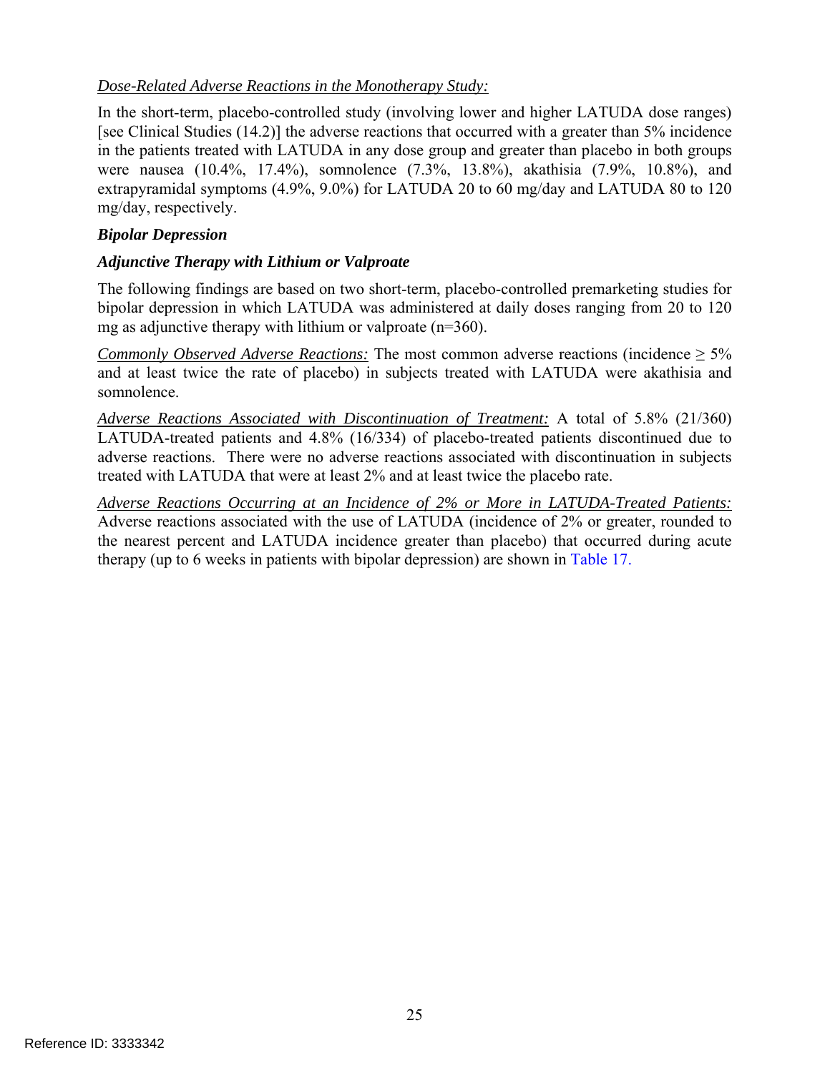#### *Dose-Related Adverse Reactions in the Monotherapy Study:*

In the short-term, placebo-controlled study (involving lower and higher LATUDA dose ranges) [see Clinical Studies (14.2)] the adverse reactions that occurred with a greater than 5% incidence in the patients treated with LATUDA in any dose group and greater than placebo in both groups were nausea (10.4%, 17.4%), somnolence (7.3%, 13.8%), akathisia (7.9%, 10.8%), and extrapyramidal symptoms (4.9%, 9.0%) for LATUDA 20 to 60 mg/day and LATUDA 80 to 120 mg/day, respectively.

#### *Bipolar Depression*

#### *Adjunctive Therapy with Lithium or Valproate*

The following findings are based on two short-term, placebo-controlled premarketing studies for bipolar depression in which LATUDA was administered at daily doses ranging from 20 to 120 mg as adjunctive therapy with lithium or valproate (n=360).

*Commonly Observed Adverse Reactions:* The most common adverse reactions (incidence ≥ 5% and at least twice the rate of placebo) in subjects treated with LATUDA were akathisia and somnolence.

*Adverse Reactions Associated with Discontinuation of Treatment:* A total of 5.8% (21/360) LATUDA-treated patients and 4.8% (16/334) of placebo-treated patients discontinued due to adverse reactions. There were no adverse reactions associated with discontinuation in subjects treated with LATUDA that were at least 2% and at least twice the placebo rate.

*Adverse Reactions Occurring at an Incidence of 2% or More in LATUDA-Treated Patients:*  Adverse reactions associated with the use of LATUDA (incidence of 2% or greater, rounded to the nearest percent and LATUDA incidence greater than placebo) that occurred during acute therapy (up to 6 weeks in patients with bipolar depression) are shown in Table 17.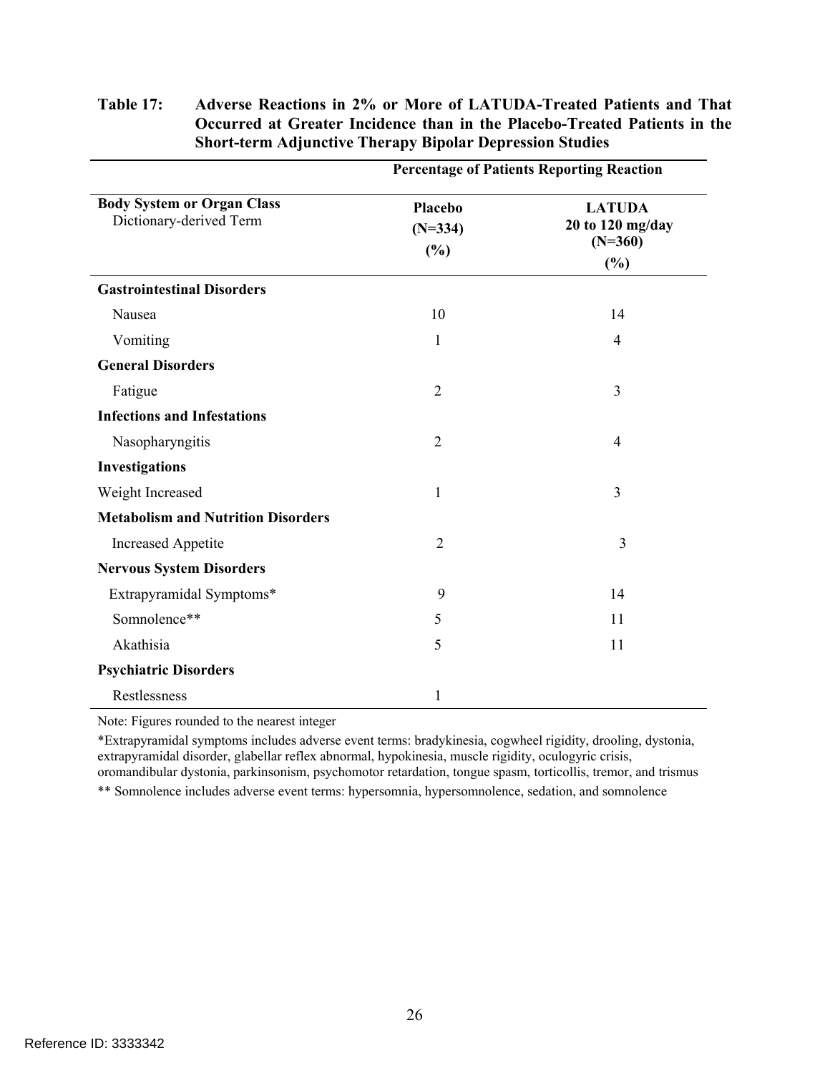|                                                              | <b>Percentage of Patients Reporting Reaction</b> |                                                           |  |  |
|--------------------------------------------------------------|--------------------------------------------------|-----------------------------------------------------------|--|--|
| <b>Body System or Organ Class</b><br>Dictionary-derived Term | Placebo<br>$(N=334)$<br>(%)                      | <b>LATUDA</b><br>$20$ to $120$ mg/day<br>$(N=360)$<br>(%) |  |  |
| <b>Gastrointestinal Disorders</b>                            |                                                  |                                                           |  |  |
| Nausea                                                       | 10                                               | 14                                                        |  |  |
| Vomiting                                                     | 1                                                | $\overline{4}$                                            |  |  |
| <b>General Disorders</b>                                     |                                                  |                                                           |  |  |
| Fatigue                                                      | $\overline{2}$                                   | $\mathfrak{Z}$                                            |  |  |
| <b>Infections and Infestations</b>                           |                                                  |                                                           |  |  |
| Nasopharyngitis                                              | $\overline{2}$                                   | $\overline{4}$                                            |  |  |
| Investigations                                               |                                                  |                                                           |  |  |
| Weight Increased                                             | 1                                                | 3                                                         |  |  |
| <b>Metabolism and Nutrition Disorders</b>                    |                                                  |                                                           |  |  |
| <b>Increased Appetite</b>                                    | $\overline{2}$                                   | 3                                                         |  |  |
| <b>Nervous System Disorders</b>                              |                                                  |                                                           |  |  |
| Extrapyramidal Symptoms*                                     | 9                                                | 14                                                        |  |  |
| Somnolence**                                                 | 5                                                | 11                                                        |  |  |
| Akathisia                                                    | 5                                                | 11                                                        |  |  |
| <b>Psychiatric Disorders</b>                                 |                                                  |                                                           |  |  |
| Restlessness                                                 | 1                                                |                                                           |  |  |

#### **Table 17: Adverse Reactions in 2% or More of LATUDA-Treated Patients and That Occurred at Greater Incidence than in the Placebo-Treated Patients in the Short-term Adjunctive Therapy Bipolar Depression Studies**

Note: Figures rounded to the nearest integer

\*Extrapyramidal symptoms includes adverse event terms: bradykinesia, cogwheel rigidity, drooling, dystonia, extrapyramidal disorder, glabellar reflex abnormal, hypokinesia, muscle rigidity, oculogyric crisis, oromandibular dystonia, parkinsonism, psychomotor retardation, tongue spasm, torticollis, tremor, and trismus

\*\* Somnolence includes adverse event terms: hypersomnia, hypersomnolence, sedation, and somnolence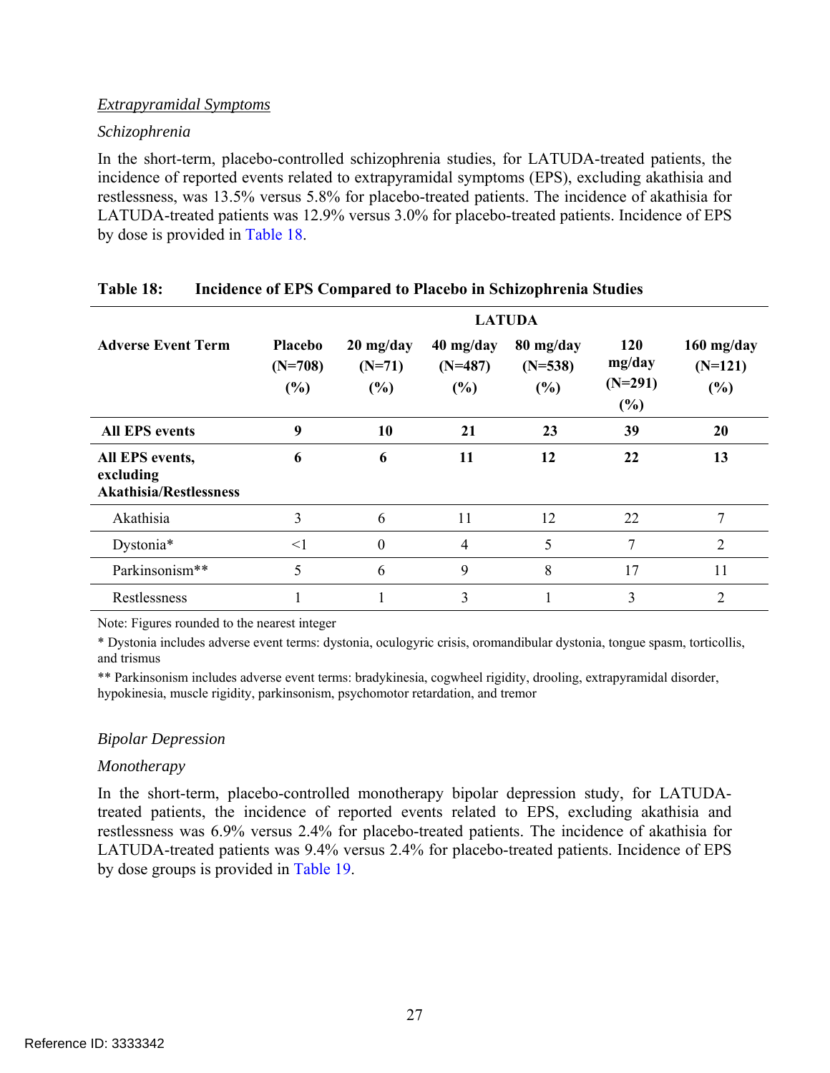#### *Extrapyramidal Symptoms*

#### *Schizophrenia*

In the short-term, placebo-controlled schizophrenia studies, for LATUDA-treated patients, the incidence of reported events related to extrapyramidal symptoms (EPS), excluding akathisia and restlessness, was 13.5% versus 5.8% for placebo-treated patients. The incidence of akathisia for LATUDA-treated patients was 12.9% versus 3.0% for placebo-treated patients. Incidence of EPS by dose is provided in Table 18.

|                                                               | <b>LATUDA</b>                      |                                                      |                                 |                               |                                      |                                  |
|---------------------------------------------------------------|------------------------------------|------------------------------------------------------|---------------------------------|-------------------------------|--------------------------------------|----------------------------------|
| <b>Adverse Event Term</b>                                     | <b>Placebo</b><br>$(N=708)$<br>(%) | $20 \frac{\text{mg}}{\text{day}}$<br>$(N=71)$<br>(%) | $40$ mg/day<br>$(N=487)$<br>(%) | 80 mg/day<br>$(N=538)$<br>(%) | 120<br>mg/day<br>$(N=291)$<br>$(\%)$ | $160$ mg/day<br>$(N=121)$<br>(%) |
| <b>All EPS events</b>                                         | 9                                  | 10                                                   | 21                              | 23                            | 39                                   | 20                               |
| All EPS events,<br>excluding<br><b>Akathisia/Restlessness</b> | 6                                  | 6                                                    | 11                              | 12                            | 22                                   | 13                               |
| Akathisia                                                     | 3                                  | 6                                                    | 11                              | 12                            | 22                                   | 7                                |
| Dystonia*                                                     | $\leq$ 1                           | $\theta$                                             | 4                               | 5                             | 7                                    | 2                                |
| Parkinsonism**                                                | 5                                  | 6                                                    | 9                               | 8                             | 17                                   | 11                               |
| Restlessness                                                  |                                    |                                                      | 3                               |                               | 3                                    | 2                                |

#### **Table 18: Incidence of EPS Compared to Placebo in Schizophrenia Studies**

Note: Figures rounded to the nearest integer

\* Dystonia includes adverse event terms: dystonia, oculogyric crisis, oromandibular dystonia, tongue spasm, torticollis, and trismus

\*\* Parkinsonism includes adverse event terms: bradykinesia, cogwheel rigidity, drooling, extrapyramidal disorder, hypokinesia, muscle rigidity, parkinsonism, psychomotor retardation, and tremor

#### *Bipolar Depression*

#### *Monotherapy*

In the short-term, placebo-controlled monotherapy bipolar depression study, for LATUDAtreated patients, the incidence of reported events related to EPS, excluding akathisia and restlessness was 6.9% versus 2.4% for placebo-treated patients. The incidence of akathisia for LATUDA-treated patients was 9.4% versus 2.4% for placebo-treated patients. Incidence of EPS by dose groups is provided in Table 19.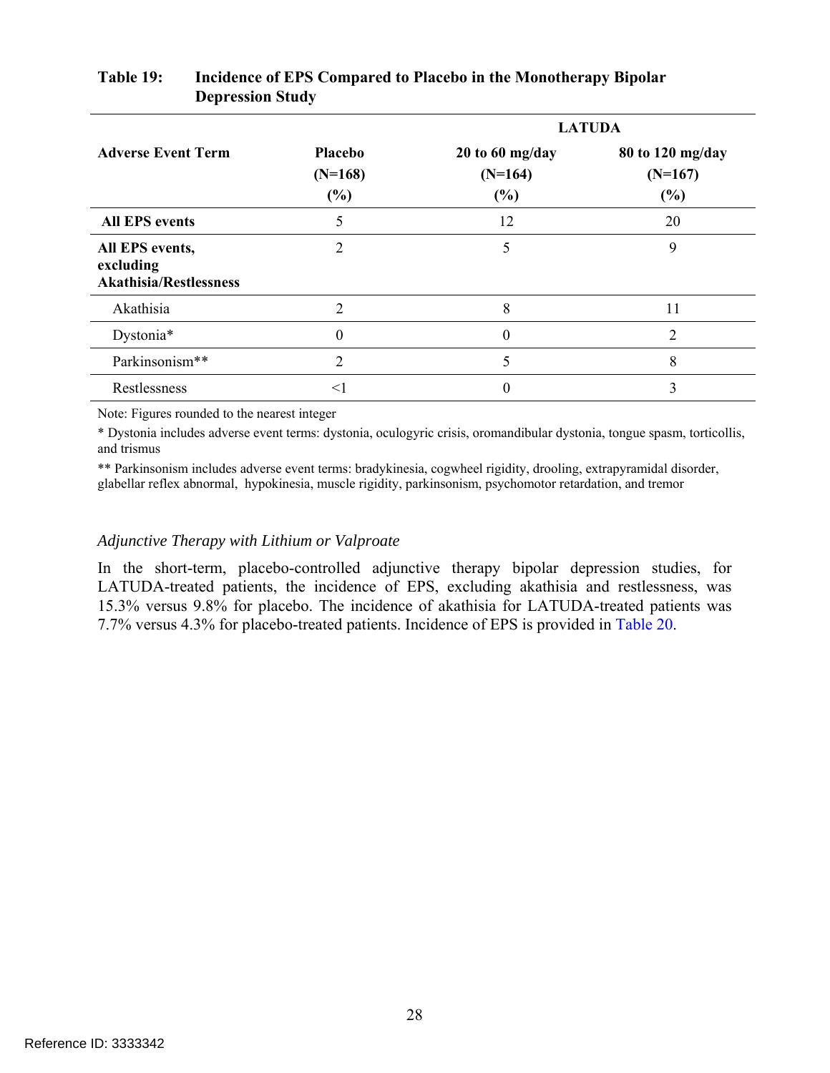|                                                               |                                    | <b>LATUDA</b>                         |                                        |  |  |
|---------------------------------------------------------------|------------------------------------|---------------------------------------|----------------------------------------|--|--|
| <b>Adverse Event Term</b>                                     | <b>Placebo</b><br>$(N=168)$<br>(%) | $20$ to 60 mg/day<br>$(N=164)$<br>(%) | $80$ to 120 mg/day<br>$(N=167)$<br>(%) |  |  |
| <b>All EPS events</b>                                         | 5                                  | 12                                    | 20                                     |  |  |
| All EPS events,<br>excluding<br><b>Akathisia/Restlessness</b> | 2                                  | 5                                     | 9                                      |  |  |
| Akathisia                                                     | $\mathfrak{D}$                     | 8                                     | 11                                     |  |  |
| Dystonia*                                                     | 0                                  | $\overline{0}$                        | $\overline{2}$                         |  |  |
| Parkinsonism**                                                | $\mathfrak{D}$                     | 5                                     | 8                                      |  |  |
| Restlessness                                                  | $\leq$ 1                           | $\theta$                              | 3                                      |  |  |

#### **Table 19: Incidence of EPS Compared to Placebo in the Monotherapy Bipolar Depression Study**

Note: Figures rounded to the nearest integer

\* Dystonia includes adverse event terms: dystonia, oculogyric crisis, oromandibular dystonia, tongue spasm, torticollis, and trismus

\*\* Parkinsonism includes adverse event terms: bradykinesia, cogwheel rigidity, drooling, extrapyramidal disorder, glabellar reflex abnormal, hypokinesia, muscle rigidity, parkinsonism, psychomotor retardation, and tremor

#### *Adjunctive Therapy with Lithium or Valproate*

In the short-term, placebo-controlled adjunctive therapy bipolar depression studies, for LATUDA-treated patients, the incidence of EPS, excluding akathisia and restlessness, was 15.3% versus 9.8% for placebo. The incidence of akathisia for LATUDA-treated patients was 7.7% versus 4.3% for placebo-treated patients. Incidence of EPS is provided in Table 20.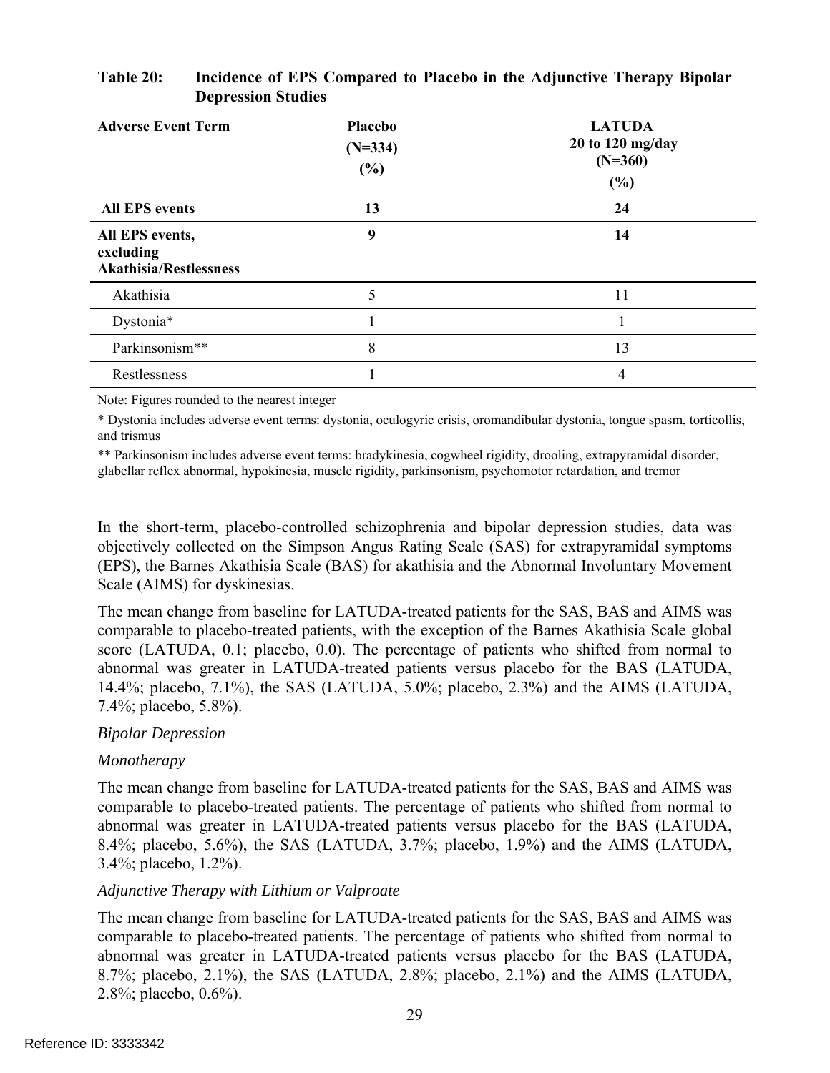| <b>Adverse Event Term</b>                                     | Placebo<br>$(N=334)$<br>(%) | <b>LATUDA</b><br>$20$ to $120$ mg/day<br>$(N=360)$<br>(%) |
|---------------------------------------------------------------|-----------------------------|-----------------------------------------------------------|
| <b>All EPS events</b>                                         | 13                          | 24                                                        |
| All EPS events,<br>excluding<br><b>Akathisia/Restlessness</b> | 9                           | 14                                                        |
| Akathisia                                                     | 5                           | 11                                                        |
| Dystonia*                                                     |                             |                                                           |
| Parkinsonism**                                                | 8                           | 13                                                        |
| Restlessness                                                  |                             | 4                                                         |

#### **Table 20: Incidence of EPS Compared to Placebo in the Adjunctive Therapy Bipolar Depression Studies**

Note: Figures rounded to the nearest integer

\* Dystonia includes adverse event terms: dystonia, oculogyric crisis, oromandibular dystonia, tongue spasm, torticollis, and trismus

\*\* Parkinsonism includes adverse event terms: bradykinesia, cogwheel rigidity, drooling, extrapyramidal disorder, glabellar reflex abnormal, hypokinesia, muscle rigidity, parkinsonism, psychomotor retardation, and tremor

In the short-term, placebo-controlled schizophrenia and bipolar depression studies, data was objectively collected on the Simpson Angus Rating Scale (SAS) for extrapyramidal symptoms (EPS), the Barnes Akathisia Scale (BAS) for akathisia and the Abnormal Involuntary Movement Scale (AIMS) for dyskinesias.

The mean change from baseline for LATUDA-treated patients for the SAS, BAS and AIMS was comparable to placebo-treated patients, with the exception of the Barnes Akathisia Scale global score (LATUDA, 0.1; placebo, 0.0). The percentage of patients who shifted from normal to abnormal was greater in LATUDA-treated patients versus placebo for the BAS (LATUDA, 14.4%; placebo, 7.1%), the SAS (LATUDA, 5.0%; placebo, 2.3%) and the AIMS (LATUDA, 7.4%; placebo, 5.8%).

#### *Bipolar Depression*

#### *Monotherapy*

The mean change from baseline for LATUDA-treated patients for the SAS, BAS and AIMS was comparable to placebo-treated patients. The percentage of patients who shifted from normal to abnormal was greater in LATUDA-treated patients versus placebo for the BAS (LATUDA, 8.4%; placebo, 5.6%), the SAS (LATUDA, 3.7%; placebo, 1.9%) and the AIMS (LATUDA, 3.4%; placebo, 1.2%).

#### *Adjunctive Therapy with Lithium or Valproate*

The mean change from baseline for LATUDA-treated patients for the SAS, BAS and AIMS was comparable to placebo-treated patients. The percentage of patients who shifted from normal to abnormal was greater in LATUDA-treated patients versus placebo for the BAS (LATUDA, 8.7%; placebo, 2.1%), the SAS (LATUDA, 2.8%; placebo, 2.1%) and the AIMS (LATUDA, 2.8%; placebo, 0.6%).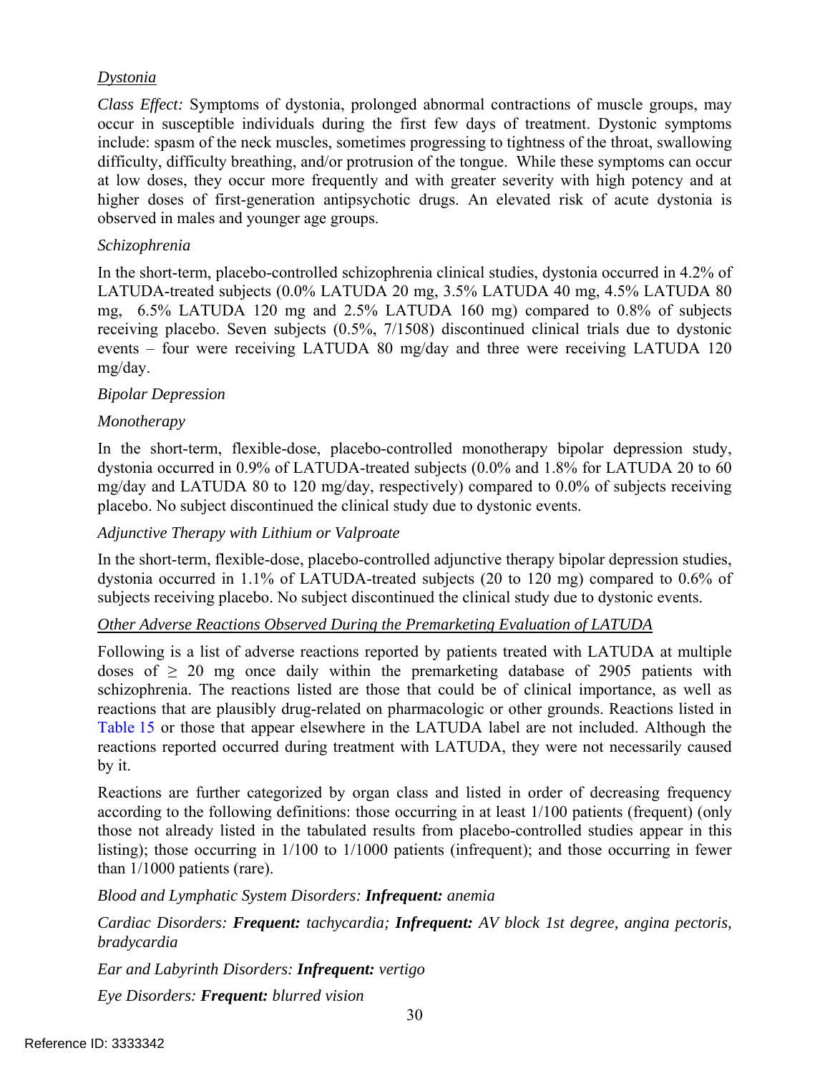#### *Dystonia*

*Class Effect:* Symptoms of dystonia, prolonged abnormal contractions of muscle groups, may occur in susceptible individuals during the first few days of treatment. Dystonic symptoms include: spasm of the neck muscles, sometimes progressing to tightness of the throat, swallowing difficulty, difficulty breathing, and/or protrusion of the tongue. While these symptoms can occur at low doses, they occur more frequently and with greater severity with high potency and at higher doses of first-generation antipsychotic drugs. An elevated risk of acute dystonia is observed in males and younger age groups.

#### *Schizophrenia*

In the short-term, placebo-controlled schizophrenia clinical studies, dystonia occurred in 4.2% of LATUDA-treated subjects (0.0% LATUDA 20 mg, 3.5% LATUDA 40 mg, 4.5% LATUDA 80 mg, 6.5% LATUDA 120 mg and 2.5% LATUDA 160 mg) compared to 0.8% of subjects receiving placebo. Seven subjects (0.5%, 7/1508) discontinued clinical trials due to dystonic events – four were receiving LATUDA 80 mg/day and three were receiving LATUDA 120 mg/day.

#### *Bipolar Depression*

#### *Monotherapy*

In the short-term, flexible-dose, placebo-controlled monotherapy bipolar depression study, dystonia occurred in 0.9% of LATUDA-treated subjects (0.0% and 1.8% for LATUDA 20 to 60 mg/day and LATUDA 80 to 120 mg/day, respectively) compared to 0.0% of subjects receiving placebo. No subject discontinued the clinical study due to dystonic events.

#### *Adjunctive Therapy with Lithium or Valproate*

In the short-term, flexible-dose, placebo-controlled adjunctive therapy bipolar depression studies, dystonia occurred in 1.1% of LATUDA-treated subjects (20 to 120 mg) compared to 0.6% of subjects receiving placebo. No subject discontinued the clinical study due to dystonic events.

#### *Other Adverse Reactions Observed During the Premarketing Evaluation of LATUDA*

Following is a list of adverse reactions reported by patients treated with LATUDA at multiple doses of  $\geq$  20 mg once daily within the premarketing database of 2905 patients with schizophrenia. The reactions listed are those that could be of clinical importance, as well as reactions that are plausibly drug-related on pharmacologic or other grounds. Reactions listed in Table 15 or those that appear elsewhere in the LATUDA label are not included. Although the reactions reported occurred during treatment with LATUDA, they were not necessarily caused by it.

Reactions are further categorized by organ class and listed in order of decreasing frequency according to the following definitions: those occurring in at least 1/100 patients (frequent) (only those not already listed in the tabulated results from placebo-controlled studies appear in this listing); those occurring in 1/100 to 1/1000 patients (infrequent); and those occurring in fewer than 1/1000 patients (rare).

*Blood and Lymphatic System Disorders: Infrequent: anemia* 

*Cardiac Disorders: Frequent: tachycardia; Infrequent: AV block 1st degree, angina pectoris, bradycardia* 

*Ear and Labyrinth Disorders: Infrequent: vertigo* 

*Eye Disorders: Frequent: blurred vision*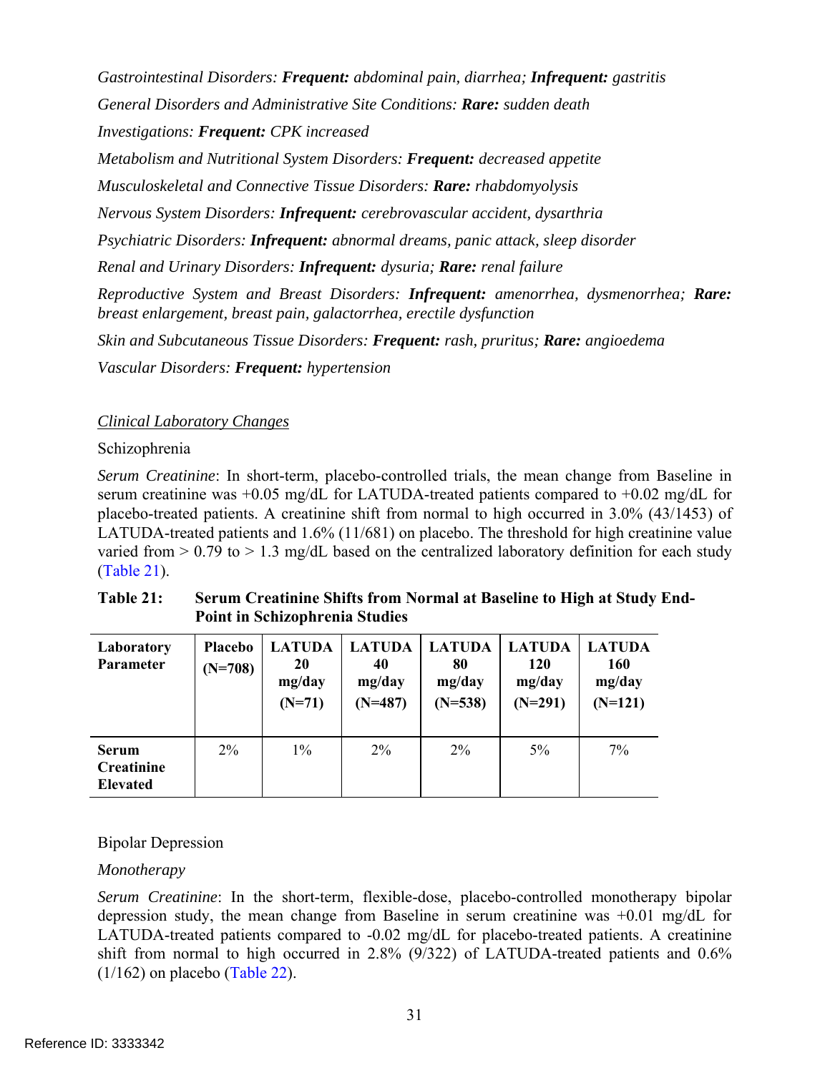*Gastrointestinal Disorders: Frequent: abdominal pain, diarrhea; Infrequent: gastritis General Disorders and Administrative Site Conditions: Rare: sudden death Investigations: Frequent: CPK increased Metabolism and Nutritional System Disorders: Frequent: decreased appetite Musculoskeletal and Connective Tissue Disorders: Rare: rhabdomyolysis Nervous System Disorders: Infrequent: cerebrovascular accident, dysarthria Psychiatric Disorders: Infrequent: abnormal dreams, panic attack, sleep disorder Renal and Urinary Disorders: Infrequent: dysuria; Rare: renal failure Reproductive System and Breast Disorders: Infrequent: amenorrhea, dysmenorrhea; Rare: breast enlargement, breast pain, galactorrhea, erectile dysfunction Skin and Subcutaneous Tissue Disorders: Frequent: rash, pruritus; Rare: angioedema Vascular Disorders: Frequent: hypertension* 

#### *Clinical Laboratory Changes*

Schizophrenia

*Serum Creatinine*: In short-term, placebo-controlled trials, the mean change from Baseline in serum creatinine was  $+0.05$  mg/dL for LATUDA-treated patients compared to  $+0.02$  mg/dL for placebo-treated patients. A creatinine shift from normal to high occurred in 3.0% (43/1453) of LATUDA-treated patients and 1.6% (11/681) on placebo. The threshold for high creatinine value varied from  $> 0.79$  to  $> 1.3$  mg/dL based on the centralized laboratory definition for each study (Table 21).

| Point in Schizophrenia Studies |                             |                                                  |                                            |                                            |                                             |                                                    |  |  |
|--------------------------------|-----------------------------|--------------------------------------------------|--------------------------------------------|--------------------------------------------|---------------------------------------------|----------------------------------------------------|--|--|
| Laboratory<br><b>Parameter</b> | <b>Placebo</b><br>$(N=708)$ | <b>LATUDA</b><br><b>20</b><br>mg/day<br>$(N=71)$ | <b>LATUDA</b><br>40<br>mg/day<br>$(N=487)$ | <b>LATUDA</b><br>80<br>mg/day<br>$(N=538)$ | <b>LATUDA</b><br>120<br>mg/day<br>$(N=291)$ | <b>LATUDA</b><br><b>160</b><br>mg/day<br>$(N=121)$ |  |  |
| <b>Serum</b>                   | 2%                          | $1\%$                                            | 2%                                         | 2%                                         | 5%                                          | 7%                                                 |  |  |

#### **Table 21: Serum Creatinine Shifts from Normal at Baseline to High at Study End-Point in Schizophrenia Studies**

#### Bipolar Depression

#### *Monotherapy*

**Creatinine Elevated** 

*Serum Creatinine*: In the short-term, flexible-dose, placebo-controlled monotherapy bipolar depression study, the mean change from Baseline in serum creatinine was +0.01 mg/dL for LATUDA-treated patients compared to -0.02 mg/dL for placebo-treated patients. A creatinine shift from normal to high occurred in 2.8% (9/322) of LATUDA-treated patients and 0.6%  $(1/162)$  on placebo (Table 22).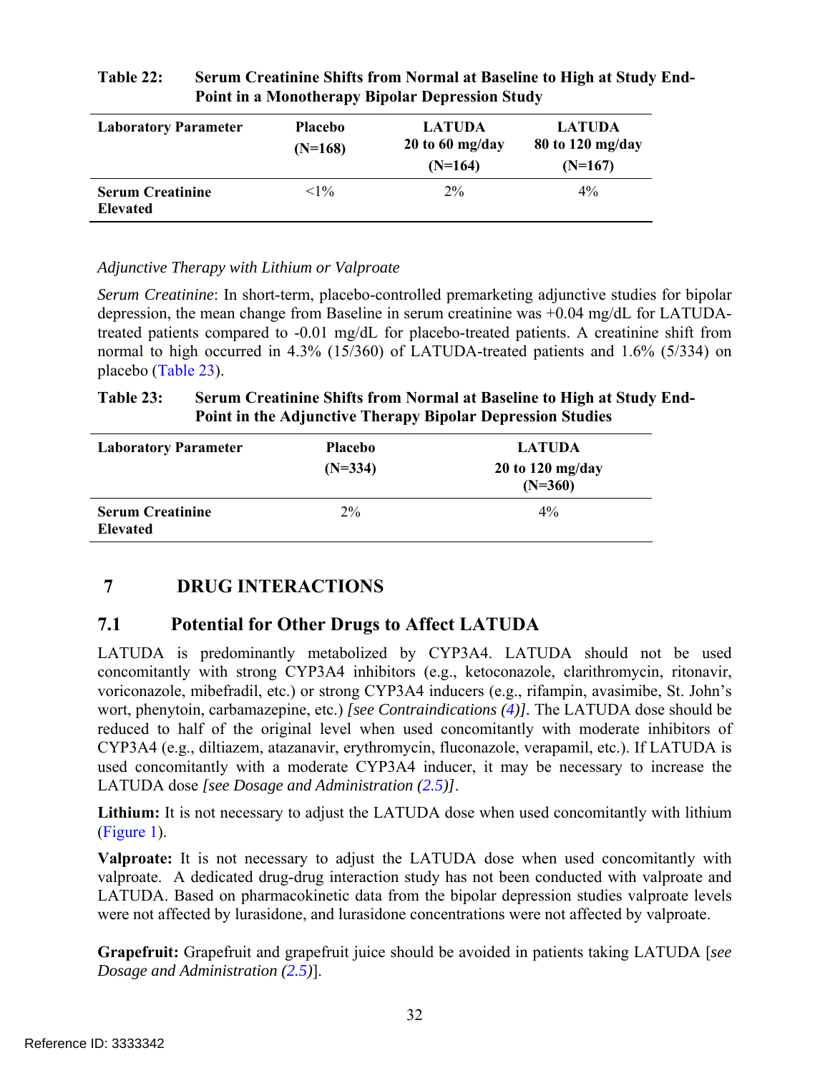| <b>Laboratory Parameter</b>                | <b>Placebo</b><br>$(N=168)$ | <b>LATUDA</b><br>$20$ to 60 mg/day<br>$(N=164)$ | LATUDA<br>$80$ to 120 mg/day<br>$(N=167)$ |
|--------------------------------------------|-----------------------------|-------------------------------------------------|-------------------------------------------|
| <b>Serum Creatinine</b><br><b>Elevated</b> | $<1\%$                      | $2\%$                                           | $4\%$                                     |

#### **Table 22: Serum Creatinine Shifts from Normal at Baseline to High at Study End-Point in a Monotherapy Bipolar Depression Study**

#### *Adjunctive Therapy with Lithium or Valproate*

*Serum Creatinine*: In short-term, placebo-controlled premarketing adjunctive studies for bipolar depression, the mean change from Baseline in serum creatinine was +0.04 mg/dL for LATUDAtreated patients compared to -0.01 mg/dL for placebo-treated patients. A creatinine shift from normal to high occurred in 4.3% (15/360) of LATUDA-treated patients and 1.6% (5/334) on placebo (Table 23).

#### **Table 23: Serum Creatinine Shifts from Normal at Baseline to High at Study End-Point in the Adjunctive Therapy Bipolar Depression Studies**

| <b>Laboratory Parameter</b>                | <b>Placebo</b><br>$(N=334)$ | <b>LATUDA</b><br>$20$ to $120$ mg/day<br>$(N=360)$ |
|--------------------------------------------|-----------------------------|----------------------------------------------------|
| <b>Serum Creatinine</b><br><b>Elevated</b> | $2\%$                       | $4\%$                                              |

# **7 DRUG INTERACTIONS**

# **7.1 Potential for Other Drugs to Affect LATUDA**

 LATUDA dose *[see Dosage and Administration (2.5)]*. LATUDA is predominantly metabolized by CYP3A4. LATUDA should not be used concomitantly with strong CYP3A4 inhibitors (e.g., ketoconazole, clarithromycin, ritonavir, voriconazole, mibefradil, etc.) or strong CYP3A4 inducers (e.g., rifampin, avasimibe, St. John's wort, phenytoin, carbamazepine, etc.) *[see Contraindications (4)].* The LATUDA dose should be reduced to half of the original level when used concomitantly with moderate inhibitors of CYP3A4 (e.g., diltiazem, atazanavir, erythromycin, fluconazole, verapamil, etc.). If LATUDA is used concomitantly with a moderate CYP3A4 inducer, it may be necessary to increase the

**Lithium:** It is not necessary to adjust the LATUDA dose when used concomitantly with lithium (Figure 1).

**Valproate:** It is not necessary to adjust the LATUDA dose when used concomitantly with valproate. A dedicated drug-drug interaction study has not been conducted with valproate and LATUDA. Based on pharmacokinetic data from the bipolar depression studies valproate levels were not affected by lurasidone, and lurasidone concentrations were not affected by valproate.

**Grapefruit:** Grapefruit and grapefruit juice should be avoided in patients taking LATUDA [*see Dosage and Administration (2.5)*].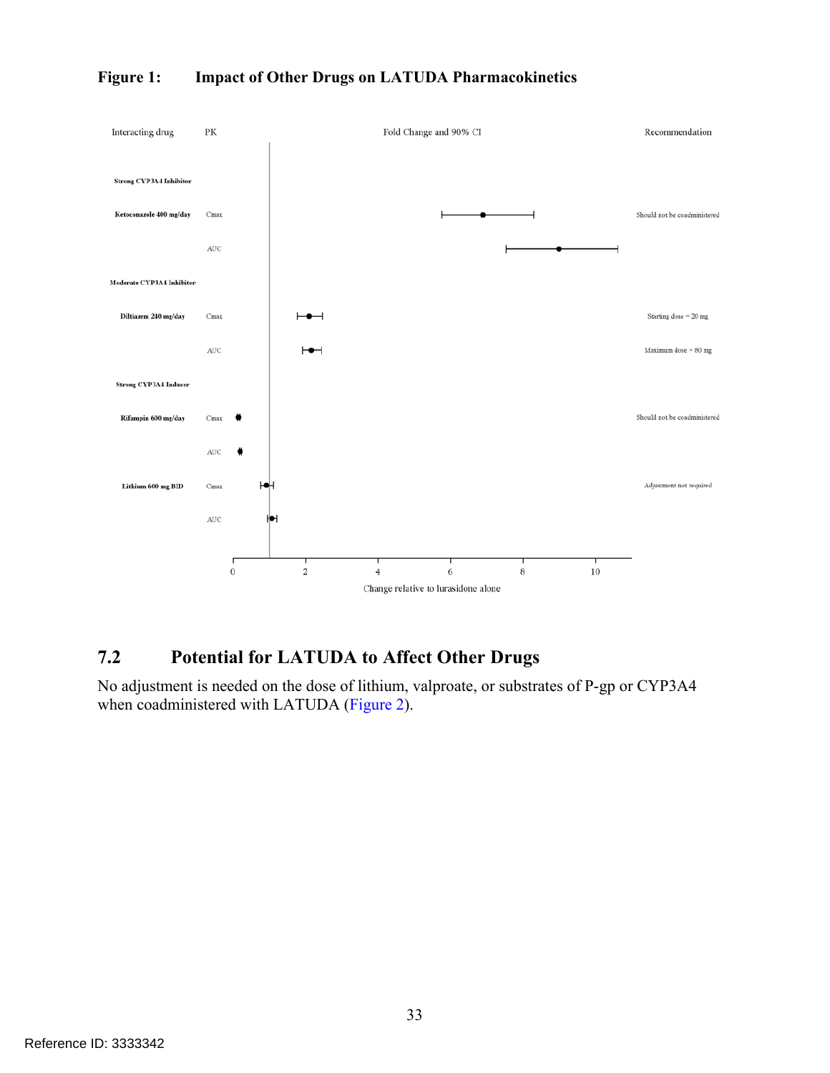#### **Figure 1: Impact of Other Drugs on LATUDA Pharmacokinetics**



# **7.2 Potential for LATUDA to Affect Other Drugs**

No adjustment is needed on the dose of lithium, valproate, or substrates of P-gp or CYP3A4 when coadministered with LATUDA (Figure 2).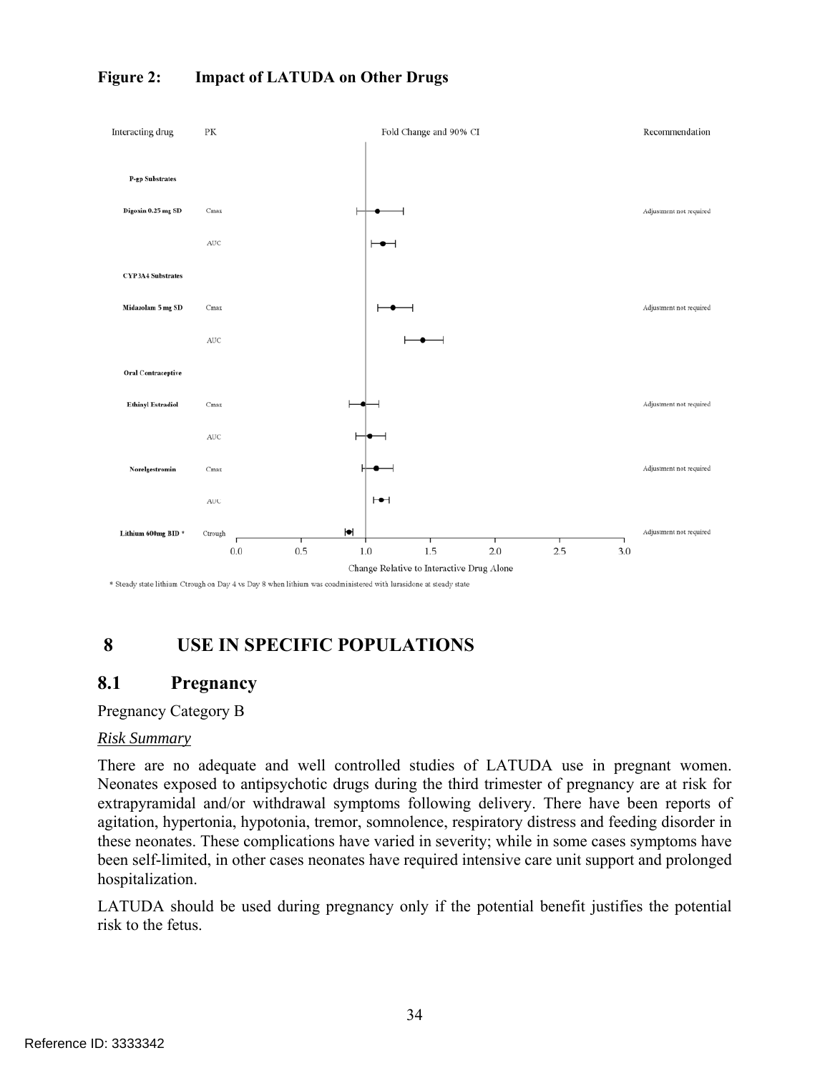#### **Figure 2: Impact of LATUDA on Other Drugs**



\* Steady state lithium Ctrough on Day 4 vs Day 8 when lithium was coadministered with lurasidone at steady state

# 8 USE IN SPECIFIC POPULATIONS<br>8.1 Pregnancy

Pregnancy Category B

#### *Risk Summary*

There are no adequate and well controlled studies of LATUDA use in pregnant women. Neonates exposed to antipsychotic drugs during the third trimester of pregnancy are at risk for extrapyramidal and/or withdrawal symptoms following delivery. There have been reports of agitation, hypertonia, hypotonia, tremor, somnolence, respiratory distress and feeding disorder in these neonates. These complications have varied in severity; while in some cases symptoms have been self-limited, in other cases neonates have required intensive care unit support and prolonged hospitalization.

LATUDA should be used during pregnancy only if the potential benefit justifies the potential risk to the fetus.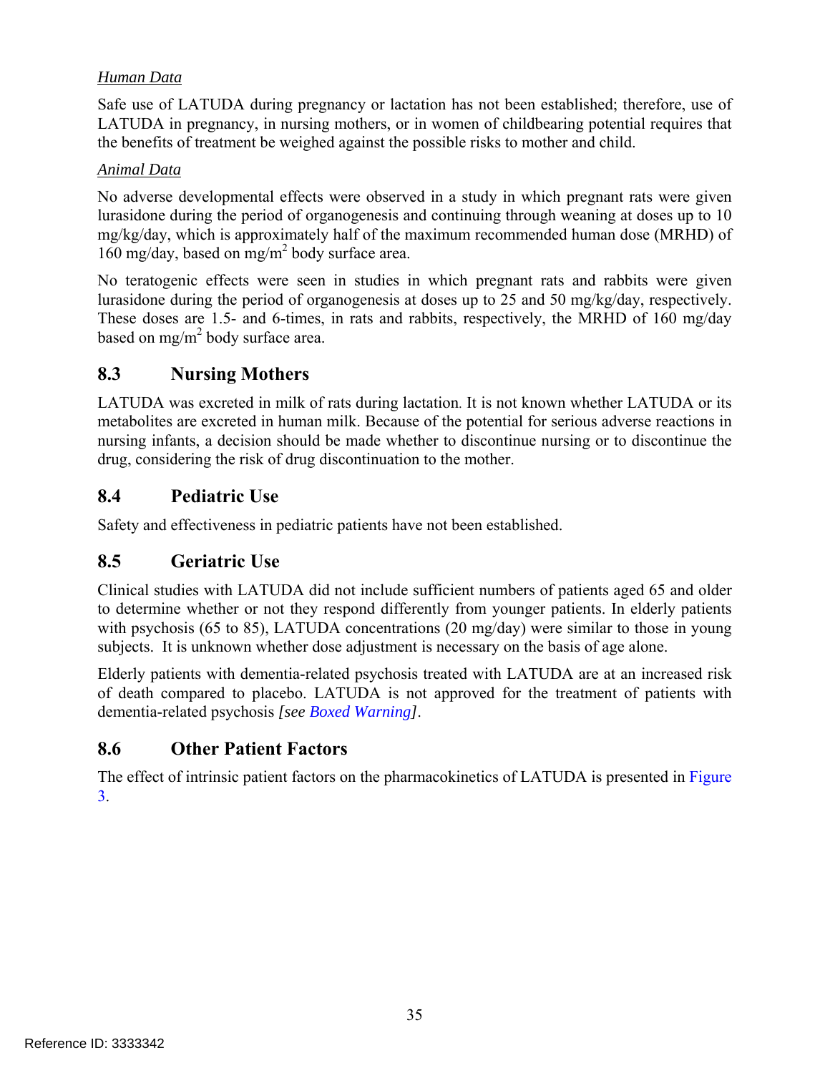#### *Human Data*

Safe use of LATUDA during pregnancy or lactation has not been established; therefore, use of LATUDA in pregnancy, in nursing mothers, or in women of childbearing potential requires that the benefits of treatment be weighed against the possible risks to mother and child.

#### *Animal Data*

No adverse developmental effects were observed in a study in which pregnant rats were given lurasidone during the period of organogenesis and continuing through weaning at doses up to 10 mg/kg/day, which is approximately half of the maximum recommended human dose (MRHD) of 160 mg/day, based on mg/m2 body surface area.

No teratogenic effects were seen in studies in which pregnant rats and rabbits were given lurasidone during the period of organogenesis at doses up to 25 and 50 mg/kg/day, respectively. These doses are 1.5- and 6-times, in rats and rabbits, respectively, the MRHD of 160 mg/day based on mg/m<sup>2</sup> body surface area.

#### **8.3 Nursing Mothers**

LATUDA was excreted in milk of rats during lactation. It is not known whether LATUDA or its metabolites are excreted in human milk. Because of the potential for serious adverse reactions in nursing infants, a decision should be made whether to discontinue nursing or to discontinue the drug, considering the risk of drug discontinuation to the mother.

#### **8.4 Pediatric Use**

Safety and effectiveness in pediatric patients have not been established.

#### **8.5 Geriatric Use**

Clinical studies with LATUDA did not include sufficient numbers of patients aged 65 and older to determine whether or not they respond differently from younger patients. In elderly patients with psychosis (65 to 85), LATUDA concentrations (20 mg/day) were similar to those in young subjects. It is unknown whether dose adjustment is necessary on the basis of age alone.

Elderly patients with dementia-related psychosis treated with LATUDA are at an increased risk of death compared to placebo. LATUDA is not approved for the treatment of patients with dementia-related psychosis *[see Boxed Warning]*.

# **8.6 Other Patient Factors**

The effect of intrinsic patient factors on the pharmacokinetics of LATUDA is presented in Figure 3.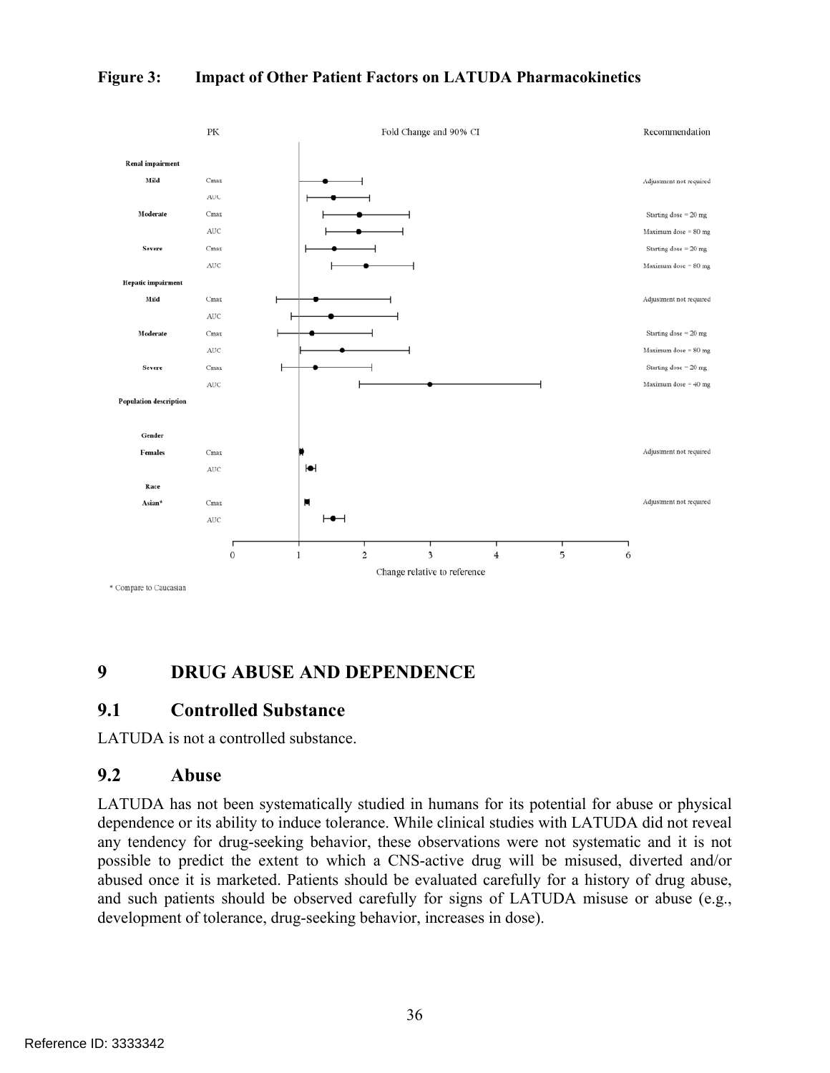#### **Figure 3: Impact of Other Patient Factors on LATUDA Pharmacokinetics**



#### **9 DRUG ABUSE AND DEPENDENCE**

#### **9.1 Controlled Substance**

LATUDA is not a controlled substance.

#### **9.2 Abuse**

LATUDA has not been systematically studied in humans for its potential for abuse or physical dependence or its ability to induce tolerance. While clinical studies with LATUDA did not reveal any tendency for drug-seeking behavior, these observations were not systematic and it is not possible to predict the extent to which a CNS-active drug will be misused, diverted and/or abused once it is marketed. Patients should be evaluated carefully for a history of drug abuse, and such patients should be observed carefully for signs of LATUDA misuse or abuse (e.g., development of tolerance, drug-seeking behavior, increases in dose).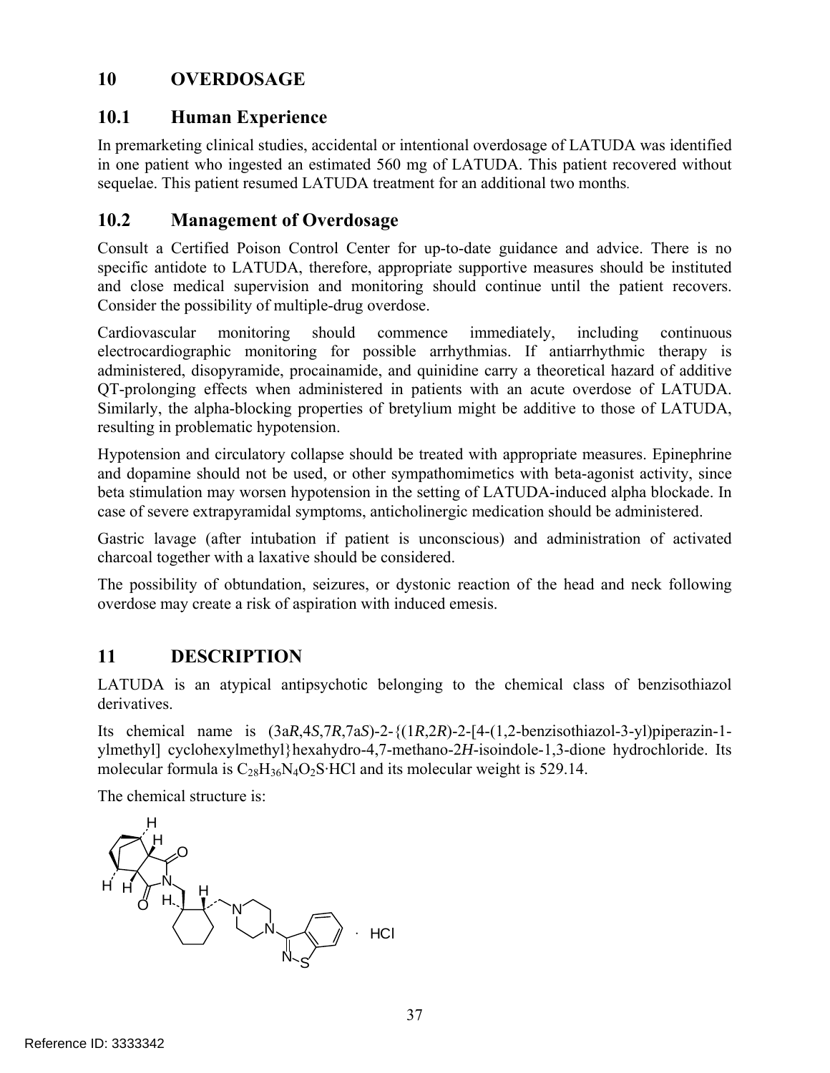#### **10 OVERDOSAGE**

#### **10.1 Human Experience**

In premarketing clinical studies, accidental or intentional overdosage of LATUDA was identified in one patient who ingested an estimated 560 mg of LATUDA. This patient recovered without sequelae. This patient resumed LATUDA treatment for an additional two months.

#### **10.2 Management of Overdosage**

Consult a Certified Poison Control Center for up-to-date guidance and advice. There is no specific antidote to LATUDA, therefore, appropriate supportive measures should be instituted and close medical supervision and monitoring should continue until the patient recovers. Consider the possibility of multiple-drug overdose.

Cardiovascular monitoring should commence immediately, including continuous electrocardiographic monitoring for possible arrhythmias. If antiarrhythmic therapy is administered, disopyramide, procainamide, and quinidine carry a theoretical hazard of additive QT-prolonging effects when administered in patients with an acute overdose of LATUDA. Similarly, the alpha-blocking properties of bretylium might be additive to those of LATUDA, resulting in problematic hypotension.

Hypotension and circulatory collapse should be treated with appropriate measures. Epinephrine and dopamine should not be used, or other sympathomimetics with beta-agonist activity, since beta stimulation may worsen hypotension in the setting of LATUDA-induced alpha blockade. In case of severe extrapyramidal symptoms, anticholinergic medication should be administered.

Gastric lavage (after intubation if patient is unconscious) and administration of activated charcoal together with a laxative should be considered.

The possibility of obtundation, seizures, or dystonic reaction of the head and neck following overdose may create a risk of aspiration with induced emesis.

#### **11 DESCRIPTION**

LATUDA is an atypical antipsychotic belonging to the chemical class of benzisothiazol derivatives.

Its chemical name is (3a*R*,4*S*,7*R*,7a*S*)-2-{(1*R*,2*R*)-2-[4-(1,2-benzisothiazol-3-yl)piperazin-1 ylmethyl] cyclohexylmethyl}hexahydro-4,7-methano-2*H*-isoindole-1,3-dione hydrochloride. Its molecular formula is  $C_{28}H_{36}N_4O_2S$  HCl and its molecular weight is 529.14.

The chemical structure is:

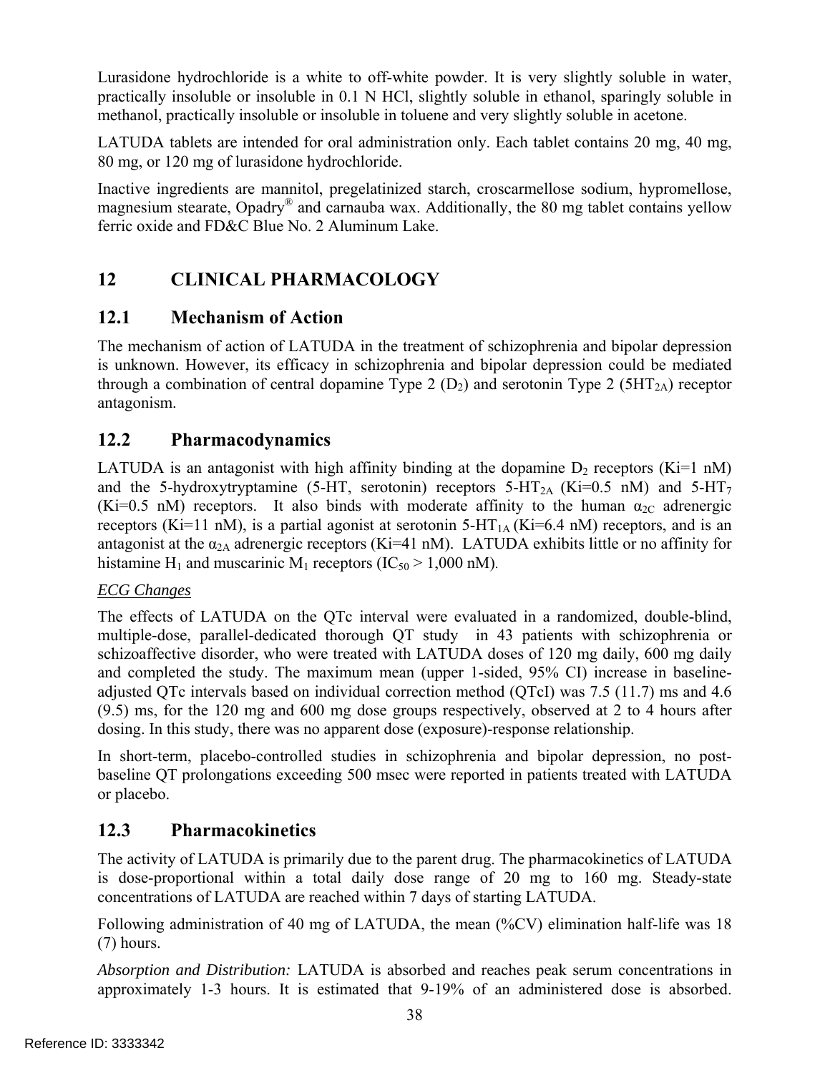Lurasidone hydrochloride is a white to off-white powder. It is very slightly soluble in water, practically insoluble or insoluble in 0.1 N HCl, slightly soluble in ethanol, sparingly soluble in methanol, practically insoluble or insoluble in toluene and very slightly soluble in acetone.

LATUDA tablets are intended for oral administration only. Each tablet contains 20 mg, 40 mg, 80 mg, or 120 mg of lurasidone hydrochloride.

Inactive ingredients are mannitol, pregelatinized starch, croscarmellose sodium, hypromellose, magnesium stearate, Opadry® and carnauba wax. Additionally, the 80 mg tablet contains yellow ferric oxide and FD&C Blue No. 2 Aluminum Lake.

# **12 CLINICAL PHARMACOLOGY**

#### **12.1 Mechanism of Action**

The mechanism of action of LATUDA in the treatment of schizophrenia and bipolar depression is unknown. However, its efficacy in schizophrenia and bipolar depression could be mediated through a combination of central dopamine Type 2  $(D_2)$  and serotonin Type 2  $(SHT<sub>2A</sub>)$  receptor antagonism.

#### **12.2 Pharmacodynamics**

LATUDA is an antagonist with high affinity binding at the dopamine  $D_2$  receptors (Ki=1 nM) and the 5-hydroxytryptamine (5-HT, serotonin) receptors  $5-HT_{2A}$  (Ki=0.5 nM) and  $5-HT_7$ (Ki=0.5 nM) receptors. It also binds with moderate affinity to the human  $\alpha_{2C}$  adrenergic receptors (Ki=11 nM), is a partial agonist at serotonin 5-HT<sub>1A</sub> (Ki=6.4 nM) receptors, and is an antagonist at the  $\alpha_{2A}$  adrenergic receptors (Ki=41 nM). LATUDA exhibits little or no affinity for histamine H<sub>1</sub> and muscarinic M<sub>1</sub> receptors (IC<sub>50</sub> > 1,000 nM).

#### *ECG Changes*

The effects of LATUDA on the QTc interval were evaluated in a randomized, double-blind, multiple-dose, parallel-dedicated thorough QT study in 43 patients with schizophrenia or schizoaffective disorder, who were treated with LATUDA doses of 120 mg daily, 600 mg daily and completed the study. The maximum mean (upper 1-sided, 95% CI) increase in baselineadjusted QTc intervals based on individual correction method (QTcI) was 7.5 (11.7) ms and 4.6 (9.5) ms, for the 120 mg and 600 mg dose groups respectively, observed at 2 to 4 hours after dosing. In this study, there was no apparent dose (exposure)-response relationship.

In short-term, placebo-controlled studies in schizophrenia and bipolar depression, no postbaseline QT prolongations exceeding 500 msec were reported in patients treated with LATUDA or placebo.

#### **12.3 Pharmacokinetics**

The activity of LATUDA is primarily due to the parent drug. The pharmacokinetics of LATUDA is dose-proportional within a total daily dose range of 20 mg to 160 mg. Steady-state concentrations of LATUDA are reached within 7 days of starting LATUDA.

Following administration of 40 mg of LATUDA, the mean (%CV) elimination half-life was 18 (7) hours.

*Absorption and Distribution:* LATUDA is absorbed and reaches peak serum concentrations in approximately 1-3 hours. It is estimated that 9-19% of an administered dose is absorbed.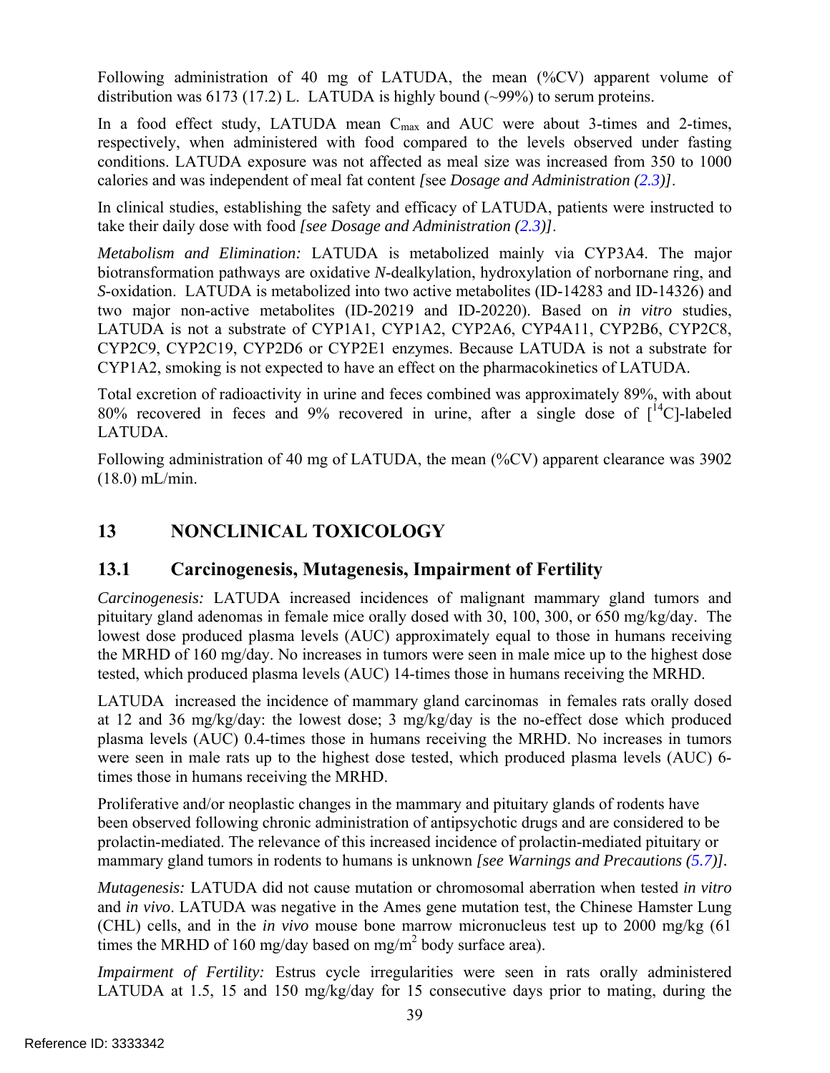Following administration of 40 mg of LATUDA, the mean (%CV) apparent volume of distribution was 6173 (17.2) L. LATUDA is highly bound  $(\sim 99\%)$  to serum proteins.

In a food effect study, LATUDA mean  $C_{\text{max}}$  and AUC were about 3-times and 2-times, respectively, when administered with food compared to the levels observed under fasting conditions. LATUDA exposure was not affected as meal size was increased from 350 to 1000 calories and was independent of meal fat content *[*see *Dosage and Administration (2.3)]*.

In clinical studies, establishing the safety and efficacy of LATUDA, patients were instructed to take their daily dose with food *[see Dosage and Administration (2.3)]*.

*Metabolism and Elimination:* LATUDA is metabolized mainly via CYP3A4. The major biotransformation pathways are oxidative *N*-dealkylation, hydroxylation of norbornane ring, and *S*-oxidation. LATUDA is metabolized into two active metabolites (ID-14283 and ID-14326) and two major non-active metabolites (ID-20219 and ID-20220). Based on *in vitro* studies, LATUDA is not a substrate of CYP1A1, CYP1A2, CYP2A6, CYP4A11, CYP2B6, CYP2C8, CYP2C9, CYP2C19, CYP2D6 or CYP2E1 enzymes. Because LATUDA is not a substrate for CYP1A2, smoking is not expected to have an effect on the pharmacokinetics of LATUDA.

Total excretion of radioactivity in urine and feces combined was approximately 89%, with about 80% recovered in feces and 9% recovered in urine, after a single dose of  $\lceil 14C \rceil$ -labeled LATUDA.

Following administration of 40 mg of LATUDA, the mean (%CV) apparent clearance was 3902 (18.0) mL/min.

# **13 NONCLINICAL TOXICOLOGY**

# **13.1 Carcinogenesis, Mutagenesis, Impairment of Fertility**

*Carcinogenesis:* LATUDA increased incidences of malignant mammary gland tumors and pituitary gland adenomas in female mice orally dosed with 30, 100, 300, or 650 mg/kg/day. The lowest dose produced plasma levels (AUC) approximately equal to those in humans receiving the MRHD of 160 mg/day. No increases in tumors were seen in male mice up to the highest dose tested, which produced plasma levels (AUC) 14-times those in humans receiving the MRHD.

LATUDA increased the incidence of mammary gland carcinomas in females rats orally dosed at 12 and 36 mg/kg/day: the lowest dose; 3 mg/kg/day is the no-effect dose which produced plasma levels (AUC) 0.4-times those in humans receiving the MRHD. No increases in tumors were seen in male rats up to the highest dose tested, which produced plasma levels (AUC) 6 times those in humans receiving the MRHD.

mammary gland tumors in rodents to humans is unknown *[see Warnings and Precautions*  $(5.7)$ ]. Proliferative and/or neoplastic changes in the mammary and pituitary glands of rodents have been observed following chronic administration of antipsychotic drugs and are considered to be prolactin-mediated. The relevance of this increased incidence of prolactin-mediated pituitary or

*Mutagenesis: LATUDA did not cause mutation or chromosomal aberration when tested in vitro* and *in vivo*. LATUDA was negative in the Ames gene mutation test, the Chinese Hamster Lung (CHL) cells, and in the *in vivo* mouse bone marrow micronucleus test up to 2000 mg/kg (61 times the MRHD of 160 mg/day based on mg/m<sup>2</sup> body surface area).

*Impairment of Fertility:* Estrus cycle irregularities were seen in rats orally administered LATUDA at 1.5, 15 and 150 mg/kg/day for 15 consecutive days prior to mating, during the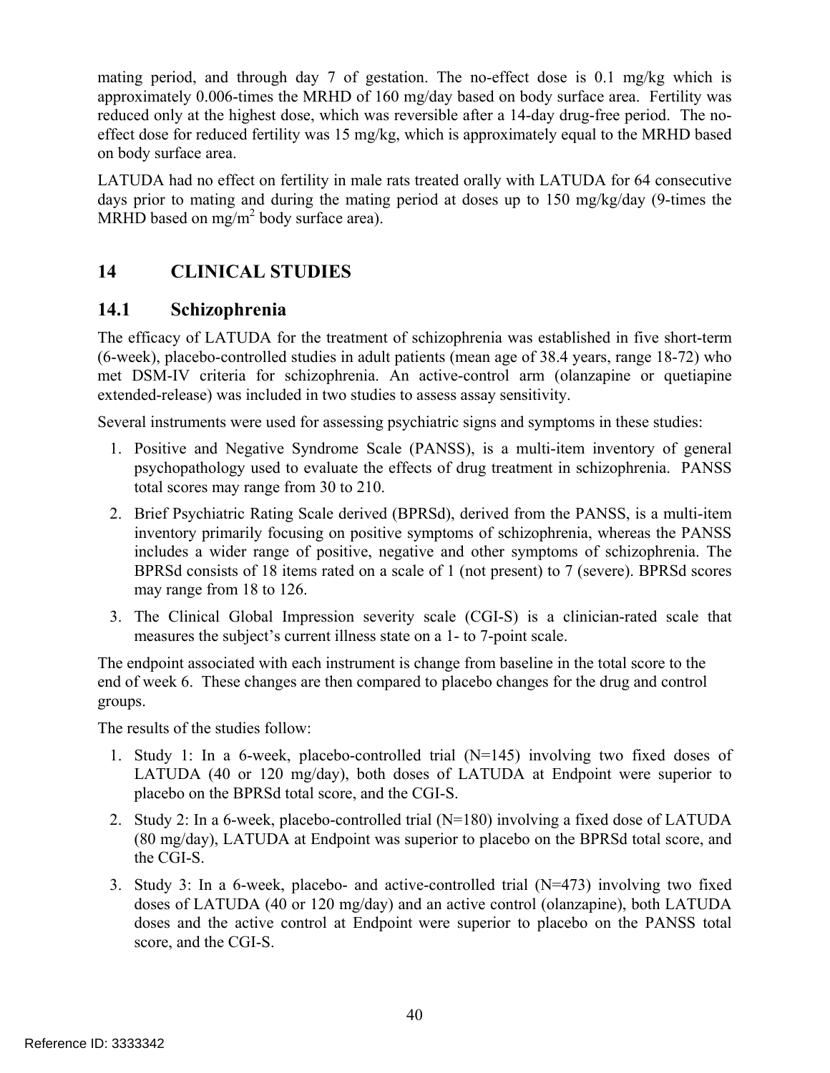mating period, and through day 7 of gestation. The no-effect dose is 0.1 mg/kg which is approximately 0.006-times the MRHD of 160 mg/day based on body surface area. Fertility was reduced only at the highest dose, which was reversible after a 14-day drug-free period. The noeffect dose for reduced fertility was 15 mg/kg, which is approximately equal to the MRHD based on body surface area.

LATUDA had no effect on fertility in male rats treated orally with LATUDA for 64 consecutive days prior to mating and during the mating period at doses up to 150 mg/kg/day (9-times the MRHD based on  $mg/m^2$  body surface area).

# **14 CLINICAL STUDIES**

# **14.1 Schizophrenia**

The efficacy of LATUDA for the treatment of schizophrenia was established in five short-term (6-week), placebo-controlled studies in adult patients (mean age of 38.4 years, range 18-72) who met DSM-IV criteria for schizophrenia. An active-control arm (olanzapine or quetiapine extended-release) was included in two studies to assess assay sensitivity.

Several instruments were used for assessing psychiatric signs and symptoms in these studies:

- 1. Positive and Negative Syndrome Scale (PANSS), is a multi-item inventory of general psychopathology used to evaluate the effects of drug treatment in schizophrenia. PANSS total scores may range from 30 to 210.
- 2. Brief Psychiatric Rating Scale derived (BPRSd), derived from the PANSS, is a multi-item inventory primarily focusing on positive symptoms of schizophrenia, whereas the PANSS includes a wider range of positive, negative and other symptoms of schizophrenia. The BPRSd consists of 18 items rated on a scale of 1 (not present) to 7 (severe). BPRSd scores may range from 18 to 126.
- 3. The Clinical Global Impression severity scale (CGI-S) is a clinician-rated scale that measures the subject's current illness state on a 1- to 7-point scale.

The endpoint associated with each instrument is change from baseline in the total score to the end of week 6. These changes are then compared to placebo changes for the drug and control groups.

The results of the studies follow:

- 1. Study 1: In a 6-week, placebo-controlled trial  $(N=145)$  involving two fixed doses of LATUDA (40 or 120 mg/day), both doses of LATUDA at Endpoint were superior to placebo on the BPRSd total score, and the CGI-S.
- 2. Study 2: In a 6-week, placebo-controlled trial  $(N=180)$  involving a fixed dose of LATUDA (80 mg/day), LATUDA at Endpoint was superior to placebo on the BPRSd total score, and the CGI-S.
- 3. Study 3: In a 6-week, placebo- and active-controlled trial  $(N=473)$  involving two fixed doses of LATUDA (40 or 120 mg/day) and an active control (olanzapine), both LATUDA doses and the active control at Endpoint were superior to placebo on the PANSS total score, and the CGI-S.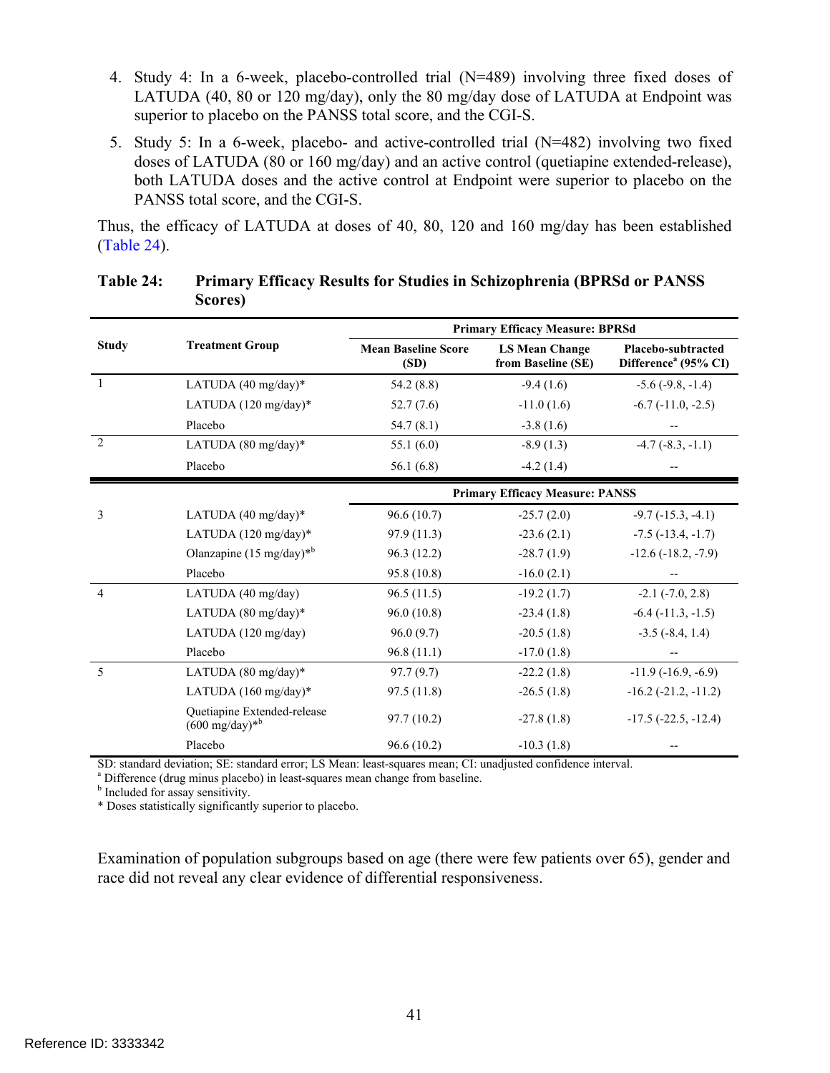- 4. Study 4: In a 6-week, placebo-controlled trial (N=489) involving three fixed doses of LATUDA (40, 80 or 120 mg/day), only the 80 mg/day dose of LATUDA at Endpoint was superior to placebo on the PANSS total score, and the CGI-S.
- 5. Study 5: In a 6-week, placebo- and active-controlled trial (N=482) involving two fixed doses of LATUDA (80 or 160 mg/day) and an active control (quetiapine extended-release), both LATUDA doses and the active control at Endpoint were superior to placebo on the PANSS total score, and the CGI-S.

Thus, the efficacy of LATUDA at doses of 40, 80, 120 and 160 mg/day has been established (Table 24).

|                |                                                            | <b>Primary Efficacy Measure: BPRSd</b> |                                             |                                                        |
|----------------|------------------------------------------------------------|----------------------------------------|---------------------------------------------|--------------------------------------------------------|
| <b>Study</b>   | <b>Treatment Group</b>                                     | <b>Mean Baseline Score</b><br>(SD)     | <b>LS Mean Change</b><br>from Baseline (SE) | Placebo-subtracted<br>Difference <sup>a</sup> (95% CI) |
| $\overline{1}$ | LATUDA $(40 \text{ mg}/\text{day})^*$                      | 54.2 (8.8)                             | $-9.4(1.6)$                                 | $-5.6$ ( $-9.8$ , $-1.4$ )                             |
|                | LATUDA (120 mg/day)*                                       | 52.7(7.6)                              | $-11.0(1.6)$                                | $-6.7$ $(-11.0, -2.5)$                                 |
|                | Placebo                                                    | 54.7(8.1)                              | $-3.8(1.6)$                                 |                                                        |
| $\overline{c}$ | LATUDA $(80 \text{ mg/day})^*$                             | 55.1(6.0)                              | $-8.9(1.3)$                                 | $-4.7(-8.3,-1.1)$                                      |
|                | Placebo                                                    | 56.1(6.8)                              | $-4.2(1.4)$                                 |                                                        |
|                |                                                            | <b>Primary Efficacy Measure: PANSS</b> |                                             |                                                        |
| 3              | LATUDA (40 mg/day)*                                        | 96.6(10.7)                             | $-25.7(2.0)$                                | $-9.7(-15.3, -4.1)$                                    |
|                | LATUDA (120 mg/day)*                                       | 97.9(11.3)                             | $-23.6(2.1)$                                | $-7.5$ $(-13.4, -1.7)$                                 |
|                | Olanzapine (15 mg/day) <sup>*b</sup>                       | 96.3 (12.2)                            | $-28.7(1.9)$                                | $-12.6$ $(-18.2, -7.9)$                                |
|                | Placebo                                                    | 95.8 (10.8)                            | $-16.0(2.1)$                                |                                                        |
| $\overline{4}$ | LATUDA (40 mg/day)                                         | 96.5(11.5)                             | $-19.2(1.7)$                                | $-2.1$ $(-7.0, 2.8)$                                   |
|                | LATUDA $(80 \text{ mg/day})^*$                             | 96.0(10.8)                             | $-23.4(1.8)$                                | $-6.4$ $(-11.3, -1.5)$                                 |
|                | LATUDA (120 mg/day)                                        | 96.0(9.7)                              | $-20.5(1.8)$                                | $-3.5$ $(-8.4, 1.4)$                                   |
|                | Placebo                                                    | 96.8(11.1)                             | $-17.0(1.8)$                                |                                                        |
| 5              | LATUDA $(80 \text{ mg/day})^*$                             | 97.7(9.7)                              | $-22.2(1.8)$                                | $-11.9(-16.9, -6.9)$                                   |
|                | LATUDA (160 mg/day)*                                       | 97.5 (11.8)                            | $-26.5(1.8)$                                | $-16.2$ ( $-21.2$ , $-11.2$ )                          |
|                | Quetiapine Extended-release<br>$(600 \text{ mg/day})^{*b}$ | 97.7(10.2)                             | $-27.8(1.8)$                                | $-17.5$ $(-22.5, -12.4)$                               |
|                | Placebo                                                    | 96.6(10.2)                             | $-10.3(1.8)$                                |                                                        |

| Table 24: | <b>Primary Efficacy Results for Studies in Schizophrenia (BPRSd or PANSS</b> |
|-----------|------------------------------------------------------------------------------|
|           | Scores)                                                                      |

SD: standard deviation; SE: standard error; LS Mean: least-squares mean; CI: unadjusted confidence interval.

<sup>a</sup> Difference (drug minus placebo) in least-squares mean change from baseline.

Included for assay sensitivity.

\* Doses statistically significantly superior to placebo.

Examination of population subgroups based on age (there were few patients over 65), gender and race did not reveal any clear evidence of differential responsiveness.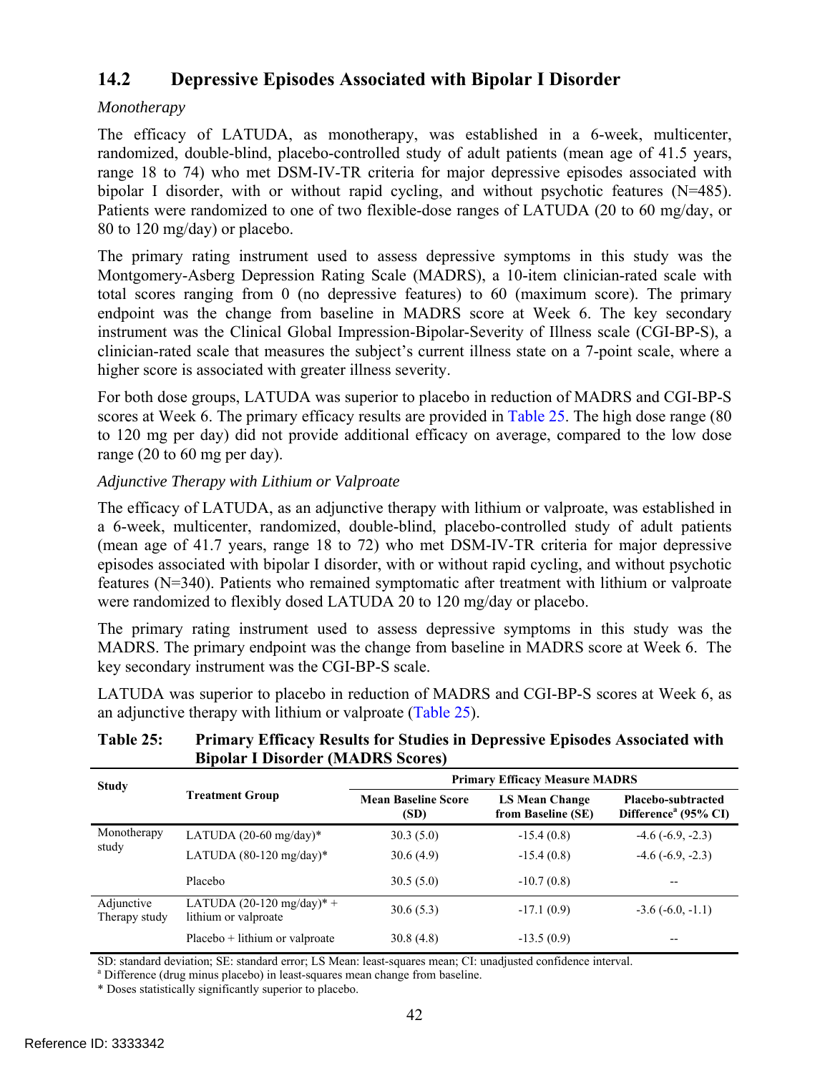#### **14.2 Depressive Episodes Associated with Bipolar I Disorder**

#### *Monotherapy*

The efficacy of LATUDA, as monotherapy, was established in a 6-week, multicenter, randomized, double-blind, placebo-controlled study of adult patients (mean age of 41.5 years, range 18 to 74) who met DSM-IV-TR criteria for major depressive episodes associated with bipolar I disorder, with or without rapid cycling, and without psychotic features (N=485). Patients were randomized to one of two flexible-dose ranges of LATUDA (20 to 60 mg/day, or 80 to 120 mg/day) or placebo.

The primary rating instrument used to assess depressive symptoms in this study was the Montgomery-Asberg Depression Rating Scale (MADRS), a 10-item clinician-rated scale with total scores ranging from 0 (no depressive features) to 60 (maximum score). The primary endpoint was the change from baseline in MADRS score at Week 6. The key secondary instrument was the Clinical Global Impression-Bipolar-Severity of Illness scale (CGI-BP-S), a clinician-rated scale that measures the subject's current illness state on a 7-point scale, where a higher score is associated with greater illness severity.

For both dose groups, LATUDA was superior to placebo in reduction of MADRS and CGI-BP-S scores at Week 6. The primary efficacy results are provided in Table 25. The high dose range (80) to 120 mg per day) did not provide additional efficacy on average, compared to the low dose range (20 to 60 mg per day).

#### *Adjunctive Therapy with Lithium or Valproate*

The efficacy of LATUDA, as an adjunctive therapy with lithium or valproate, was established in a 6-week, multicenter, randomized, double-blind, placebo-controlled study of adult patients (mean age of 41.7 years, range 18 to 72) who met DSM-IV-TR criteria for major depressive episodes associated with bipolar I disorder, with or without rapid cycling, and without psychotic features (N=340). Patients who remained symptomatic after treatment with lithium or valproate were randomized to flexibly dosed LATUDA 20 to 120 mg/day or placebo.

The primary rating instrument used to assess depressive symptoms in this study was the MADRS. The primary endpoint was the change from baseline in MADRS score at Week 6. The key secondary instrument was the CGI-BP-S scale.

LATUDA was superior to placebo in reduction of MADRS and CGI-BP-S scores at Week 6, as an adjunctive therapy with lithium or valproate (Table 25).

#### **Table 25: Primary Efficacy Results for Studies in Depressive Episodes Associated with Bipolar I Disorder (MADRS Scores)**

| <b>Study</b>                | <b>Treatment Group</b>                                       | <b>Primary Efficacy Measure MADRS</b> |                                      |                                                        |
|-----------------------------|--------------------------------------------------------------|---------------------------------------|--------------------------------------|--------------------------------------------------------|
|                             |                                                              | <b>Mean Baseline Score</b><br>(SD)    | LS Mean Change<br>from Baseline (SE) | Placebo-subtracted<br>Difference <sup>a</sup> (95% CI) |
| Monotherapy                 | LATUDA $(20-60 \text{ mg/day})^*$                            | 30.3(5.0)                             | $-15.4(0.8)$                         | $-4.6(-6.9, -2.3)$                                     |
| study                       | LATUDA $(80-120 \text{ mg/day})^*$                           | 30.6(4.9)                             | $-15.4(0.8)$                         | $-4.6(-6.9, -2.3)$                                     |
|                             | Placebo                                                      | 30.5(5.0)                             | $-10.7(0.8)$                         | $- -$                                                  |
| Adjunctive<br>Therapy study | LATUDA $(20-120 \text{ mg/day})^*$ +<br>lithium or valproate | 30.6(5.3)                             | $-17.1(0.9)$                         | $-3.6(-6.0, -1.1)$                                     |
|                             | $Placebo + lithium$ or valproate                             | 30.8(4.8)                             | $-13.5(0.9)$                         | --                                                     |

SD: standard deviation; SE: standard error; LS Mean: least-squares mean; CI: unadjusted confidence interval.

Difference (drug minus placebo) in least-squares mean change from baseline.

\* Doses statistically significantly superior to placebo.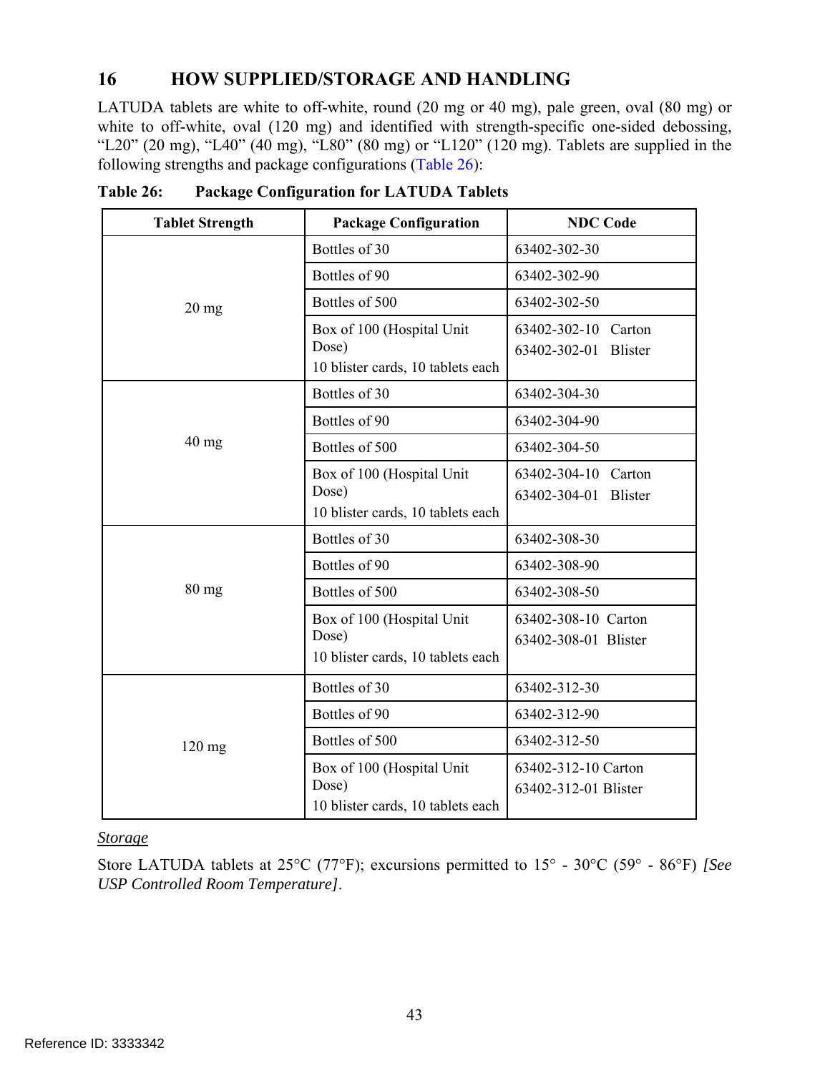#### **16 HOW SUPPLIED/STORAGE AND HANDLING**

LATUDA tablets are white to off-white, round (20 mg or 40 mg), pale green, oval (80 mg) or white to off-white, oval (120 mg) and identified with strength-specific one-sided debossing, "L20" (20 mg), "L40" (40 mg), "L80" (80 mg) or "L120" (120 mg). Tablets are supplied in the following strengths and package configurations (Table 26):

| <b>Tablet Strength</b> | <b>Package Configuration</b>                                            | <b>NDC Code</b>                                       |
|------------------------|-------------------------------------------------------------------------|-------------------------------------------------------|
|                        | Bottles of 30                                                           | 63402-302-30                                          |
|                        | Bottles of 90                                                           | 63402-302-90                                          |
| $20$ mg                | Bottles of 500                                                          | 63402-302-50                                          |
|                        | Box of 100 (Hospital Unit<br>Dose)<br>10 blister cards, 10 tablets each | 63402-302-10 Carton<br>63402-302-01<br><b>Blister</b> |
|                        | Bottles of 30                                                           | 63402-304-30                                          |
|                        | Bottles of 90                                                           | 63402-304-90                                          |
| $40$ mg                | Bottles of 500                                                          | 63402-304-50                                          |
|                        | Box of 100 (Hospital Unit<br>Dose)<br>10 blister cards, 10 tablets each | 63402-304-10 Carton<br>63402-304-01 Blister           |
|                        | Bottles of 30                                                           | 63402-308-30                                          |
|                        | Bottles of 90                                                           | 63402-308-90                                          |
| $80$ mg                | Bottles of 500                                                          | 63402-308-50                                          |
|                        | Box of 100 (Hospital Unit<br>Dose)<br>10 blister cards, 10 tablets each | 63402-308-10 Carton<br>63402-308-01 Blister           |
|                        | Bottles of 30                                                           | 63402-312-30                                          |
|                        | Bottles of 90                                                           | 63402-312-90                                          |
| $120$ mg               | Bottles of 500                                                          | 63402-312-50                                          |
|                        | Box of 100 (Hospital Unit<br>Dose)<br>10 blister cards, 10 tablets each | 63402-312-10 Carton<br>63402-312-01 Blister           |

**Table 26: Package Configuration for LATUDA Tablets** 

#### *Storage*

Store LATUDA tablets at 25°C (77°F); excursions permitted to 15° - 30°C (59° - 86°F) *[See USP Controlled Room Temperature]*.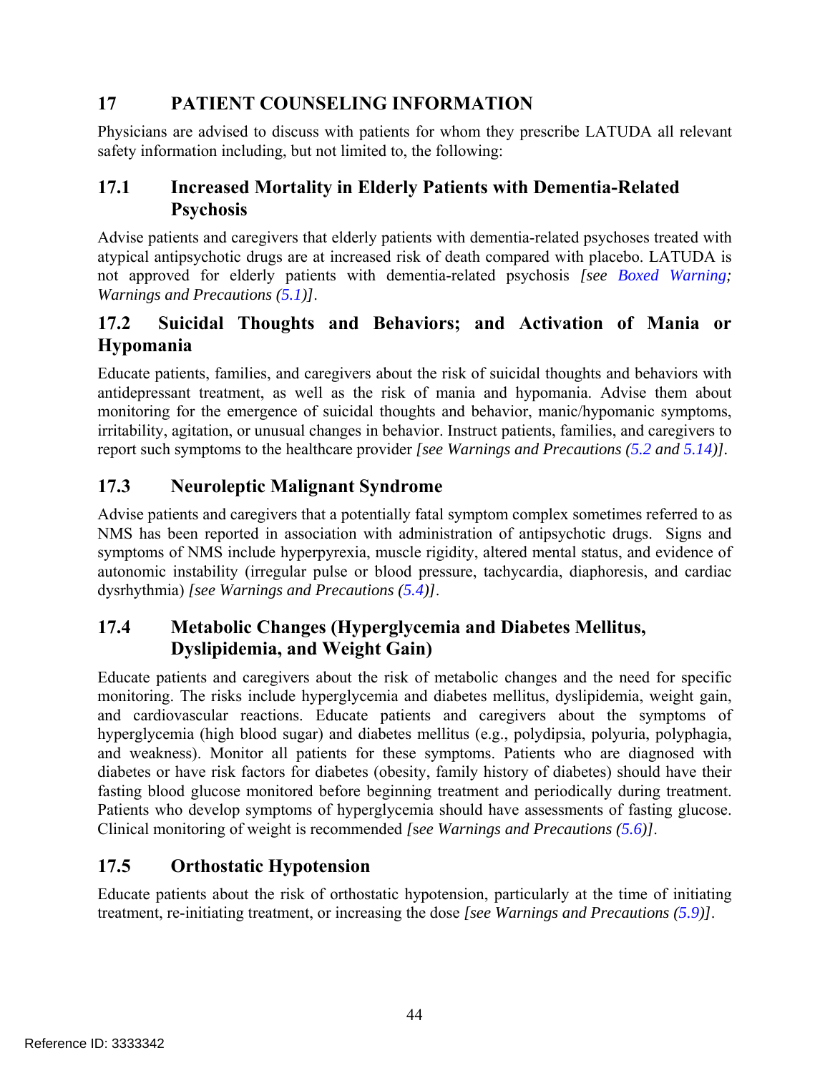# **17 PATIENT COUNSELING INFORMATION**

Physicians are advised to discuss with patients for whom they prescribe LATUDA all relevant safety information including, but not limited to, the following:

#### **17.1 Increased Mortality in Elderly Patients with Dementia-Related Psychosis**

Advise patients and caregivers that elderly patients with dementia-related psychoses treated with atypical antipsychotic drugs are at increased risk of death compared with placebo. LATUDA is not approved for elderly patients with dementia-related psychosis *[see Boxed Warning; Warnings and Precautions (5.1)]*.

#### **17.2 Suicidal Thoughts and Behaviors; and Activation of Mania or Hypomania**

Educate patients, families, and caregivers about the risk of suicidal thoughts and behaviors with antidepressant treatment, as well as the risk of mania and hypomania. Advise them about monitoring for the emergence of suicidal thoughts and behavior, manic/hypomanic symptoms, irritability, agitation, or unusual changes in behavior. Instruct patients, families, and caregivers to report such symptoms to the healthcare provider *[see Warnings and Precautions (5.2 and 5.14)].* 

# **17.3 Neuroleptic Malignant Syndrome**

Advise patients and caregivers that a potentially fatal symptom complex sometimes referred to as NMS has been reported in association with administration of antipsychotic drugs. Signs and symptoms of NMS include hyperpyrexia, muscle rigidity, altered mental status, and evidence of autonomic instability (irregular pulse or blood pressure, tachycardia, diaphoresis, and cardiac dysrhythmia) *[see Warnings and Precautions (5.4)]*.

# **17.4 Metabolic Changes (Hyperglycemia and Diabetes Mellitus, Dyslipidemia, and Weight Gain)**

Educate patients and caregivers about the risk of metabolic changes and the need for specific monitoring. The risks include hyperglycemia and diabetes mellitus, dyslipidemia, weight gain, and cardiovascular reactions. Educate patients and caregivers about the symptoms of hyperglycemia (high blood sugar) and diabetes mellitus (e.g., polydipsia, polyuria, polyphagia, and weakness). Monitor all patients for these symptoms. Patients who are diagnosed with diabetes or have risk factors for diabetes (obesity, family history of diabetes) should have their fasting blood glucose monitored before beginning treatment and periodically during treatment. Patients who develop symptoms of hyperglycemia should have assessments of fasting glucose. Clinical monitoring of weight is recommended *[*s*ee Warnings and Precautions (5.6)]*.

# **17.5 Orthostatic Hypotension**

Educate patients about the risk of orthostatic hypotension, particularly at the time of initiating treatment, re-initiating treatment, or increasing the dose *[see Warnings and Precautions (5.9)]*.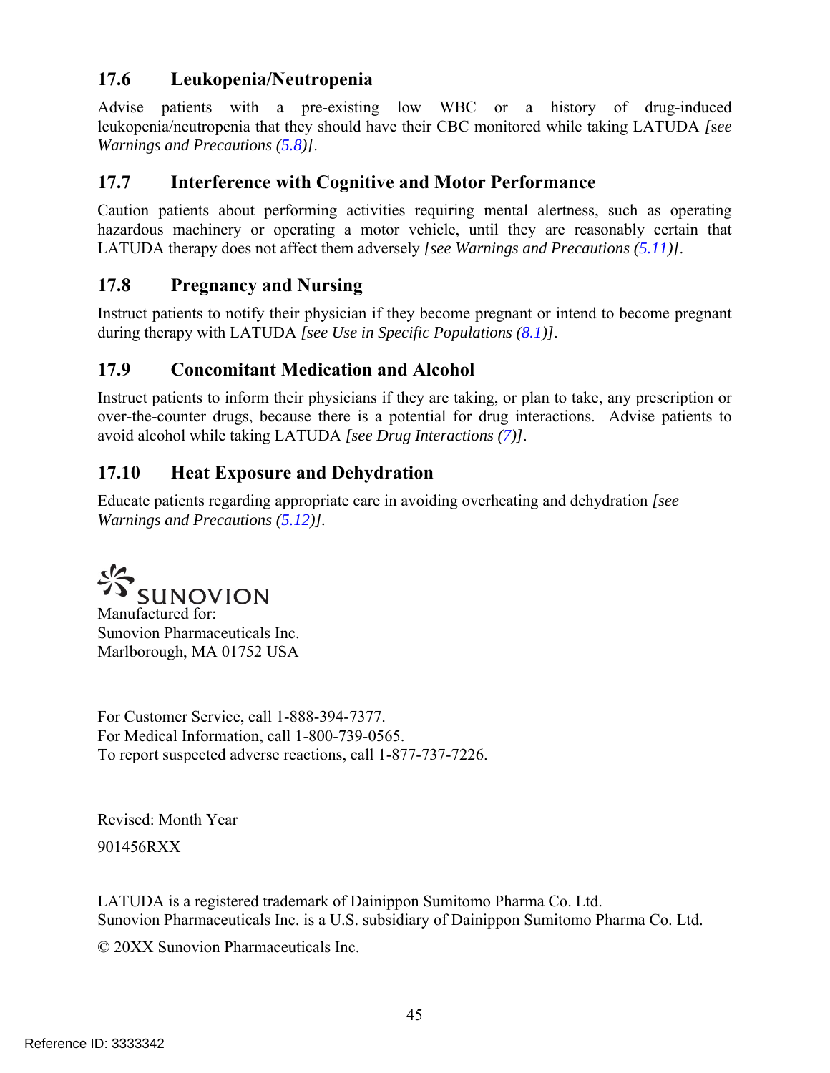#### **17.6 Leukopenia/Neutropenia**

Advise patients with a pre-existing low WBC or a history of drug-induced leukopenia/neutropenia that they should have their CBC monitored while taking LATUDA *[*s*ee Warnings and Precautions (5.8)]*.

#### **17.7 Interference with Cognitive and Motor Performance**

Caution patients about performing activities requiring mental alertness, such as operating hazardous machinery or operating a motor vehicle, until they are reasonably certain that LATUDA therapy does not affect them adversely *[see Warnings and Precautions (5.11)]*.

#### **17.8 Pregnancy and Nursing**

Instruct patients to notify their physician if they become pregnant or intend to become pregnant during therapy with LATUDA *[see Use in Specific Populations (8.1)]*.

#### **17.9 Concomitant Medication and Alcohol**

Instruct patients to inform their physicians if they are taking, or plan to take, any prescription or over-the-counter drugs, because there is a potential for drug interactions. Advise patients to avoid alcohol while taking LATUDA *[see Drug Interactions (7)]*.

# **17.10 Heat Exposure and Dehydration**

Educate patients regarding appropriate care in avoiding overheating and dehydration *[see Warnings and Precautions (5.12)].* 



Sunovion Pharmaceuticals Inc. Marlborough, MA 01752 USA

For Customer Service, call 1-888-394-7377. For Medical Information, call 1-800-739-0565. To report suspected adverse reactions, call 1-877-737-7226.

Revised: Month Year 901456RXX

LATUDA is a registered trademark of Dainippon Sumitomo Pharma Co. Ltd. Sunovion Pharmaceuticals Inc. is a U.S. subsidiary of Dainippon Sumitomo Pharma Co. Ltd.

© 20XX Sunovion Pharmaceuticals Inc.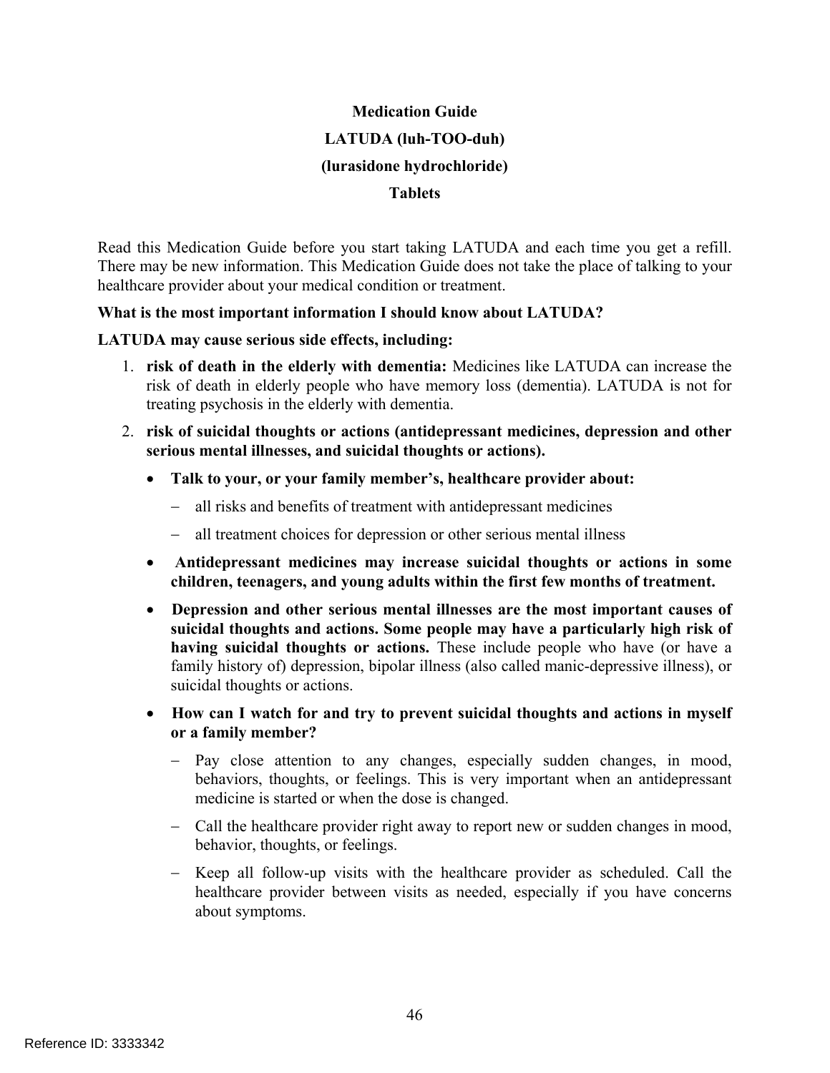# **Medication Guide LATUDA (luh-TOO-duh) (lurasidone hydrochloride) Tablets**

Read this Medication Guide before you start taking LATUDA and each time you get a refill. There may be new information. This Medication Guide does not take the place of talking to your healthcare provider about your medical condition or treatment.

#### **What is the most important information I should know about LATUDA?**

**LATUDA may cause serious side effects, including:** 

- 1. **risk of death in the elderly with dementia:** Medicines like LATUDA can increase the risk of death in elderly people who have memory loss (dementia). LATUDA is not for treating psychosis in the elderly with dementia.
- 2. **risk of suicidal thoughts or actions (antidepressant medicines, depression and other serious mental illnesses, and suicidal thoughts or actions).** 
	- **Talk to your, or your family member's, healthcare provider about:** 
		- all risks and benefits of treatment with antidepressant medicines
		- all treatment choices for depression or other serious mental illness
	- **Antidepressant medicines may increase suicidal thoughts or actions in some children, teenagers, and young adults within the first few months of treatment.**
	- **Depression and other serious mental illnesses are the most important causes of suicidal thoughts and actions. Some people may have a particularly high risk of having suicidal thoughts or actions.** These include people who have (or have a family history of) depression, bipolar illness (also called manic-depressive illness), or suicidal thoughts or actions.
	- **How can I watch for and try to prevent suicidal thoughts and actions in myself or a family member?** 
		- Pay close attention to any changes, especially sudden changes, in mood, behaviors, thoughts, or feelings. This is very important when an antidepressant medicine is started or when the dose is changed.
		- Call the healthcare provider right away to report new or sudden changes in mood, behavior, thoughts, or feelings.
		- Keep all follow-up visits with the healthcare provider as scheduled. Call the healthcare provider between visits as needed, especially if you have concerns about symptoms.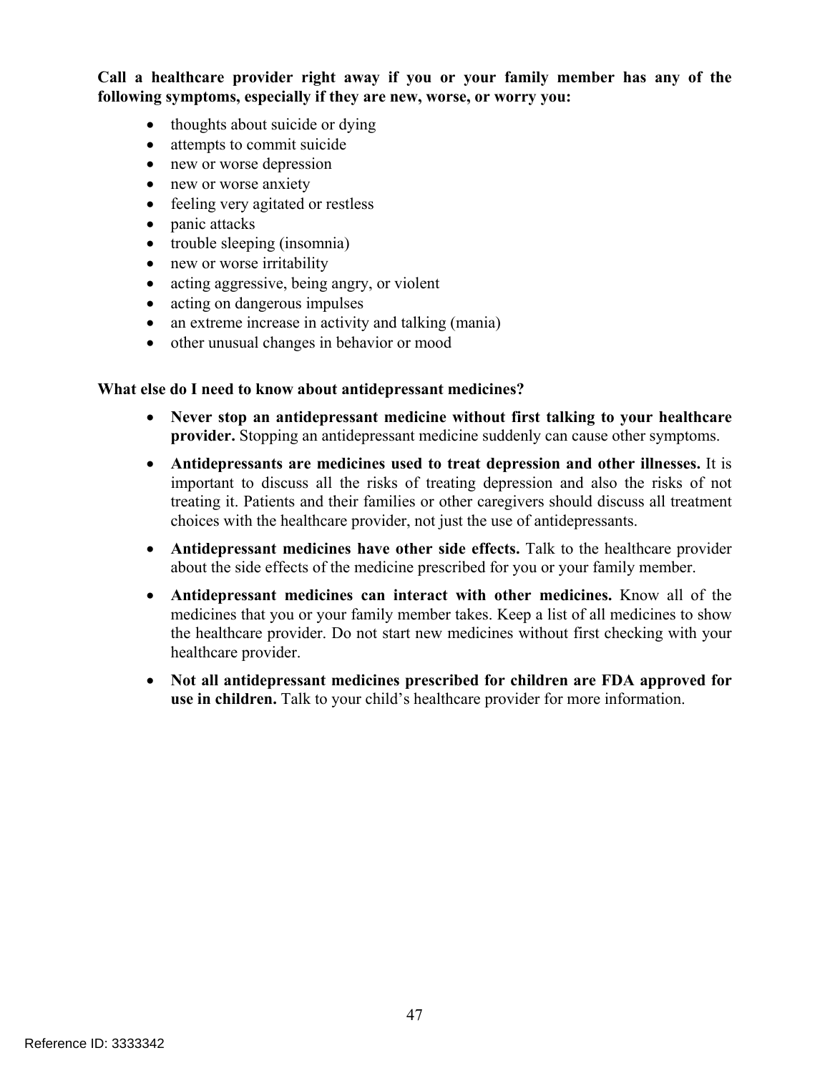**Call a healthcare provider right away if you or your family member has any of the following symptoms, especially if they are new, worse, or worry you:** 

- thoughts about suicide or dying
- attempts to commit suicide
- new or worse depression
- new or worse anxiety
- feeling very agitated or restless
- panic attacks
- trouble sleeping (insomnia)
- new or worse irritability
- acting aggressive, being angry, or violent
- acting on dangerous impulses
- an extreme increase in activity and talking (mania)
- other unusual changes in behavior or mood

#### **What else do I need to know about antidepressant medicines?**

- **Never stop an antidepressant medicine without first talking to your healthcare provider.** Stopping an antidepressant medicine suddenly can cause other symptoms.
- **Antidepressants are medicines used to treat depression and other illnesses.** It is important to discuss all the risks of treating depression and also the risks of not treating it. Patients and their families or other caregivers should discuss all treatment choices with the healthcare provider, not just the use of antidepressants.
- **Antidepressant medicines have other side effects.** Talk to the healthcare provider about the side effects of the medicine prescribed for you or your family member.
- **Antidepressant medicines can interact with other medicines.** Know all of the medicines that you or your family member takes. Keep a list of all medicines to show the healthcare provider. Do not start new medicines without first checking with your healthcare provider.
- **Not all antidepressant medicines prescribed for children are FDA approved for use in children.** Talk to your child's healthcare provider for more information.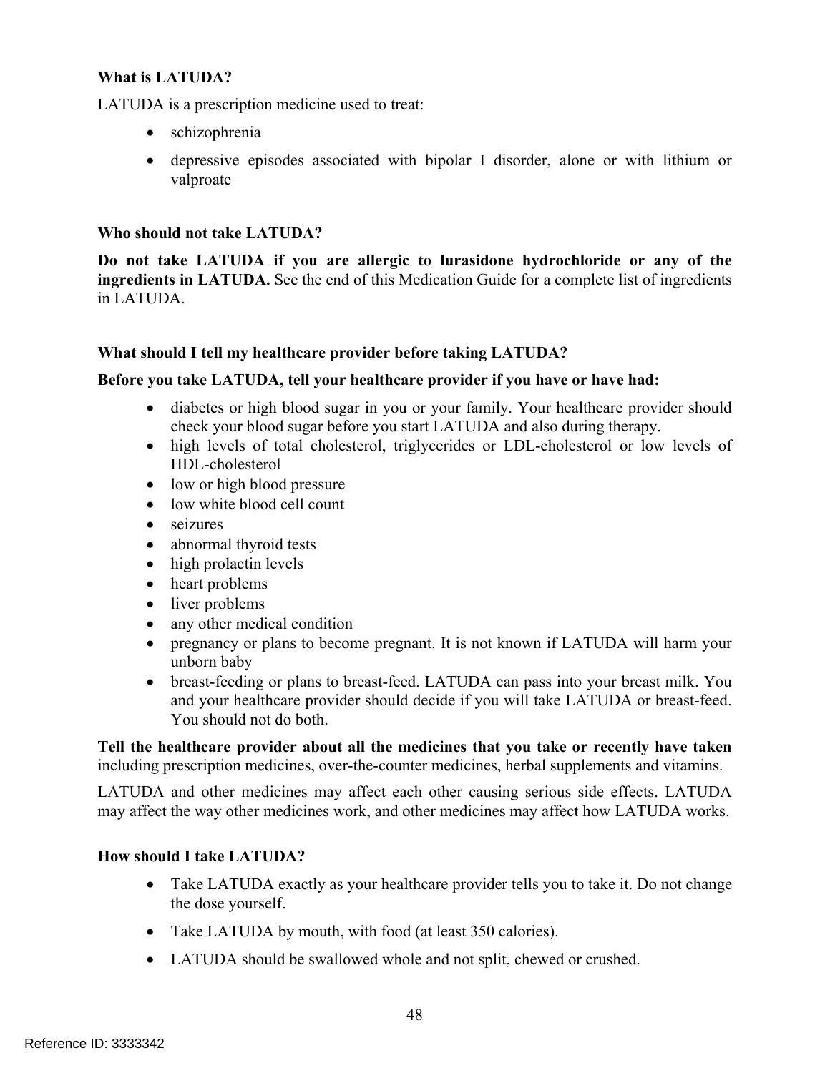#### **What is LATUDA?**

LATUDA is a prescription medicine used to treat:

- schizophrenia
- depressive episodes associated with bipolar I disorder, alone or with lithium or valproate

#### **Who should not take LATUDA?**

**Do not take LATUDA if you are allergic to lurasidone hydrochloride or any of the ingredients in LATUDA.** See the end of this Medication Guide for a complete list of ingredients in LATUDA.

#### **What should I tell my healthcare provider before taking LATUDA?**

#### **Before you take LATUDA, tell your healthcare provider if you have or have had:**

- diabetes or high blood sugar in you or your family. Your healthcare provider should check your blood sugar before you start LATUDA and also during therapy.
- high levels of total cholesterol, triglycerides or LDL-cholesterol or low levels of HDL-cholesterol
- low or high blood pressure
- low white blood cell count
- seizures
- abnormal thyroid tests
- high prolactin levels
- heart problems
- liver problems
- any other medical condition
- pregnancy or plans to become pregnant. It is not known if LATUDA will harm your unborn baby
- breast-feeding or plans to breast-feed. LATUDA can pass into your breast milk. You and your healthcare provider should decide if you will take LATUDA or breast-feed. You should not do both.

**Tell the healthcare provider about all the medicines that you take or recently have taken**  including prescription medicines, over-the-counter medicines, herbal supplements and vitamins.

LATUDA and other medicines may affect each other causing serious side effects. LATUDA may affect the way other medicines work, and other medicines may affect how LATUDA works.

#### **How should I take LATUDA?**

- Take LATUDA exactly as your healthcare provider tells you to take it. Do not change the dose yourself.
- Take LATUDA by mouth, with food (at least 350 calories).
- LATUDA should be swallowed whole and not split, chewed or crushed.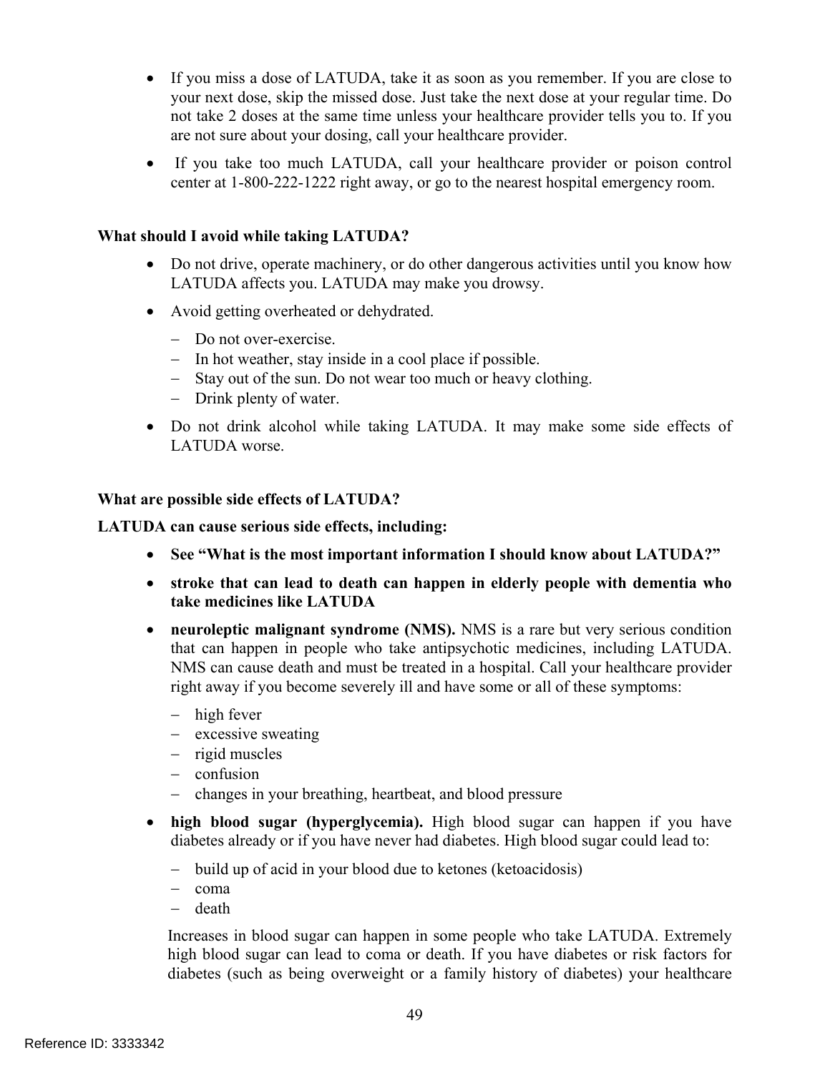- If you miss a dose of LATUDA, take it as soon as you remember. If you are close to your next dose, skip the missed dose. Just take the next dose at your regular time. Do not take 2 doses at the same time unless your healthcare provider tells you to. If you are not sure about your dosing, call your healthcare provider.
- If you take too much LATUDA, call your healthcare provider or poison control center at 1-800-222-1222 right away, or go to the nearest hospital emergency room.

#### **What should I avoid while taking LATUDA?**

- Do not drive, operate machinery, or do other dangerous activities until you know how LATUDA affects you. LATUDA may make you drowsy.
- Avoid getting overheated or dehydrated.
	- Do not over-exercise.
	- $-$  In hot weather, stay inside in a cool place if possible.
	- Stay out of the sun. Do not wear too much or heavy clothing.
	- Drink plenty of water.
- Do not drink alcohol while taking LATUDA. It may make some side effects of LATUDA worse.

#### **What are possible side effects of LATUDA?**

#### **LATUDA can cause serious side effects, including:**

- **See "What is the most important information I should know about LATUDA?"**
- **stroke that can lead to death can happen in elderly people with dementia who take medicines like LATUDA**
- neuroleptic malignant syndrome (NMS). NMS is a rare but very serious condition that can happen in people who take antipsychotic medicines, including LATUDA. NMS can cause death and must be treated in a hospital. Call your healthcare provider right away if you become severely ill and have some or all of these symptoms:
	- high fever
	- $-$  excessive sweating
	- $-$  rigid muscles
	- confusion
	- changes in your breathing, heartbeat, and blood pressure
- **high blood sugar (hyperglycemia).** High blood sugar can happen if you have diabetes already or if you have never had diabetes. High blood sugar could lead to:
	- build up of acid in your blood due to ketones (ketoacidosis)
	- coma
	- death

Increases in blood sugar can happen in some people who take LATUDA. Extremely high blood sugar can lead to coma or death. If you have diabetes or risk factors for diabetes (such as being overweight or a family history of diabetes) your healthcare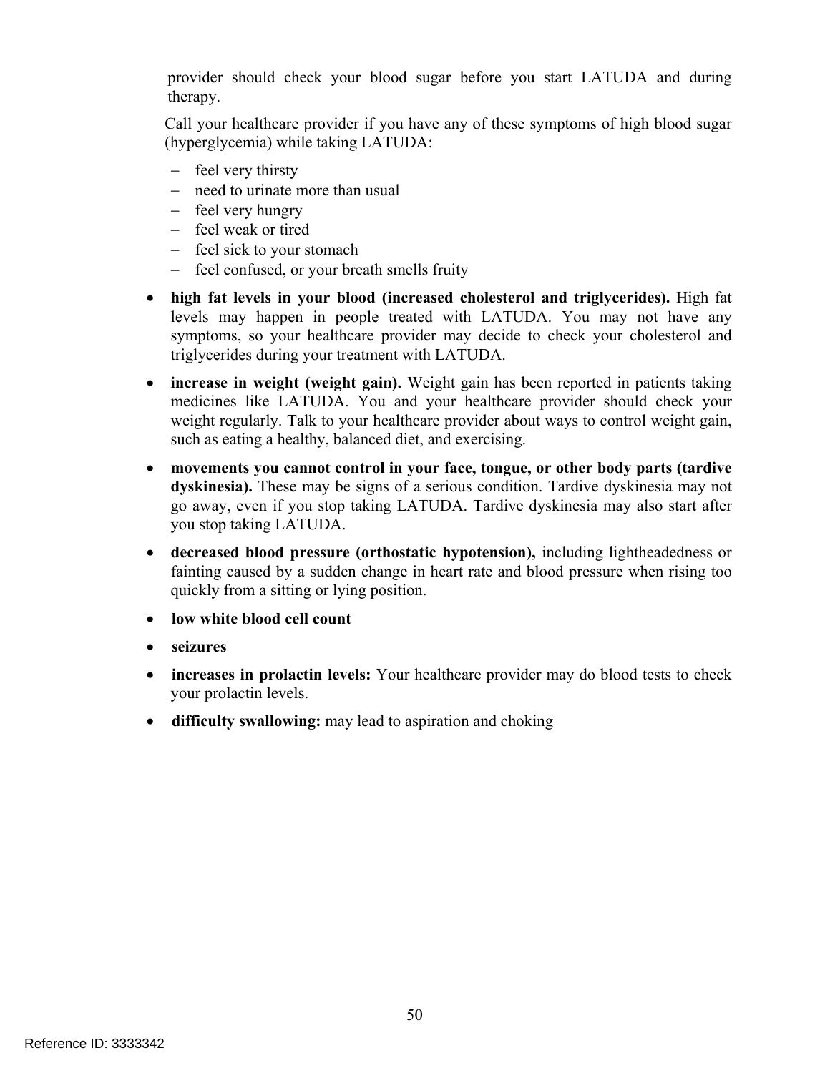provider should check your blood sugar before you start LATUDA and during therapy.

Call your healthcare provider if you have any of these symptoms of high blood sugar (hyperglycemia) while taking LATUDA:

- $-$  feel very thirsty
- need to urinate more than usual
- $-$  feel very hungry
- feel weak or tired
- feel sick to your stomach
- feel confused, or your breath smells fruity
- **high fat levels in your blood (increased cholesterol and triglycerides).** High fat levels may happen in people treated with LATUDA. You may not have any symptoms, so your healthcare provider may decide to check your cholesterol and triglycerides during your treatment with LATUDA.
- **increase in weight (weight gain).** Weight gain has been reported in patients taking medicines like LATUDA. You and your healthcare provider should check your weight regularly. Talk to your healthcare provider about ways to control weight gain, such as eating a healthy, balanced diet, and exercising.
- **movements you cannot control in your face, tongue, or other body parts (tardive dyskinesia).** These may be signs of a serious condition. Tardive dyskinesia may not go away, even if you stop taking LATUDA. Tardive dyskinesia may also start after you stop taking LATUDA.
- **decreased blood pressure (orthostatic hypotension),** including lightheadedness or fainting caused by a sudden change in heart rate and blood pressure when rising too quickly from a sitting or lying position.
- **low white blood cell count**
- **seizures**
- **increases in prolactin levels:** Your healthcare provider may do blood tests to check your prolactin levels.
- **difficulty swallowing:** may lead to aspiration and choking